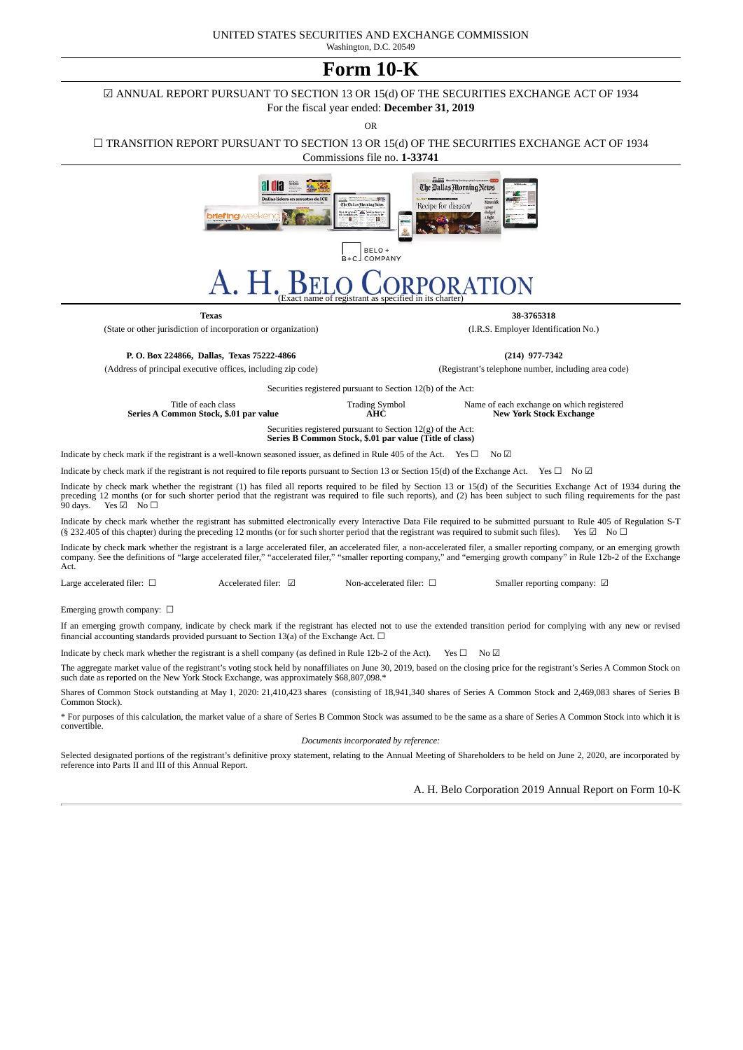# **Form 10-K**

☑ ANNUAL REPORT PURSUANT TO SECTION 13 OR 15(d) OF THE SECURITIES EXCHANGE ACT OF 1934 For the fiscal year ended: **December 31, 2019**

OR

☐ TRANSITION REPORT PURSUANT TO SECTION 13 OR 15(d) OF THE SECURITIES EXCHANGE ACT OF 1934 Commissions file no. **1-33741**



The aggregate market value of the registrant's voting stock held by nonaffiliates on June 30, 2019, based on the closing price for the registrant's Series A Common Stock on such date as reported on the New York Stock Exchange, was approximately \$68,807,098.\*

Shares of Common Stock outstanding at May 1, 2020: 21,410,423 shares (consisting of 18,941,340 shares of Series A Common Stock and 2,469,083 shares of Series B Common Stock).

\* For purposes of this calculation, the market value of a share of Series B Common Stock was assumed to be the same as a share of Series A Common Stock into which it is convertible.

*Documents incorporated by reference:*

Selected designated portions of the registrant's definitive proxy statement, relating to the Annual Meeting of Shareholders to be held on June 2, 2020, are incorporated by<br>reference into Parts II and III of this Annual Rep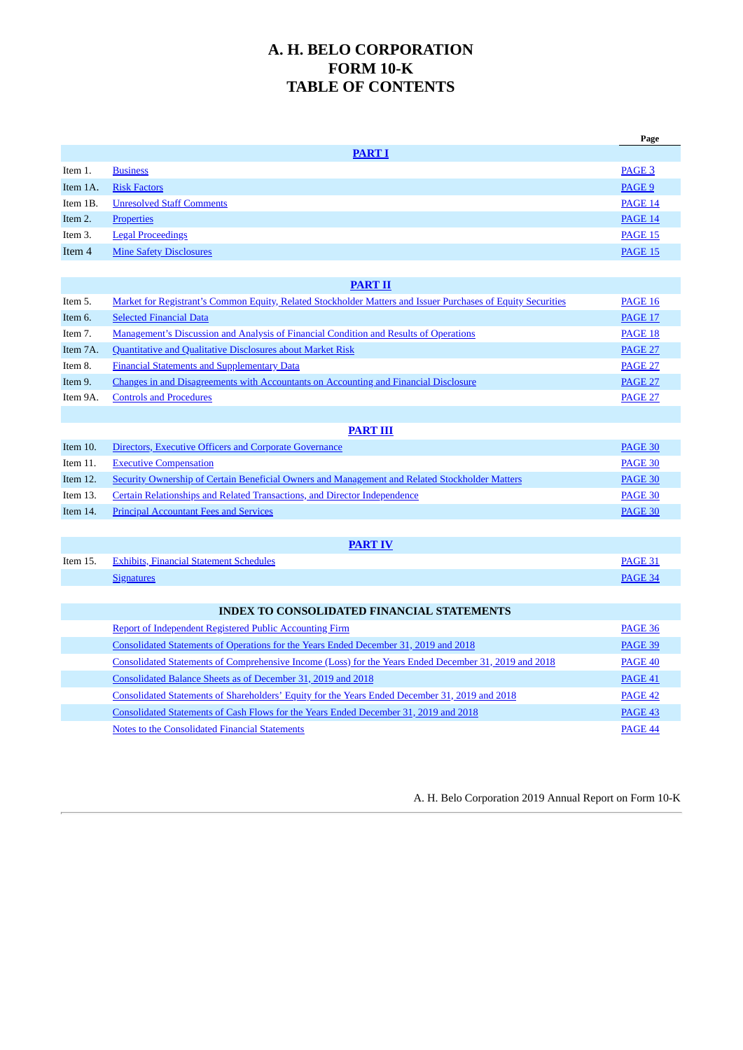# <span id="page-1-1"></span>**A. H. BELO CORPORATION FORM 10-K TABLE OF CONTENTS**

<span id="page-1-0"></span>

|          |                                                                                                              | Page           |
|----------|--------------------------------------------------------------------------------------------------------------|----------------|
|          | <b>PART I</b>                                                                                                |                |
| Item 1.  | <b>Business</b>                                                                                              | PAGE 3         |
| Item 1A. | <b>Risk Factors</b>                                                                                          | PAGE 9         |
| Item 1B. | <b>Unresolved Staff Comments</b>                                                                             | PAGE 14        |
| Item 2.  | <b>Properties</b>                                                                                            | PAGE 14        |
| Item 3.  | <b>Legal Proceedings</b>                                                                                     | <b>PAGE 15</b> |
| Item 4   | <b>Mine Safety Disclosures</b>                                                                               | <b>PAGE 15</b> |
|          |                                                                                                              |                |
|          | <b>PART II</b>                                                                                               |                |
| Item 5.  | Market for Registrant's Common Equity, Related Stockholder Matters and Issuer Purchases of Equity Securities | PAGE 16        |
| Item 6.  | <b>Selected Financial Data</b>                                                                               | PAGE 17        |
| Item 7.  | <b>Management's Discussion and Analysis of Financial Condition and Results of Operations</b>                 | PAGE 18        |
| Item 7A. | Quantitative and Qualitative Disclosures about Market Risk                                                   | PAGE 27        |
| Item 8.  | <b>Financial Statements and Supplementary Data</b>                                                           | <b>PAGE 27</b> |
| Item 9.  | <u>Changes in and Disagreements with Accountants on Accounting and Financial Disclosure</u>                  | <b>PAGE 27</b> |
| Item 9A. | <b>Controls and Procedures</b>                                                                               | <b>PAGE 27</b> |
|          |                                                                                                              |                |
|          | <b>PART III</b>                                                                                              |                |
| Item 10. | Directors, Executive Officers and Corporate Governance                                                       | PAGE 30        |
| Item 11. | <b>Executive Compensation</b>                                                                                | <b>PAGE 30</b> |
| Item 12. | Security Ownership of Certain Beneficial Owners and Management and Related Stockholder Matters               | <b>PAGE 30</b> |
| Item 13. | Certain Relationships and Related Transactions, and Director Independence                                    | PAGE 30        |
| Item 14. | <b>Principal Accountant Fees and Services</b>                                                                | PAGE 30        |
|          |                                                                                                              |                |
|          | <b>PART IV</b>                                                                                               |                |
| Item 15. | <b>Exhibits, Financial Statement Schedules</b>                                                               | PAGE 31        |
|          | <b>Signatures</b>                                                                                            | PAGE 34        |
|          |                                                                                                              |                |
|          | <b>INDEX TO CONSOLIDATED FINANCIAL STATEMENTS</b>                                                            |                |
|          | Report of Independent Registered Public Accounting Firm                                                      | PAGE 36        |
|          | Consolidated Statements of Operations for the Years Ended December 31, 2019 and 2018                         | PAGE 39        |
|          | Consolidated Statements of Comprehensive Income (Loss) for the Years Ended December 31, 2019 and 2018        | PAGE 40        |
|          | Consolidated Balance Sheets as of December 31, 2019 and 2018                                                 | PAGE 41        |
|          | Consolidated Statements of Shareholders' Equity for the Years Ended December 31, 2019 and 2018               | PAGE 42        |
|          | Consolidated Statements of Cash Flows for the Years Ended December 31, 2019 and 2018                         | PAGE 43        |
|          | Notes to the Consolidated Financial Statements                                                               | PAGE 44        |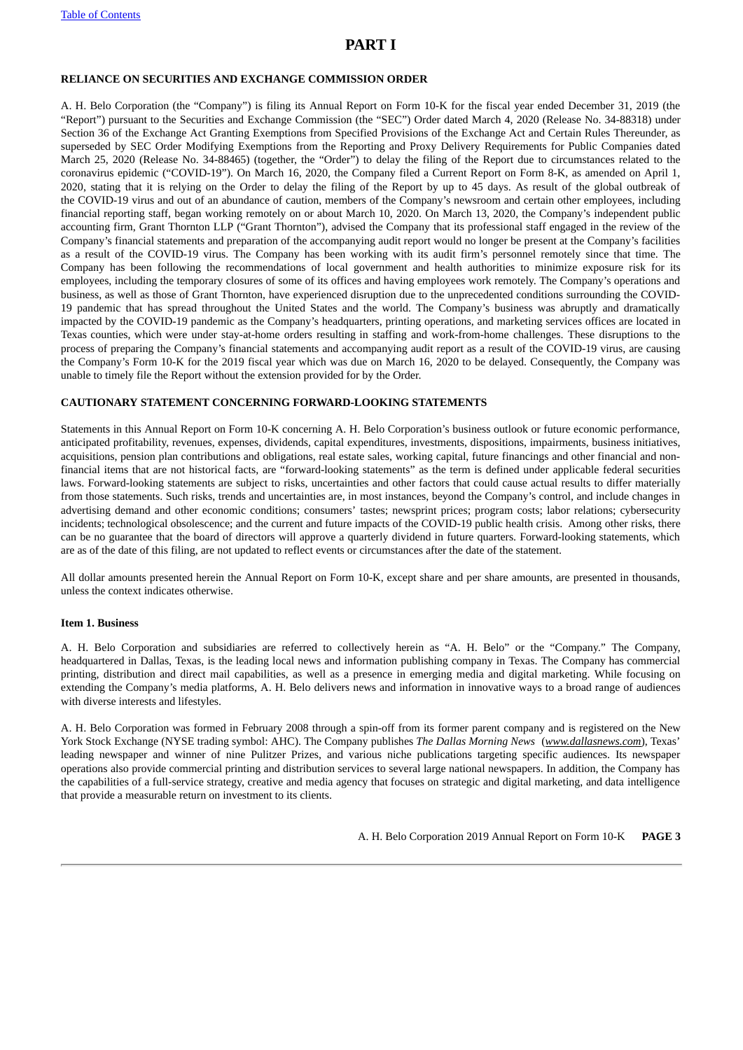# **PART I**

#### **RELIANCE ON SECURITIES AND EXCHANGE COMMISSION ORDER**

A. H. Belo Corporation (the "Company") is filing its Annual Report on Form 10-K for the fiscal year ended December 31, 2019 (the "Report") pursuant to the Securities and Exchange Commission (the "SEC") Order dated March 4, 2020 (Release No. 34-88318) under Section 36 of the Exchange Act Granting Exemptions from Specified Provisions of the Exchange Act and Certain Rules Thereunder, as superseded by SEC Order Modifying Exemptions from the Reporting and Proxy Delivery Requirements for Public Companies dated March 25, 2020 (Release No. 34-88465) (together, the "Order") to delay the filing of the Report due to circumstances related to the coronavirus epidemic ("COVID-19"). On March 16, 2020, the Company filed a Current Report on Form 8-K, as amended on April 1, 2020, stating that it is relying on the Order to delay the filing of the Report by up to 45 days. As result of the global outbreak of the COVID-19 virus and out of an abundance of caution, members of the Company's newsroom and certain other employees, including financial reporting staff, began working remotely on or about March 10, 2020. On March 13, 2020, the Company's independent public accounting firm, Grant Thornton LLP ("Grant Thornton"), advised the Company that its professional staff engaged in the review of the Company's financial statements and preparation of the accompanying audit report would no longer be present at the Company's facilities as a result of the COVID-19 virus. The Company has been working with its audit firm's personnel remotely since that time. The Company has been following the recommendations of local government and health authorities to minimize exposure risk for its employees, including the temporary closures of some of its offices and having employees work remotely. The Company's operations and business, as well as those of Grant Thornton, have experienced disruption due to the unprecedented conditions surrounding the COVID-19 pandemic that has spread throughout the United States and the world. The Company's business was abruptly and dramatically impacted by the COVID-19 pandemic as the Company's headquarters, printing operations, and marketing services offices are located in Texas counties, which were under stay-at-home orders resulting in staffing and work-from-home challenges. These disruptions to the process of preparing the Company's financial statements and accompanying audit report as a result of the COVID-19 virus, are causing the Company's Form 10-K for the 2019 fiscal year which was due on March 16, 2020 to be delayed. Consequently, the Company was unable to timely file the Report without the extension provided for by the Order.

# <span id="page-2-1"></span>**CAUTIONARY STATEMENT CONCERNING FORWARD-LOOKING STATEMENTS**

Statements in this Annual Report on Form 10-K concerning A. H. Belo Corporation's business outlook or future economic performance, anticipated profitability, revenues, expenses, dividends, capital expenditures, investments, dispositions, impairments, business initiatives, acquisitions, pension plan contributions and obligations, real estate sales, working capital, future financings and other financial and nonfinancial items that are not historical facts, are "forward-looking statements" as the term is defined under applicable federal securities laws. Forward-looking statements are subject to risks, uncertainties and other factors that could cause actual results to differ materially from those statements. Such risks, trends and uncertainties are, in most instances, beyond the Company's control, and include changes in advertising demand and other economic conditions; consumers' tastes; newsprint prices; program costs; labor relations; cybersecurity incidents; technological obsolescence; and the current and future impacts of the COVID-19 public health crisis. Among other risks, there can be no guarantee that the board of directors will approve a quarterly dividend in future quarters. Forward-looking statements, which are as of the date of this filing, are not updated to reflect events or circumstances after the date of the statement.

All dollar amounts presented herein the Annual Report on Form 10-K, except share and per share amounts, are presented in thousands, unless the context indicates otherwise.

### <span id="page-2-0"></span>**Item 1. Business**

A. H. Belo Corporation and subsidiaries are referred to collectively herein as "A. H. Belo" or the "Company." The Company, headquartered in Dallas, Texas, is the leading local news and information publishing company in Texas. The Company has commercial printing, distribution and direct mail capabilities, as well as a presence in emerging media and digital marketing. While focusing on extending the Company's media platforms, A. H. Belo delivers news and information in innovative ways to a broad range of audiences with diverse interests and lifestyles.

A. H. Belo Corporation was formed in February 2008 through a spin-off from its former parent company and is registered on the New York Stock Exchange (NYSE trading symbol: AHC). The Company publishes *The Dallas Morning News* (*www.dallasnews.com*), Texas' leading newspaper and winner of nine Pulitzer Prizes, and various niche publications targeting specific audiences. Its newspaper operations also provide commercial printing and distribution services to several large national newspapers. In addition, the Company has the capabilities of a full-service strategy, creative and media agency that focuses on strategic and digital marketing, and data intelligence that provide a measurable return on investment to its clients.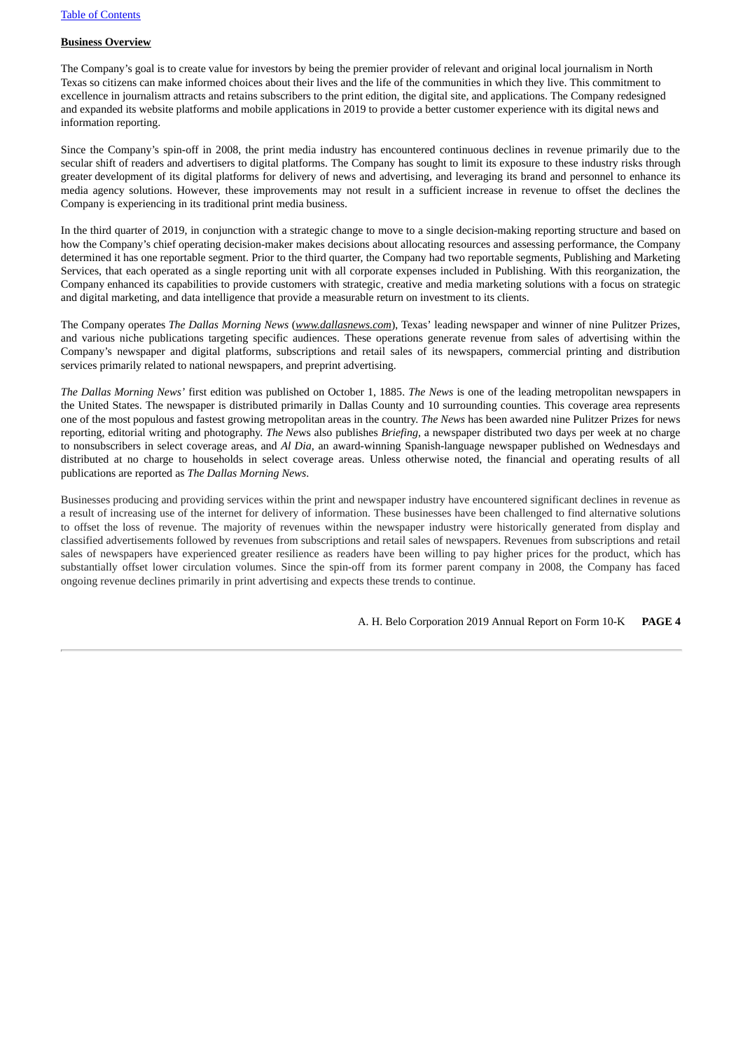### **Business Overview**

The Company's goal is to create value for investors by being the premier provider of relevant and original local journalism in North Texas so citizens can make informed choices about their lives and the life of the communities in which they live. This commitment to excellence in journalism attracts and retains subscribers to the print edition, the digital site, and applications. The Company redesigned and expanded its website platforms and mobile applications in 2019 to provide a better customer experience with its digital news and information reporting.

Since the Company's spin-off in 2008, the print media industry has encountered continuous declines in revenue primarily due to the secular shift of readers and advertisers to digital platforms. The Company has sought to limit its exposure to these industry risks through greater development of its digital platforms for delivery of news and advertising, and leveraging its brand and personnel to enhance its media agency solutions. However, these improvements may not result in a sufficient increase in revenue to offset the declines the Company is experiencing in its traditional print media business.

In the third quarter of 2019, in conjunction with a strategic change to move to a single decision-making reporting structure and based on how the Company's chief operating decision-maker makes decisions about allocating resources and assessing performance, the Company determined it has one reportable segment. Prior to the third quarter, the Company had two reportable segments, Publishing and Marketing Services, that each operated as a single reporting unit with all corporate expenses included in Publishing. With this reorganization, the Company enhanced its capabilities to provide customers with strategic, creative and media marketing solutions with a focus on strategic and digital marketing, and data intelligence that provide a measurable return on investment to its clients.

The Company operates *The Dallas Morning News* (*www.dallasnews.com*), Texas' leading newspaper and winner of nine Pulitzer Prizes, and various niche publications targeting specific audiences. These operations generate revenue from sales of advertising within the Company's newspaper and digital platforms, subscriptions and retail sales of its newspapers, commercial printing and distribution services primarily related to national newspapers, and preprint advertising.

*The Dallas Morning News'* first edition was published on October 1, 1885. *The News* is one of the leading metropolitan newspapers in the United States. The newspaper is distributed primarily in Dallas County and 10 surrounding counties. This coverage area represents one of the most populous and fastest growing metropolitan areas in the country. *The News* has been awarded nine Pulitzer Prizes for news reporting, editorial writing and photography. *The Ne*ws also publishes *Briefing*, a newspaper distributed two days per week at no charge to nonsubscribers in select coverage areas, and *Al Dia*, an award-winning Spanish-language newspaper published on Wednesdays and distributed at no charge to households in select coverage areas. Unless otherwise noted, the financial and operating results of all publications are reported as *The Dallas Morning News*.

Businesses producing and providing services within the print and newspaper industry have encountered significant declines in revenue as a result of increasing use of the internet for delivery of information. These businesses have been challenged to find alternative solutions to offset the loss of revenue. The majority of revenues within the newspaper industry were historically generated from display and classified advertisements followed by revenues from subscriptions and retail sales of newspapers. Revenues from subscriptions and retail sales of newspapers have experienced greater resilience as readers have been willing to pay higher prices for the product, which has substantially offset lower circulation volumes. Since the spin-off from its former parent company in 2008, the Company has faced ongoing revenue declines primarily in print advertising and expects these trends to continue.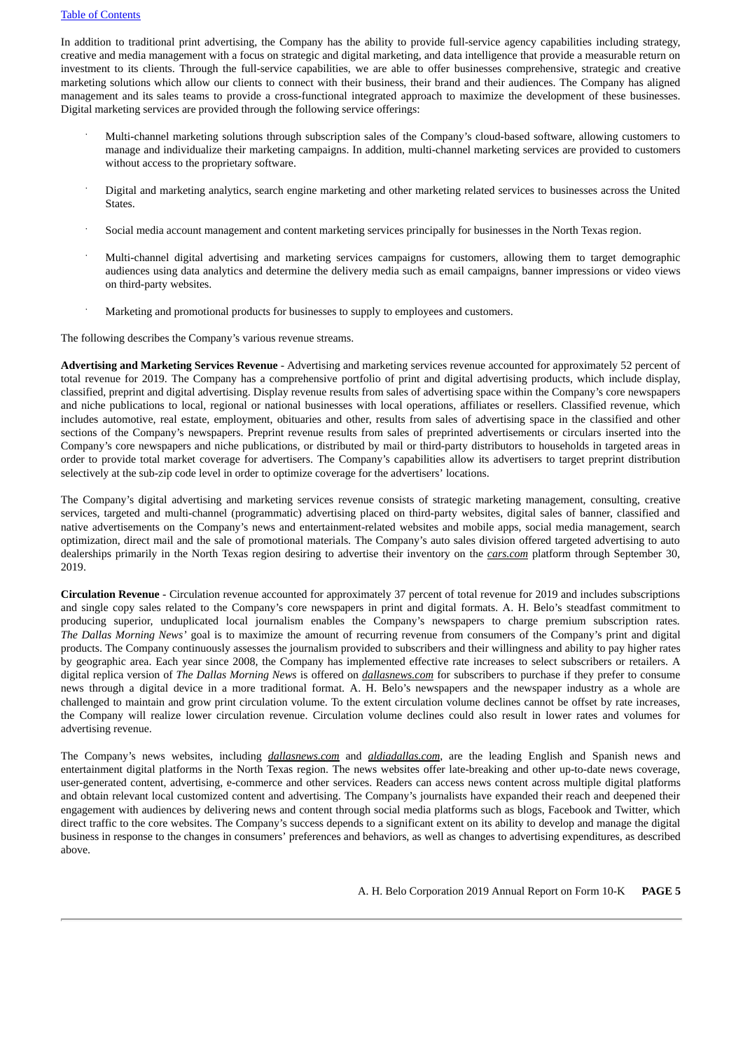In addition to traditional print advertising, the Company has the ability to provide full-service agency capabilities including strategy, creative and media management with a focus on strategic and digital marketing, and data intelligence that provide a measurable return on investment to its clients. Through the full-service capabilities, we are able to offer businesses comprehensive, strategic and creative marketing solutions which allow our clients to connect with their business, their brand and their audiences. The Company has aligned management and its sales teams to provide a cross-functional integrated approach to maximize the development of these businesses. Digital marketing services are provided through the following service offerings:

- · Multi-channel marketing solutions through subscription sales of the Company's cloud-based software, allowing customers to manage and individualize their marketing campaigns. In addition, multi-channel marketing services are provided to customers without access to the proprietary software.
- · Digital and marketing analytics, search engine marketing and other marketing related services to businesses across the United States.
- Social media account management and content marketing services principally for businesses in the North Texas region.
- · Multi-channel digital advertising and marketing services campaigns for customers, allowing them to target demographic audiences using data analytics and determine the delivery media such as email campaigns, banner impressions or video views on third-party websites.
- · Marketing and promotional products for businesses to supply to employees and customers.

The following describes the Company's various revenue streams.

**Advertising and Marketing Services Revenue** - Advertising and marketing services revenue accounted for approximately 52 percent of total revenue for 2019. The Company has a comprehensive portfolio of print and digital advertising products, which include display, classified, preprint and digital advertising. Display revenue results from sales of advertising space within the Company's core newspapers and niche publications to local, regional or national businesses with local operations, affiliates or resellers. Classified revenue, which includes automotive, real estate, employment, obituaries and other, results from sales of advertising space in the classified and other sections of the Company's newspapers. Preprint revenue results from sales of preprinted advertisements or circulars inserted into the Company's core newspapers and niche publications, or distributed by mail or third-party distributors to households in targeted areas in order to provide total market coverage for advertisers. The Company's capabilities allow its advertisers to target preprint distribution selectively at the sub-zip code level in order to optimize coverage for the advertisers' locations.

The Company's digital advertising and marketing services revenue consists of strategic marketing management, consulting, creative services, targeted and multi-channel (programmatic) advertising placed on third-party websites, digital sales of banner, classified and native advertisements on the Company's news and entertainment-related websites and mobile apps, social media management, search optimization, direct mail and the sale of promotional materials. The Company's auto sales division offered targeted advertising to auto dealerships primarily in the North Texas region desiring to advertise their inventory on the *cars.com* platform through September 30, 2019.

**Circulation Revenue** - Circulation revenue accounted for approximately 37 percent of total revenue for 2019 and includes subscriptions and single copy sales related to the Company's core newspapers in print and digital formats. A. H. Belo's steadfast commitment to producing superior, unduplicated local journalism enables the Company's newspapers to charge premium subscription rates*. The Dallas Morning News'* goal is to maximize the amount of recurring revenue from consumers of the Company's print and digital products. The Company continuously assesses the journalism provided to subscribers and their willingness and ability to pay higher rates by geographic area. Each year since 2008, the Company has implemented effective rate increases to select subscribers or retailers. A digital replica version of *The Dallas Morning News* is offered on *dallasnews.com* for subscribers to purchase if they prefer to consume news through a digital device in a more traditional format. A. H. Belo's newspapers and the newspaper industry as a whole are challenged to maintain and grow print circulation volume. To the extent circulation volume declines cannot be offset by rate increases, the Company will realize lower circulation revenue. Circulation volume declines could also result in lower rates and volumes for advertising revenue.

The Company's news websites, including *dallasnews.com* and *aldiadallas.com*, are the leading English and Spanish news and entertainment digital platforms in the North Texas region. The news websites offer late-breaking and other up-to-date news coverage, user-generated content, advertising, e-commerce and other services. Readers can access news content across multiple digital platforms and obtain relevant local customized content and advertising. The Company's journalists have expanded their reach and deepened their engagement with audiences by delivering news and content through social media platforms such as blogs, Facebook and Twitter, which direct traffic to the core websites. The Company's success depends to a significant extent on its ability to develop and manage the digital business in response to the changes in consumers' preferences and behaviors, as well as changes to advertising expenditures, as described above.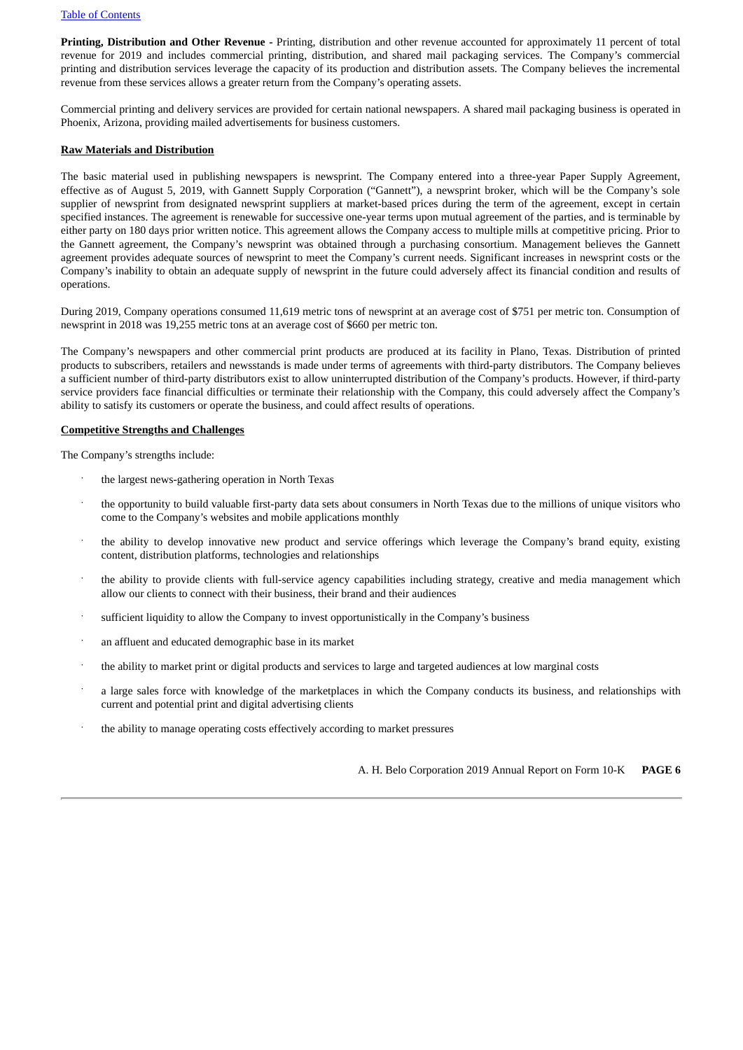**Printing, Distribution and Other Revenue -** Printing, distribution and other revenue accounted for approximately 11 percent of total revenue for 2019 and includes commercial printing, distribution, and shared mail packaging services. The Company's commercial printing and distribution services leverage the capacity of its production and distribution assets. The Company believes the incremental revenue from these services allows a greater return from the Company's operating assets.

Commercial printing and delivery services are provided for certain national newspapers. A shared mail packaging business is operated in Phoenix, Arizona, providing mailed advertisements for business customers.

#### **Raw Materials and Distribution**

The basic material used in publishing newspapers is newsprint. The Company entered into a three-year Paper Supply Agreement, effective as of August 5, 2019, with Gannett Supply Corporation ("Gannett"), a newsprint broker, which will be the Company's sole supplier of newsprint from designated newsprint suppliers at market-based prices during the term of the agreement, except in certain specified instances. The agreement is renewable for successive one-year terms upon mutual agreement of the parties, and is terminable by either party on 180 days prior written notice. This agreement allows the Company access to multiple mills at competitive pricing. Prior to the Gannett agreement, the Company's newsprint was obtained through a purchasing consortium. Management believes the Gannett agreement provides adequate sources of newsprint to meet the Company's current needs. Significant increases in newsprint costs or the Company's inability to obtain an adequate supply of newsprint in the future could adversely affect its financial condition and results of operations.

During 2019, Company operations consumed 11,619 metric tons of newsprint at an average cost of \$751 per metric ton. Consumption of newsprint in 2018 was 19,255 metric tons at an average cost of \$660 per metric ton.

The Company's newspapers and other commercial print products are produced at its facility in Plano, Texas. Distribution of printed products to subscribers, retailers and newsstands is made under terms of agreements with third-party distributors. The Company believes a sufficient number of third-party distributors exist to allow uninterrupted distribution of the Company's products. However, if third-party service providers face financial difficulties or terminate their relationship with the Company, this could adversely affect the Company's ability to satisfy its customers or operate the business, and could affect results of operations.

#### **Competitive Strengths and Challenges**

The Company's strengths include:

- the largest news-gathering operation in North Texas
- · the opportunity to build valuable first-party data sets about consumers in North Texas due to the millions of unique visitors who come to the Company's websites and mobile applications monthly
- · the ability to develop innovative new product and service offerings which leverage the Company's brand equity, existing content, distribution platforms, technologies and relationships
- the ability to provide clients with full-service agency capabilities including strategy, creative and media management which allow our clients to connect with their business, their brand and their audiences
- sufficient liquidity to allow the Company to invest opportunistically in the Company's business
- an affluent and educated demographic base in its market
- the ability to market print or digital products and services to large and targeted audiences at low marginal costs
- a large sales force with knowledge of the marketplaces in which the Company conducts its business, and relationships with current and potential print and digital advertising clients
- the ability to manage operating costs effectively according to market pressures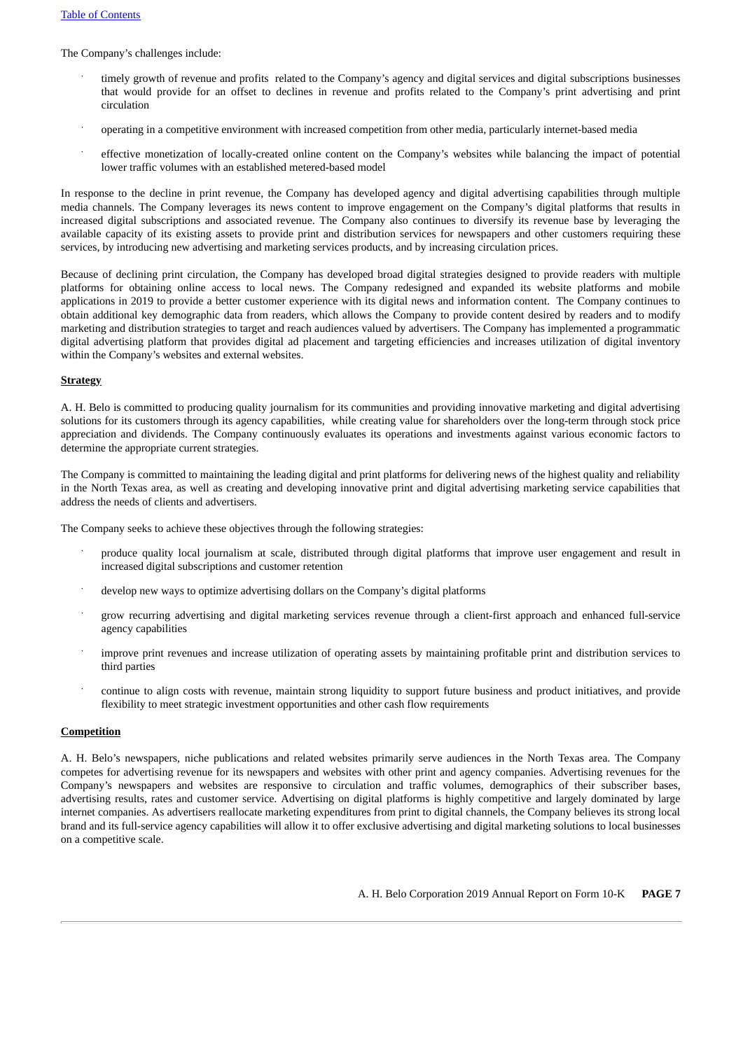The Company's challenges include:

- timely growth of revenue and profits related to the Company's agency and digital services and digital subscriptions businesses that would provide for an offset to declines in revenue and profits related to the Company's print advertising and print circulation
- · operating in a competitive environment with increased competition from other media, particularly internet-based media
- effective monetization of locally-created online content on the Company's websites while balancing the impact of potential lower traffic volumes with an established metered-based model

In response to the decline in print revenue, the Company has developed agency and digital advertising capabilities through multiple media channels. The Company leverages its news content to improve engagement on the Company's digital platforms that results in increased digital subscriptions and associated revenue. The Company also continues to diversify its revenue base by leveraging the available capacity of its existing assets to provide print and distribution services for newspapers and other customers requiring these services, by introducing new advertising and marketing services products, and by increasing circulation prices.

Because of declining print circulation, the Company has developed broad digital strategies designed to provide readers with multiple platforms for obtaining online access to local news. The Company redesigned and expanded its website platforms and mobile applications in 2019 to provide a better customer experience with its digital news and information content. The Company continues to obtain additional key demographic data from readers, which allows the Company to provide content desired by readers and to modify marketing and distribution strategies to target and reach audiences valued by advertisers. The Company has implemented a programmatic digital advertising platform that provides digital ad placement and targeting efficiencies and increases utilization of digital inventory within the Company's websites and external websites.

# **Strategy**

A. H. Belo is committed to producing quality journalism for its communities and providing innovative marketing and digital advertising solutions for its customers through its agency capabilities, while creating value for shareholders over the long-term through stock price appreciation and dividends. The Company continuously evaluates its operations and investments against various economic factors to determine the appropriate current strategies.

The Company is committed to maintaining the leading digital and print platforms for delivering news of the highest quality and reliability in the North Texas area, as well as creating and developing innovative print and digital advertising marketing service capabilities that address the needs of clients and advertisers.

The Company seeks to achieve these objectives through the following strategies:

- produce quality local journalism at scale, distributed through digital platforms that improve user engagement and result in increased digital subscriptions and customer retention
- develop new ways to optimize advertising dollars on the Company's digital platforms
- · grow recurring advertising and digital marketing services revenue through a client-first approach and enhanced full-service agency capabilities
- improve print revenues and increase utilization of operating assets by maintaining profitable print and distribution services to third parties
- · continue to align costs with revenue, maintain strong liquidity to support future business and product initiatives, and provide flexibility to meet strategic investment opportunities and other cash flow requirements

# **Competition**

A. H. Belo's newspapers, niche publications and related websites primarily serve audiences in the North Texas area. The Company competes for advertising revenue for its newspapers and websites with other print and agency companies. Advertising revenues for the Company's newspapers and websites are responsive to circulation and traffic volumes, demographics of their subscriber bases, advertising results, rates and customer service. Advertising on digital platforms is highly competitive and largely dominated by large internet companies. As advertisers reallocate marketing expenditures from print to digital channels, the Company believes its strong local brand and its full-service agency capabilities will allow it to offer exclusive advertising and digital marketing solutions to local businesses on a competitive scale.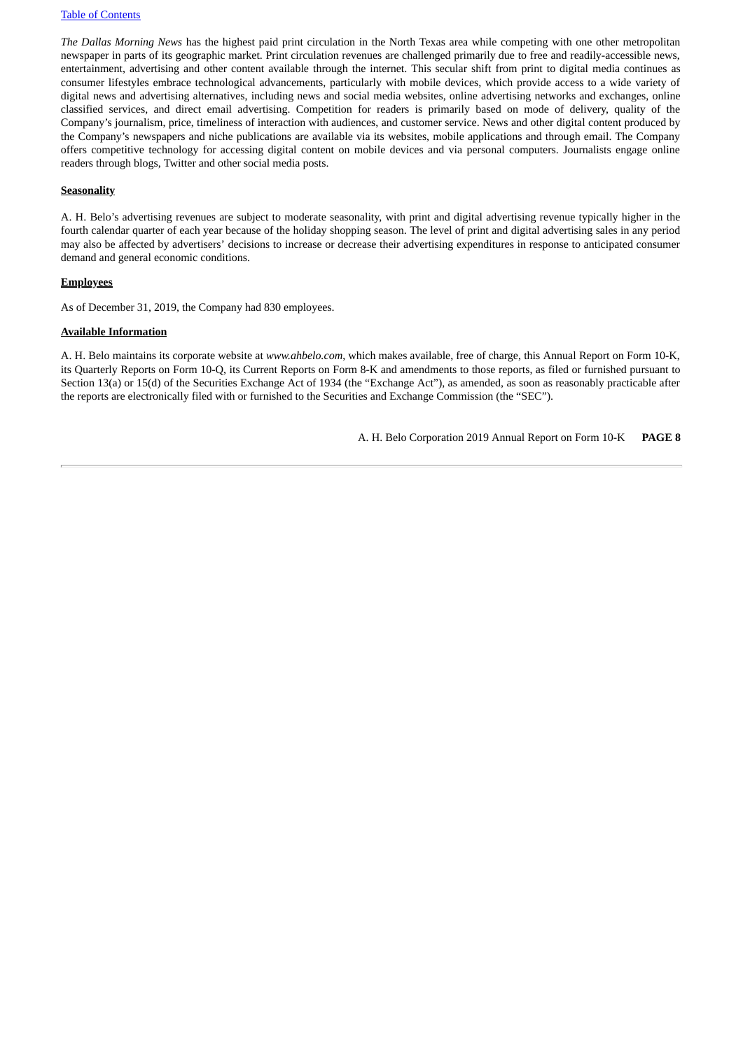*The Dallas Morning News* has the highest paid print circulation in the North Texas area while competing with one other metropolitan newspaper in parts of its geographic market. Print circulation revenues are challenged primarily due to free and readily-accessible news, entertainment, advertising and other content available through the internet. This secular shift from print to digital media continues as consumer lifestyles embrace technological advancements, particularly with mobile devices, which provide access to a wide variety of digital news and advertising alternatives, including news and social media websites, online advertising networks and exchanges, online classified services, and direct email advertising. Competition for readers is primarily based on mode of delivery, quality of the Company's journalism, price, timeliness of interaction with audiences, and customer service. News and other digital content produced by the Company's newspapers and niche publications are available via its websites, mobile applications and through email. The Company offers competitive technology for accessing digital content on mobile devices and via personal computers. Journalists engage online readers through blogs, Twitter and other social media posts.

## **Seasonality**

A. H. Belo's advertising revenues are subject to moderate seasonality, with print and digital advertising revenue typically higher in the fourth calendar quarter of each year because of the holiday shopping season. The level of print and digital advertising sales in any period may also be affected by advertisers' decisions to increase or decrease their advertising expenditures in response to anticipated consumer demand and general economic conditions.

#### **Employees**

As of December 31, 2019, the Company had 830 employees.

#### **Available Information**

A. H. Belo maintains its corporate website at *www.ahbelo.com*, which makes available, free of charge, this Annual Report on Form 10-K, its Quarterly Reports on Form 10-Q, its Current Reports on Form 8-K and amendments to those reports, as filed or furnished pursuant to Section 13(a) or 15(d) of the Securities Exchange Act of 1934 (the "Exchange Act"), as amended, as soon as reasonably practicable after the reports are electronically filed with or furnished to the Securities and Exchange Commission (the "SEC").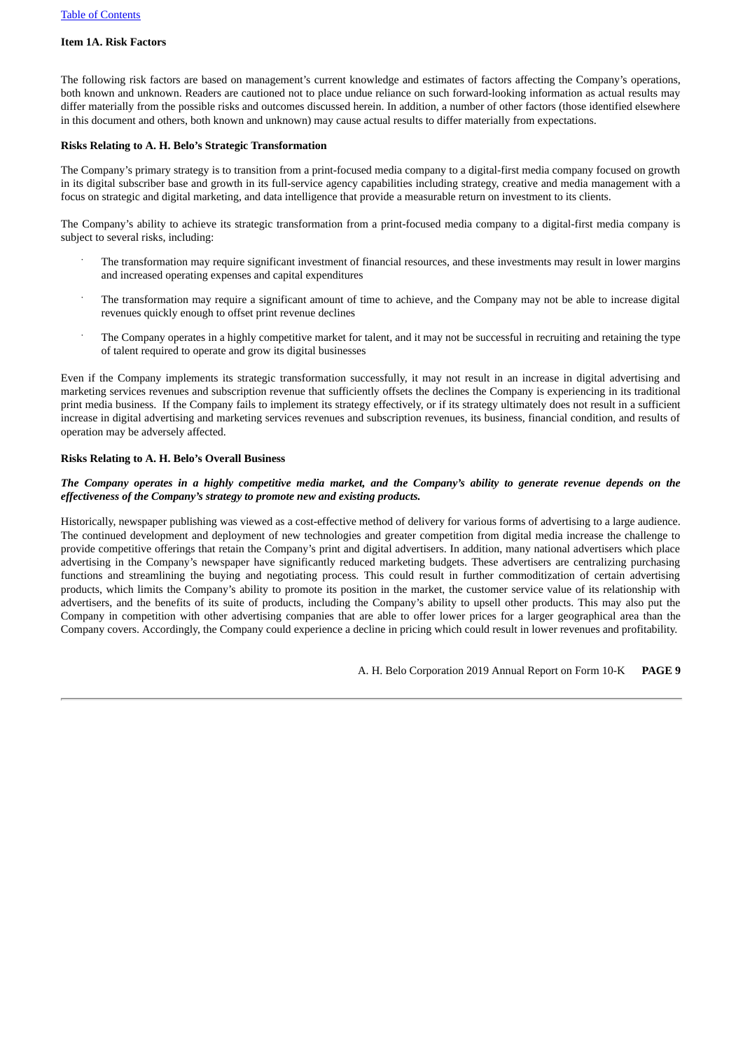# <span id="page-8-1"></span><span id="page-8-0"></span>**Item 1A. Risk Factors**

The following risk factors are based on management's current knowledge and estimates of factors affecting the Company's operations, both known and unknown. Readers are cautioned not to place undue reliance on such forward-looking information as actual results may differ materially from the possible risks and outcomes discussed herein. In addition, a number of other factors (those identified elsewhere in this document and others, both known and unknown) may cause actual results to differ materially from expectations.

#### **Risks Relating to A. H. Belo's Strategic Transformation**

The Company's primary strategy is to transition from a print-focused media company to a digital-first media company focused on growth in its digital subscriber base and growth in its full-service agency capabilities including strategy, creative and media management with a focus on strategic and digital marketing, and data intelligence that provide a measurable return on investment to its clients.

The Company's ability to achieve its strategic transformation from a print-focused media company to a digital-first media company is subject to several risks, including:

- The transformation may require significant investment of financial resources, and these investments may result in lower margins and increased operating expenses and capital expenditures
- The transformation may require a significant amount of time to achieve, and the Company may not be able to increase digital revenues quickly enough to offset print revenue declines
- The Company operates in a highly competitive market for talent, and it may not be successful in recruiting and retaining the type of talent required to operate and grow its digital businesses

Even if the Company implements its strategic transformation successfully, it may not result in an increase in digital advertising and marketing services revenues and subscription revenue that sufficiently offsets the declines the Company is experiencing in its traditional print media business. If the Company fails to implement its strategy effectively, or if its strategy ultimately does not result in a sufficient increase in digital advertising and marketing services revenues and subscription revenues, its business, financial condition, and results of operation may be adversely affected.

#### **Risks Relating to A. H. Belo's Overall Business**

# The Company operates in a highly competitive media market, and the Company's ability to generate revenue depends on the *effectiveness of the Company's strategy to promote new and existing products.*

Historically, newspaper publishing was viewed as a cost-effective method of delivery for various forms of advertising to a large audience. The continued development and deployment of new technologies and greater competition from digital media increase the challenge to provide competitive offerings that retain the Company's print and digital advertisers. In addition, many national advertisers which place advertising in the Company's newspaper have significantly reduced marketing budgets. These advertisers are centralizing purchasing functions and streamlining the buying and negotiating process. This could result in further commoditization of certain advertising products, which limits the Company's ability to promote its position in the market, the customer service value of its relationship with advertisers, and the benefits of its suite of products, including the Company's ability to upsell other products. This may also put the Company in competition with other advertising companies that are able to offer lower prices for a larger geographical area than the Company covers. Accordingly, the Company could experience a decline in pricing which could result in lower revenues and profitability.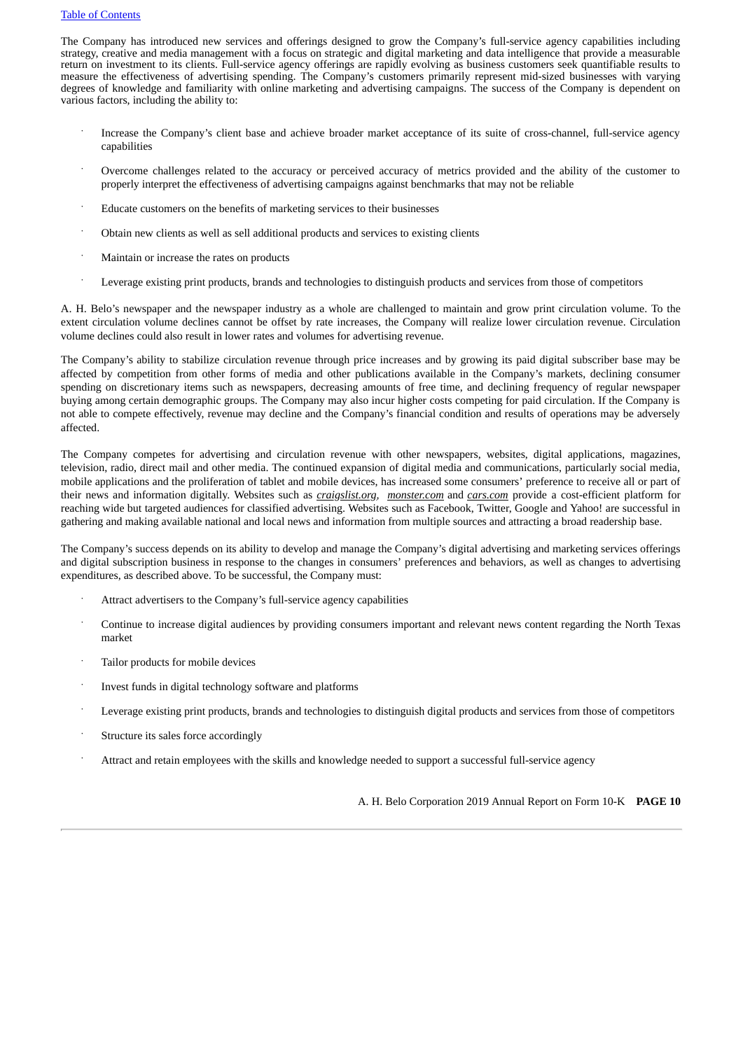The Company has introduced new services and offerings designed to grow the Company's full-service agency capabilities including strategy, creative and media management with a focus on strategic and digital marketing and data intelligence that provide a measurable return on investment to its clients. Full-service agency offerings are rapidly evolving as business customers seek quantifiable results to measure the effectiveness of advertising spending. The Company's customers primarily represent mid-sized businesses with varying degrees of knowledge and familiarity with online marketing and advertising campaigns. The success of the Company is dependent on various factors, including the ability to:

- Increase the Company's client base and achieve broader market acceptance of its suite of cross-channel, full-service agency capabilities
- · Overcome challenges related to the accuracy or perceived accuracy of metrics provided and the ability of the customer to properly interpret the effectiveness of advertising campaigns against benchmarks that may not be reliable
- Educate customers on the benefits of marketing services to their businesses
- · Obtain new clients as well as sell additional products and services to existing clients
- Maintain or increase the rates on products
- Leverage existing print products, brands and technologies to distinguish products and services from those of competitors

A. H. Belo's newspaper and the newspaper industry as a whole are challenged to maintain and grow print circulation volume. To the extent circulation volume declines cannot be offset by rate increases, the Company will realize lower circulation revenue. Circulation volume declines could also result in lower rates and volumes for advertising revenue.

The Company's ability to stabilize circulation revenue through price increases and by growing its paid digital subscriber base may be affected by competition from other forms of media and other publications available in the Company's markets, declining consumer spending on discretionary items such as newspapers, decreasing amounts of free time, and declining frequency of regular newspaper buying among certain demographic groups. The Company may also incur higher costs competing for paid circulation. If the Company is not able to compete effectively, revenue may decline and the Company's financial condition and results of operations may be adversely affected.

The Company competes for advertising and circulation revenue with other newspapers, websites, digital applications, magazines, television, radio, direct mail and other media. The continued expansion of digital media and communications, particularly social media, mobile applications and the proliferation of tablet and mobile devices, has increased some consumers' preference to receive all or part of their news and information digitally. Websites such as *craigslist.org, monster.com* and *cars.com* provide a cost-efficient platform for reaching wide but targeted audiences for classified advertising. Websites such as Facebook, Twitter, Google and Yahoo! are successful in gathering and making available national and local news and information from multiple sources and attracting a broad readership base.

The Company's success depends on its ability to develop and manage the Company's digital advertising and marketing services offerings and digital subscription business in response to the changes in consumers' preferences and behaviors, as well as changes to advertising expenditures, as described above. To be successful, the Company must:

- Attract advertisers to the Company's full-service agency capabilities
- Continue to increase digital audiences by providing consumers important and relevant news content regarding the North Texas market
- Tailor products for mobile devices
- Invest funds in digital technology software and platforms
- Leverage existing print products, brands and technologies to distinguish digital products and services from those of competitors
- Structure its sales force accordingly
- Attract and retain employees with the skills and knowledge needed to support a successful full-service agency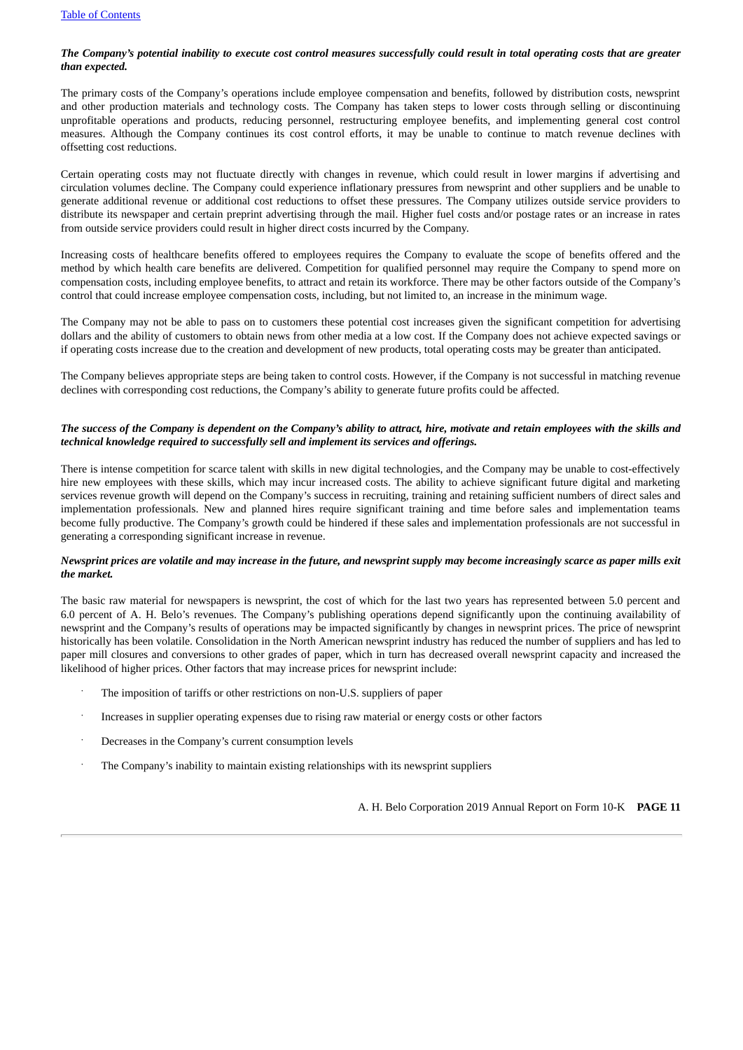# The Company's potential inability to execute cost control measures successfully could result in total operating costs that are greater *than expected.*

The primary costs of the Company's operations include employee compensation and benefits, followed by distribution costs, newsprint and other production materials and technology costs. The Company has taken steps to lower costs through selling or discontinuing unprofitable operations and products, reducing personnel, restructuring employee benefits, and implementing general cost control measures. Although the Company continues its cost control efforts, it may be unable to continue to match revenue declines with offsetting cost reductions.

Certain operating costs may not fluctuate directly with changes in revenue, which could result in lower margins if advertising and circulation volumes decline. The Company could experience inflationary pressures from newsprint and other suppliers and be unable to generate additional revenue or additional cost reductions to offset these pressures. The Company utilizes outside service providers to distribute its newspaper and certain preprint advertising through the mail. Higher fuel costs and/or postage rates or an increase in rates from outside service providers could result in higher direct costs incurred by the Company.

Increasing costs of healthcare benefits offered to employees requires the Company to evaluate the scope of benefits offered and the method by which health care benefits are delivered. Competition for qualified personnel may require the Company to spend more on compensation costs, including employee benefits, to attract and retain its workforce. There may be other factors outside of the Company's control that could increase employee compensation costs, including, but not limited to, an increase in the minimum wage.

The Company may not be able to pass on to customers these potential cost increases given the significant competition for advertising dollars and the ability of customers to obtain news from other media at a low cost. If the Company does not achieve expected savings or if operating costs increase due to the creation and development of new products, total operating costs may be greater than anticipated.

The Company believes appropriate steps are being taken to control costs. However, if the Company is not successful in matching revenue declines with corresponding cost reductions, the Company's ability to generate future profits could be affected.

# The success of the Company is dependent on the Company's ability to attract, hire, motivate and retain employees with the skills and *technical knowledge required to successfully sell and implement its services and offerings.*

There is intense competition for scarce talent with skills in new digital technologies, and the Company may be unable to cost-effectively hire new employees with these skills, which may incur increased costs. The ability to achieve significant future digital and marketing services revenue growth will depend on the Company's success in recruiting, training and retaining sufficient numbers of direct sales and implementation professionals. New and planned hires require significant training and time before sales and implementation teams become fully productive. The Company's growth could be hindered if these sales and implementation professionals are not successful in generating a corresponding significant increase in revenue.

# Newsprint prices are volatile and may increase in the future, and newsprint supply may become increasingly scarce as paper mills exit *the market.*

The basic raw material for newspapers is newsprint, the cost of which for the last two years has represented between 5.0 percent and 6.0 percent of A. H. Belo's revenues. The Company's publishing operations depend significantly upon the continuing availability of newsprint and the Company's results of operations may be impacted significantly by changes in newsprint prices. The price of newsprint historically has been volatile. Consolidation in the North American newsprint industry has reduced the number of suppliers and has led to paper mill closures and conversions to other grades of paper, which in turn has decreased overall newsprint capacity and increased the likelihood of higher prices. Other factors that may increase prices for newsprint include:

- The imposition of tariffs or other restrictions on non-U.S. suppliers of paper
- Increases in supplier operating expenses due to rising raw material or energy costs or other factors
- Decreases in the Company's current consumption levels
- · The Company's inability to maintain existing relationships with its newsprint suppliers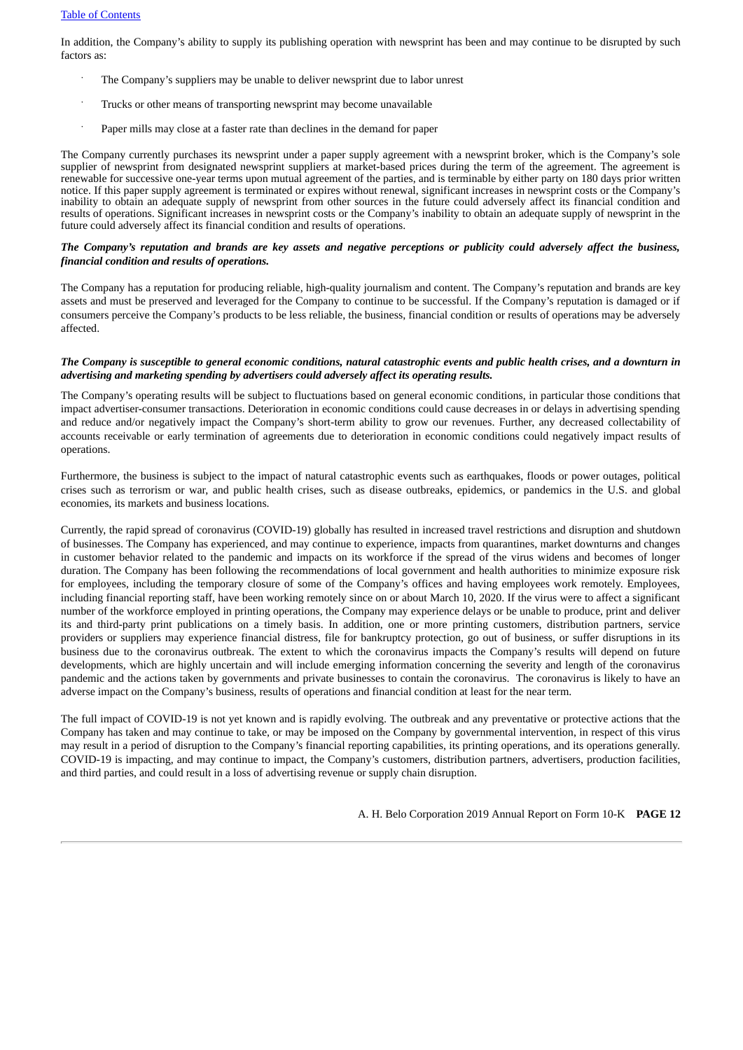In addition, the Company's ability to supply its publishing operation with newsprint has been and may continue to be disrupted by such factors as:

- The Company's suppliers may be unable to deliver newsprint due to labor unrest
- · Trucks or other means of transporting newsprint may become unavailable
- Paper mills may close at a faster rate than declines in the demand for paper

The Company currently purchases its newsprint under a paper supply agreement with a newsprint broker, which is the Company's sole supplier of newsprint from designated newsprint suppliers at market-based prices during the term of the agreement. The agreement is renewable for successive one-year terms upon mutual agreement of the parties, and is terminable by either party on 180 days prior written notice. If this paper supply agreement is terminated or expires without renewal, significant increases in newsprint costs or the Company's inability to obtain an adequate supply of newsprint from other sources in the future could adversely affect its financial condition and results of operations. Significant increases in newsprint costs or the Company's inability to obtain an adequate supply of newsprint in the future could adversely affect its financial condition and results of operations.

### The Company's reputation and brands are key assets and negative perceptions or publicity could adversely affect the business, *financial condition and results of operations.*

The Company has a reputation for producing reliable, high-quality journalism and content. The Company's reputation and brands are key assets and must be preserved and leveraged for the Company to continue to be successful. If the Company's reputation is damaged or if consumers perceive the Company's products to be less reliable, the business, financial condition or results of operations may be adversely affected.

#### The Company is susceptible to general economic conditions, natural catastrophic events and public health crises, and a downturn in *advertising and marketing spending by advertisers could adversely affect its operating results.*

The Company's operating results will be subject to fluctuations based on general economic conditions, in particular those conditions that impact advertiser-consumer transactions. Deterioration in economic conditions could cause decreases in or delays in advertising spending and reduce and/or negatively impact the Company's short-term ability to grow our revenues. Further, any decreased collectability of accounts receivable or early termination of agreements due to deterioration in economic conditions could negatively impact results of operations.

Furthermore, the business is subject to the impact of natural catastrophic events such as earthquakes, floods or power outages, political crises such as terrorism or war, and public health crises, such as disease outbreaks, epidemics, or pandemics in the U.S. and global economies, its markets and business locations.

Currently, the rapid spread of coronavirus (COVID-19) globally has resulted in increased travel restrictions and disruption and shutdown of businesses. The Company has experienced, and may continue to experience, impacts from quarantines, market downturns and changes in customer behavior related to the pandemic and impacts on its workforce if the spread of the virus widens and becomes of longer duration. The Company has been following the recommendations of local government and health authorities to minimize exposure risk for employees, including the temporary closure of some of the Company's offices and having employees work remotely. Employees, including financial reporting staff, have been working remotely since on or about March 10, 2020. If the virus were to affect a significant number of the workforce employed in printing operations, the Company may experience delays or be unable to produce, print and deliver its and third-party print publications on a timely basis. In addition, one or more printing customers, distribution partners, service providers or suppliers may experience financial distress, file for bankruptcy protection, go out of business, or suffer disruptions in its business due to the coronavirus outbreak. The extent to which the coronavirus impacts the Company's results will depend on future developments, which are highly uncertain and will include emerging information concerning the severity and length of the coronavirus pandemic and the actions taken by governments and private businesses to contain the coronavirus. The coronavirus is likely to have an adverse impact on the Company's business, results of operations and financial condition at least for the near term.

The full impact of COVID-19 is not yet known and is rapidly evolving. The outbreak and any preventative or protective actions that the Company has taken and may continue to take, or may be imposed on the Company by governmental intervention, in respect of this virus may result in a period of disruption to the Company's financial reporting capabilities, its printing operations, and its operations generally. COVID-19 is impacting, and may continue to impact, the Company's customers, distribution partners, advertisers, production facilities, and third parties, and could result in a loss of advertising revenue or supply chain disruption.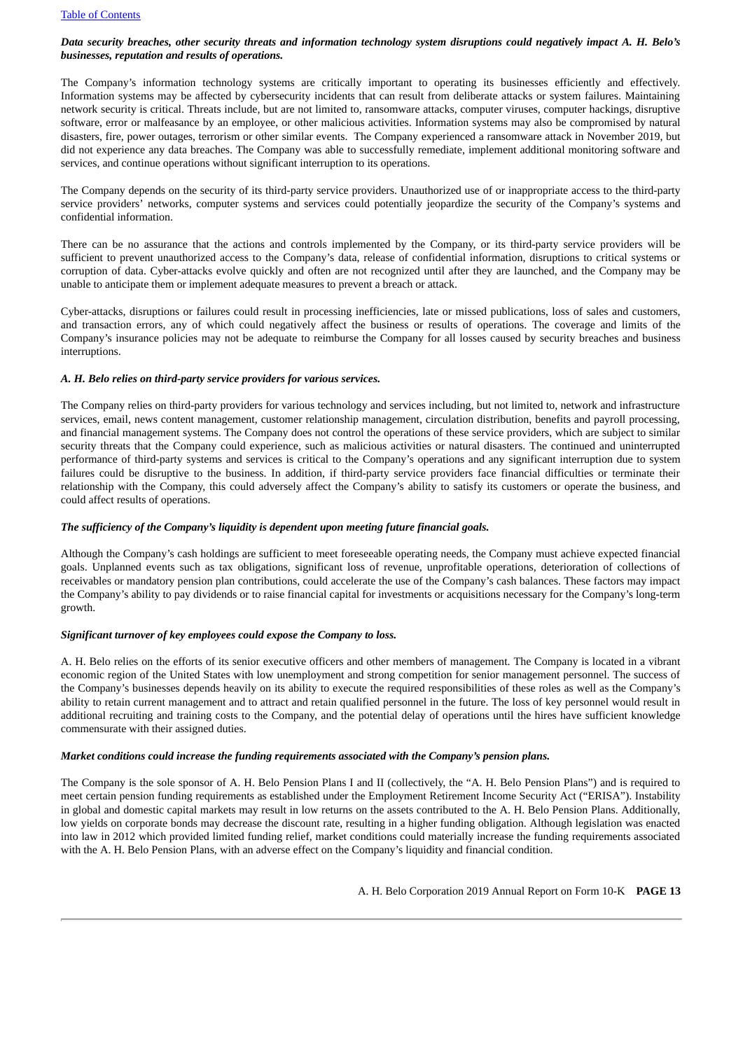# Data security breaches, other security threats and information technology system disruptions could negatively impact A. H. Belo's *businesses, reputation and results of operations.*

The Company's information technology systems are critically important to operating its businesses efficiently and effectively. Information systems may be affected by cybersecurity incidents that can result from deliberate attacks or system failures. Maintaining network security is critical. Threats include, but are not limited to, ransomware attacks, computer viruses, computer hackings, disruptive software, error or malfeasance by an employee, or other malicious activities. Information systems may also be compromised by natural disasters, fire, power outages, terrorism or other similar events. The Company experienced a ransomware attack in November 2019, but did not experience any data breaches. The Company was able to successfully remediate, implement additional monitoring software and services, and continue operations without significant interruption to its operations.

The Company depends on the security of its third-party service providers. Unauthorized use of or inappropriate access to the third-party service providers' networks, computer systems and services could potentially jeopardize the security of the Company's systems and confidential information.

There can be no assurance that the actions and controls implemented by the Company, or its third-party service providers will be sufficient to prevent unauthorized access to the Company's data, release of confidential information, disruptions to critical systems or corruption of data. Cyber-attacks evolve quickly and often are not recognized until after they are launched, and the Company may be unable to anticipate them or implement adequate measures to prevent a breach or attack.

Cyber-attacks, disruptions or failures could result in processing inefficiencies, late or missed publications, loss of sales and customers, and transaction errors, any of which could negatively affect the business or results of operations. The coverage and limits of the Company's insurance policies may not be adequate to reimburse the Company for all losses caused by security breaches and business interruptions.

# *A. H. Belo relies on third-party service providers for various services.*

The Company relies on third-party providers for various technology and services including, but not limited to, network and infrastructure services, email, news content management, customer relationship management, circulation distribution, benefits and payroll processing, and financial management systems. The Company does not control the operations of these service providers, which are subject to similar security threats that the Company could experience, such as malicious activities or natural disasters. The continued and uninterrupted performance of third-party systems and services is critical to the Company's operations and any significant interruption due to system failures could be disruptive to the business. In addition, if third-party service providers face financial difficulties or terminate their relationship with the Company, this could adversely affect the Company's ability to satisfy its customers or operate the business, and could affect results of operations.

# *The sufficiency of the Company's liquidity is dependent upon meeting future financial goals.*

Although the Company's cash holdings are sufficient to meet foreseeable operating needs, the Company must achieve expected financial goals. Unplanned events such as tax obligations, significant loss of revenue, unprofitable operations, deterioration of collections of receivables or mandatory pension plan contributions, could accelerate the use of the Company's cash balances. These factors may impact the Company's ability to pay dividends or to raise financial capital for investments or acquisitions necessary for the Company's long-term growth.

# *Significant turnover of key employees could expose the Company to loss.*

A. H. Belo relies on the efforts of its senior executive officers and other members of management. The Company is located in a vibrant economic region of the United States with low unemployment and strong competition for senior management personnel. The success of the Company's businesses depends heavily on its ability to execute the required responsibilities of these roles as well as the Company's ability to retain current management and to attract and retain qualified personnel in the future. The loss of key personnel would result in additional recruiting and training costs to the Company, and the potential delay of operations until the hires have sufficient knowledge commensurate with their assigned duties.

# *Market conditions could increase the funding requirements associated with the Company's pension plans.*

The Company is the sole sponsor of A. H. Belo Pension Plans I and II (collectively, the "A. H. Belo Pension Plans") and is required to meet certain pension funding requirements as established under the Employment Retirement Income Security Act ("ERISA"). Instability in global and domestic capital markets may result in low returns on the assets contributed to the A. H. Belo Pension Plans. Additionally, low yields on corporate bonds may decrease the discount rate, resulting in a higher funding obligation. Although legislation was enacted into law in 2012 which provided limited funding relief, market conditions could materially increase the funding requirements associated with the A. H. Belo Pension Plans, with an adverse effect on the Company's liquidity and financial condition.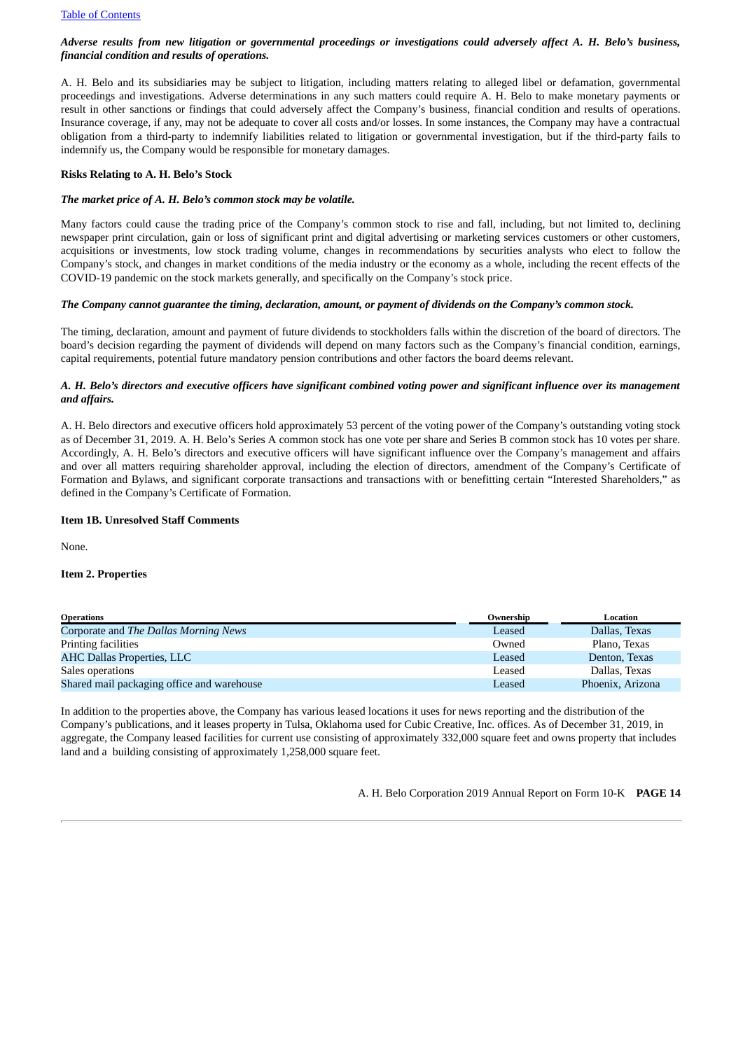# Adverse results from new litigation or governmental proceedings or investigations could adversely affect A, H, Belo's business, *financial condition and results of operations.*

A. H. Belo and its subsidiaries may be subject to litigation, including matters relating to alleged libel or defamation, governmental proceedings and investigations. Adverse determinations in any such matters could require A. H. Belo to make monetary payments or result in other sanctions or findings that could adversely affect the Company's business, financial condition and results of operations. Insurance coverage, if any, may not be adequate to cover all costs and/or losses. In some instances, the Company may have a contractual obligation from a third-party to indemnify liabilities related to litigation or governmental investigation, but if the third-party fails to indemnify us, the Company would be responsible for monetary damages.

## **Risks Relating to A. H. Belo's Stock**

## *The market price of A. H. Belo's common stock may be volatile.*

Many factors could cause the trading price of the Company's common stock to rise and fall, including, but not limited to, declining newspaper print circulation, gain or loss of significant print and digital advertising or marketing services customers or other customers, acquisitions or investments, low stock trading volume, changes in recommendations by securities analysts who elect to follow the Company's stock, and changes in market conditions of the media industry or the economy as a whole, including the recent effects of the COVID-19 pandemic on the stock markets generally, and specifically on the Company's stock price.

### The Company cannot quarantee the timing, declaration, amount, or payment of dividends on the Company's common stock.

The timing, declaration, amount and payment of future dividends to stockholders falls within the discretion of the board of directors. The board's decision regarding the payment of dividends will depend on many factors such as the Company's financial condition, earnings, capital requirements, potential future mandatory pension contributions and other factors the board deems relevant.

# A. H. Belo's directors and executive officers have significant combined voting power and significant influence over its management *and affairs.*

A. H. Belo directors and executive officers hold approximately 53 percent of the voting power of the Company's outstanding voting stock as of December 31, 2019. A. H. Belo's Series A common stock has one vote per share and Series B common stock has 10 votes per share. Accordingly, A. H. Belo's directors and executive officers will have significant influence over the Company's management and affairs and over all matters requiring shareholder approval, including the election of directors, amendment of the Company's Certificate of Formation and Bylaws, and significant corporate transactions and transactions with or benefitting certain "Interested Shareholders," as defined in the Company's Certificate of Formation.

# <span id="page-13-0"></span>**Item 1B. Unresolved Staff Comments**

None.

# <span id="page-13-1"></span>**Item 2. Properties**

| <b>Operations</b>                          | Ownership | Location         |
|--------------------------------------------|-----------|------------------|
| Corporate and The Dallas Morning News      | Leased    | Dallas, Texas    |
| Printing facilities                        | Owned     | Plano, Texas     |
| <b>AHC Dallas Properties, LLC</b>          | Leased    | Denton, Texas    |
| Sales operations                           | Leased    | Dallas, Texas    |
| Shared mail packaging office and warehouse | Leased    | Phoenix, Arizona |

In addition to the properties above, the Company has various leased locations it uses for news reporting and the distribution of the Company's publications, and it leases property in Tulsa, Oklahoma used for Cubic Creative, Inc. offices. As of December 31, 2019, in aggregate, the Company leased facilities for current use consisting of approximately 332,000 square feet and owns property that includes land and a building consisting of approximately 1,258,000 square feet.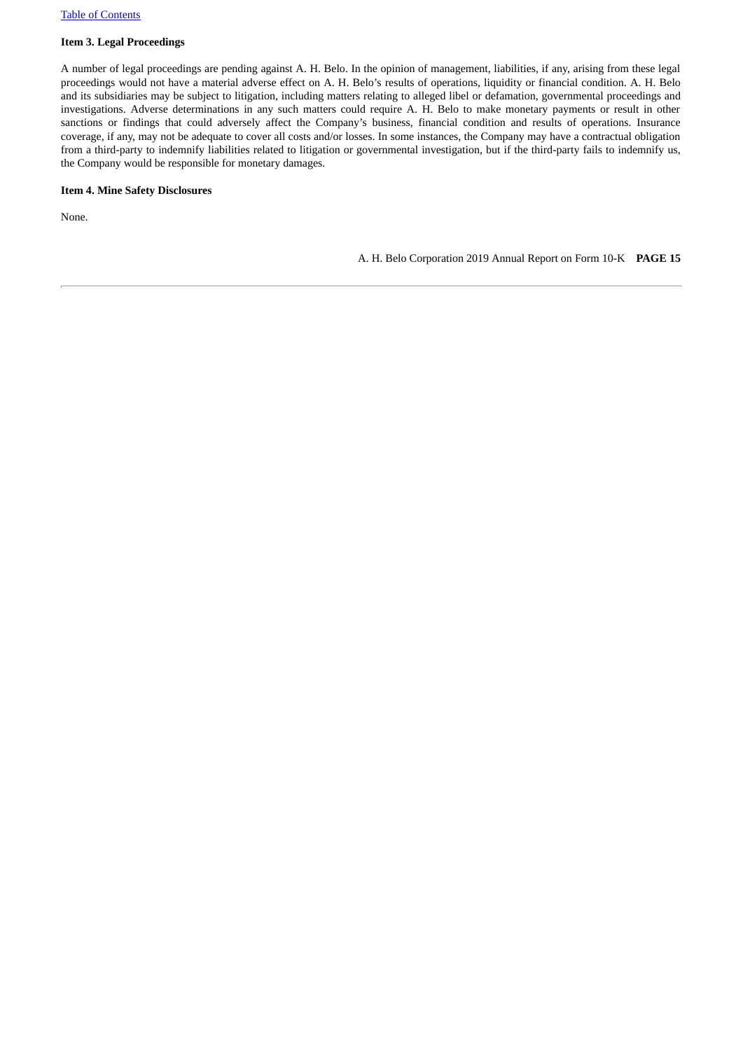# <span id="page-14-0"></span>**Item 3. Legal Proceedings**

A number of legal proceedings are pending against A. H. Belo. In the opinion of management, liabilities, if any, arising from these legal proceedings would not have a material adverse effect on A. H. Belo's results of operations, liquidity or financial condition. A. H. Belo and its subsidiaries may be subject to litigation, including matters relating to alleged libel or defamation, governmental proceedings and investigations. Adverse determinations in any such matters could require A. H. Belo to make monetary payments or result in other sanctions or findings that could adversely affect the Company's business, financial condition and results of operations. Insurance coverage, if any, may not be adequate to cover all costs and/or losses. In some instances, the Company may have a contractual obligation from a third-party to indemnify liabilities related to litigation or governmental investigation, but if the third-party fails to indemnify us, the Company would be responsible for monetary damages.

# <span id="page-14-1"></span>**Item 4. Mine Safety Disclosures**

None.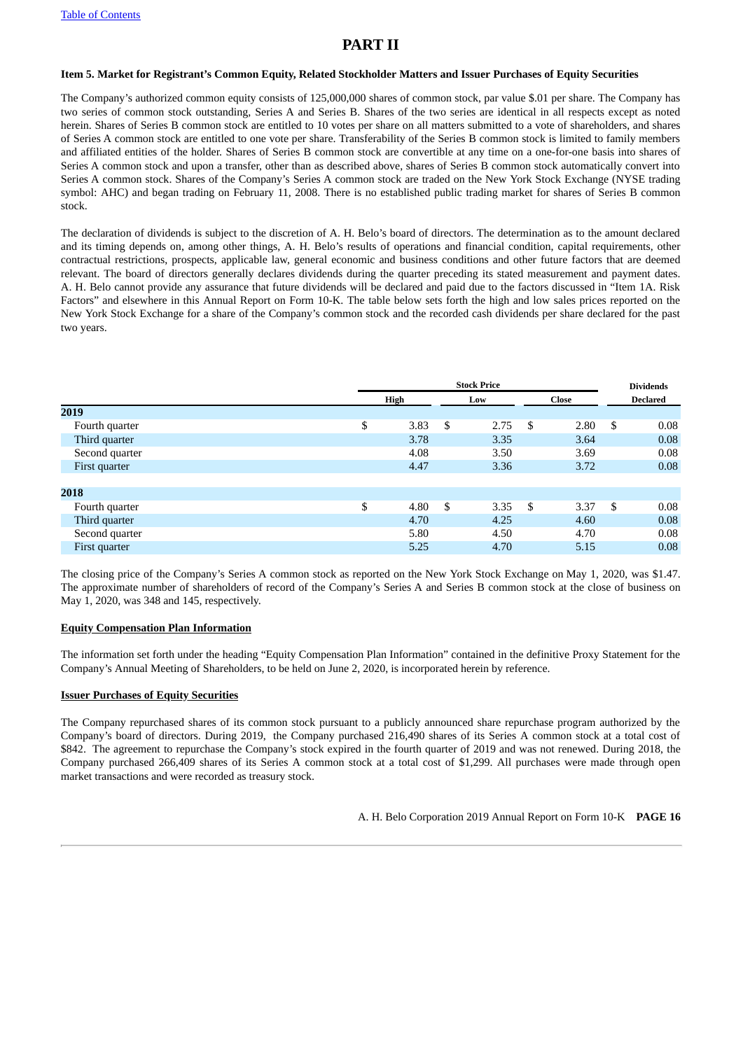# **PART II**

# <span id="page-15-1"></span><span id="page-15-0"></span>Item 5. Market for Registrant's Common Equity, Related Stockholder Matters and Issuer Purchases of Equity Securities

The Company's authorized common equity consists of 125,000,000 shares of common stock, par value \$.01 per share. The Company has two series of common stock outstanding, Series A and Series B. Shares of the two series are identical in all respects except as noted herein. Shares of Series B common stock are entitled to 10 votes per share on all matters submitted to a vote of shareholders, and shares of Series A common stock are entitled to one vote per share. Transferability of the Series B common stock is limited to family members and affiliated entities of the holder. Shares of Series B common stock are convertible at any time on a one-for-one basis into shares of Series A common stock and upon a transfer, other than as described above, shares of Series B common stock automatically convert into Series A common stock. Shares of the Company's Series A common stock are traded on the New York Stock Exchange (NYSE trading symbol: AHC) and began trading on February 11, 2008. There is no established public trading market for shares of Series B common stock.

The declaration of dividends is subject to the discretion of A. H. Belo's board of directors. The determination as to the amount declared and its timing depends on, among other things, A. H. Belo's results of operations and financial condition, capital requirements, other contractual restrictions, prospects, applicable law, general economic and business conditions and other future factors that are deemed relevant. The board of directors generally declares dividends during the quarter preceding its stated measurement and payment dates. A. H. Belo cannot provide any assurance that future dividends will be declared and paid due to the factors discussed in "Item 1A. Risk Factors" and elsewhere in this Annual Report on Form 10-K. The table below sets forth the high and low sales prices reported on the New York Stock Exchange for a share of the Company's common stock and the recorded cash dividends per share declared for the past two years.

|                |    | <b>Stock Price</b> |    |      |   |              | <b>Dividends</b> |                 |
|----------------|----|--------------------|----|------|---|--------------|------------------|-----------------|
|                |    | High               |    | Low  |   | <b>Close</b> |                  | <b>Declared</b> |
| 2019           |    |                    |    |      |   |              |                  |                 |
| Fourth quarter | \$ | 3.83               | \$ | 2.75 | S | 2.80         | \$               | 0.08            |
| Third quarter  |    | 3.78               |    | 3.35 |   | 3.64         |                  | 0.08            |
| Second quarter |    | 4.08               |    | 3.50 |   | 3.69         |                  | 0.08            |
| First quarter  |    | 4.47               |    | 3.36 |   | 3.72         |                  | 0.08            |
|                |    |                    |    |      |   |              |                  |                 |
| 2018           |    |                    |    |      |   |              |                  |                 |
| Fourth quarter | \$ | 4.80               | \$ | 3.35 | S | 3.37         | \$               | 0.08            |
| Third quarter  |    | 4.70               |    | 4.25 |   | 4.60         |                  | 0.08            |
| Second quarter |    | 5.80               |    | 4.50 |   | 4.70         |                  | 0.08            |
| First quarter  |    | 5.25               |    | 4.70 |   | 5.15         |                  | 0.08            |

The closing price of the Company's Series A common stock as reported on the New York Stock Exchange on May 1, 2020, was \$1.47. The approximate number of shareholders of record of the Company's Series A and Series B common stock at the close of business on May 1, 2020, was 348 and 145, respectively.

# **Equity Compensation Plan Information**

The information set forth under the heading "Equity Compensation Plan Information" contained in the definitive Proxy Statement for the Company's Annual Meeting of Shareholders, to be held on June 2, 2020, is incorporated herein by reference.

#### **Issuer Purchases of Equity Securities**

The Company repurchased shares of its common stock pursuant to a publicly announced share repurchase program authorized by the Company's board of directors. During 2019, the Company purchased 216,490 shares of its Series A common stock at a total cost of \$842. The agreement to repurchase the Company's stock expired in the fourth quarter of 2019 and was not renewed. During 2018, the Company purchased 266,409 shares of its Series A common stock at a total cost of \$1,299. All purchases were made through open market transactions and were recorded as treasury stock.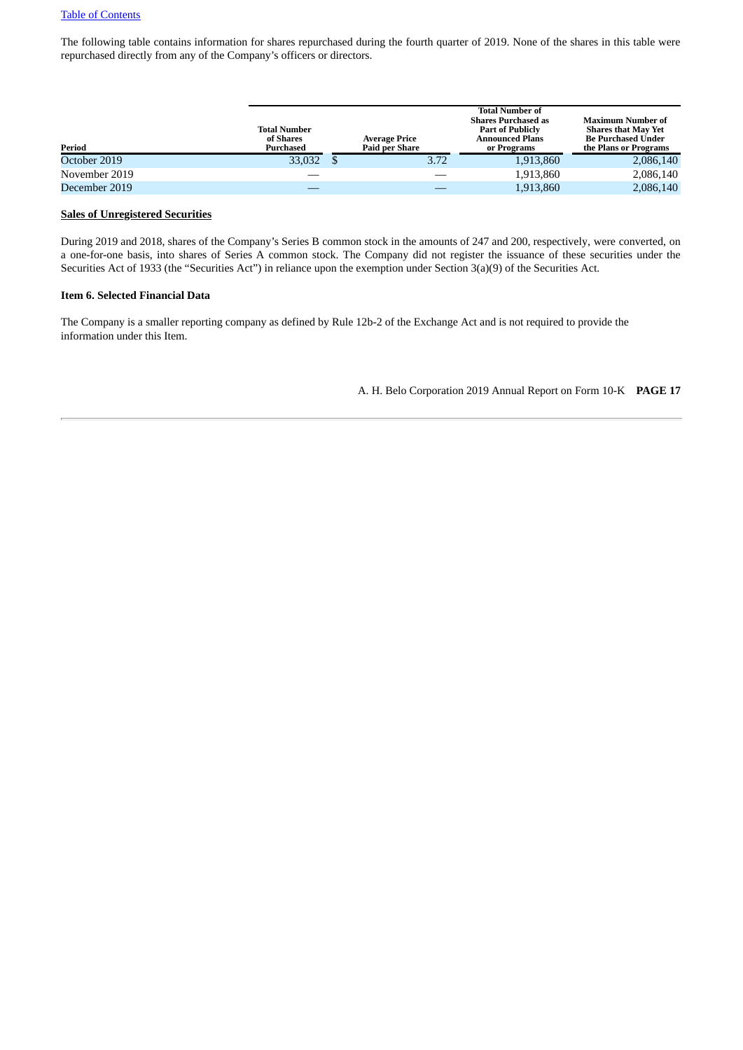The following table contains information for shares repurchased during the fourth quarter of 2019. None of the shares in this table were repurchased directly from any of the Company's officers or directors.

| Period        | <b>Total Number</b><br>of Shares<br>Purchased | <b>Average Price</b><br>Paid per Share | <b>Total Number of</b><br><b>Shares Purchased as</b><br><b>Part of Publicly</b><br><b>Announced Plans</b><br>or Programs | <b>Maximum Number of</b><br><b>Shares that May Yet</b><br><b>Be Purchased Under</b><br>the Plans or Programs |
|---------------|-----------------------------------------------|----------------------------------------|--------------------------------------------------------------------------------------------------------------------------|--------------------------------------------------------------------------------------------------------------|
| October 2019  | 33,032                                        | 3.72                                   | 1,913,860                                                                                                                | 2,086,140                                                                                                    |
| November 2019 |                                               |                                        | 1,913,860                                                                                                                | 2,086,140                                                                                                    |
| December 2019 |                                               |                                        | 1,913,860                                                                                                                | 2,086,140                                                                                                    |

# **Sales of Unregistered Securities**

During 2019 and 2018, shares of the Company's Series B common stock in the amounts of 247 and 200, respectively, were converted, on a one-for-one basis, into shares of Series A common stock. The Company did not register the issuance of these securities under the Securities Act of 1933 (the "Securities Act") in reliance upon the exemption under Section 3(a)(9) of the Securities Act.

# <span id="page-16-0"></span>**Item 6. Selected Financial Data**

The Company is a smaller reporting company as defined by Rule 12b-2 of the Exchange Act and is not required to provide the information under this Item.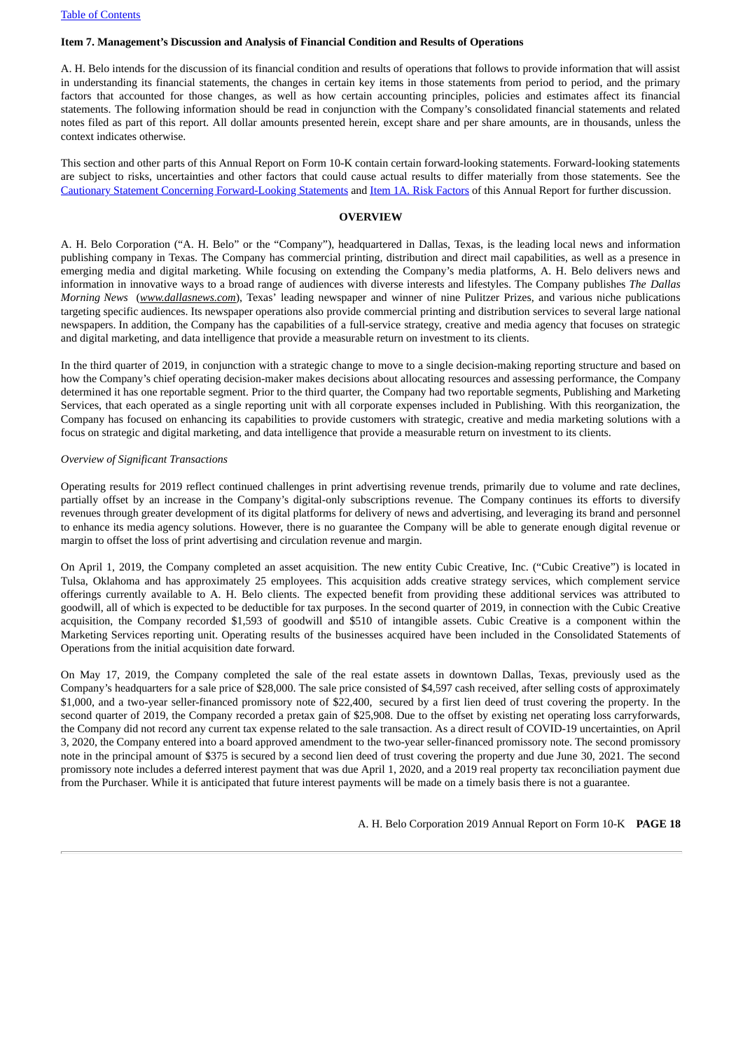# <span id="page-17-1"></span><span id="page-17-0"></span>**Item 7. Management's Discussion and Analysis of Financial Condition and Results of Operations**

A. H. Belo intends for the discussion of its financial condition and results of operations that follows to provide information that will assist in understanding its financial statements, the changes in certain key items in those statements from period to period, and the primary factors that accounted for those changes, as well as how certain accounting principles, policies and estimates affect its financial statements. The following information should be read in conjunction with the Company's consolidated financial statements and related notes filed as part of this report. All dollar amounts presented herein, except share and per share amounts, are in thousands, unless the context indicates otherwise.

This section and other parts of this Annual Report on Form 10-K contain certain forward-looking statements. Forward-looking statements are subject to risks, uncertainties and other factors that could cause actual results to differ materially from those statements. See the Cautionary Statement Concerning [Forward-Looking](#page-2-1) Statements and Item 1A. Risk [Factors](#page-8-1) of this Annual Report for further discussion.

# **OVERVIEW**

A. H. Belo Corporation ("A. H. Belo" or the "Company"), headquartered in Dallas, Texas, is the leading local news and information publishing company in Texas. The Company has commercial printing, distribution and direct mail capabilities, as well as a presence in emerging media and digital marketing. While focusing on extending the Company's media platforms, A. H. Belo delivers news and information in innovative ways to a broad range of audiences with diverse interests and lifestyles. The Company publishes *The Dallas Morning News* (*www.dallasnews.com*), Texas' leading newspaper and winner of nine Pulitzer Prizes, and various niche publications targeting specific audiences. Its newspaper operations also provide commercial printing and distribution services to several large national newspapers. In addition, the Company has the capabilities of a full-service strategy, creative and media agency that focuses on strategic and digital marketing, and data intelligence that provide a measurable return on investment to its clients.

In the third quarter of 2019, in conjunction with a strategic change to move to a single decision-making reporting structure and based on how the Company's chief operating decision-maker makes decisions about allocating resources and assessing performance, the Company determined it has one reportable segment. Prior to the third quarter, the Company had two reportable segments, Publishing and Marketing Services, that each operated as a single reporting unit with all corporate expenses included in Publishing. With this reorganization, the Company has focused on enhancing its capabilities to provide customers with strategic, creative and media marketing solutions with a focus on strategic and digital marketing, and data intelligence that provide a measurable return on investment to its clients.

# *Overview of Significant Transactions*

Operating results for 2019 reflect continued challenges in print advertising revenue trends, primarily due to volume and rate declines, partially offset by an increase in the Company's digital-only subscriptions revenue. The Company continues its efforts to diversify revenues through greater development of its digital platforms for delivery of news and advertising, and leveraging its brand and personnel to enhance its media agency solutions. However, there is no guarantee the Company will be able to generate enough digital revenue or margin to offset the loss of print advertising and circulation revenue and margin.

On April 1, 2019, the Company completed an asset acquisition. The new entity Cubic Creative, Inc. ("Cubic Creative") is located in Tulsa, Oklahoma and has approximately 25 employees. This acquisition adds creative strategy services, which complement service offerings currently available to A. H. Belo clients. The expected benefit from providing these additional services was attributed to goodwill, all of which is expected to be deductible for tax purposes. In the second quarter of 2019, in connection with the Cubic Creative acquisition, the Company recorded \$1,593 of goodwill and \$510 of intangible assets. Cubic Creative is a component within the Marketing Services reporting unit. Operating results of the businesses acquired have been included in the Consolidated Statements of Operations from the initial acquisition date forward.

On May 17, 2019, the Company completed the sale of the real estate assets in downtown Dallas, Texas, previously used as the Company's headquarters for a sale price of \$28,000. The sale price consisted of \$4,597 cash received, after selling costs of approximately \$1,000, and a two-year seller-financed promissory note of \$22,400, secured by a first lien deed of trust covering the property. In the second quarter of 2019, the Company recorded a pretax gain of \$25,908. Due to the offset by existing net operating loss carryforwards, the Company did not record any current tax expense related to the sale transaction. As a direct result of COVID-19 uncertainties, on April 3, 2020, the Company entered into a board approved amendment to the two-year seller-financed promissory note. The second promissory note in the principal amount of \$375 is secured by a second lien deed of trust covering the property and due June 30, 2021. The second promissory note includes a deferred interest payment that was due April 1, 2020, and a 2019 real property tax reconciliation payment due from the Purchaser. While it is anticipated that future interest payments will be made on a timely basis there is not a guarantee.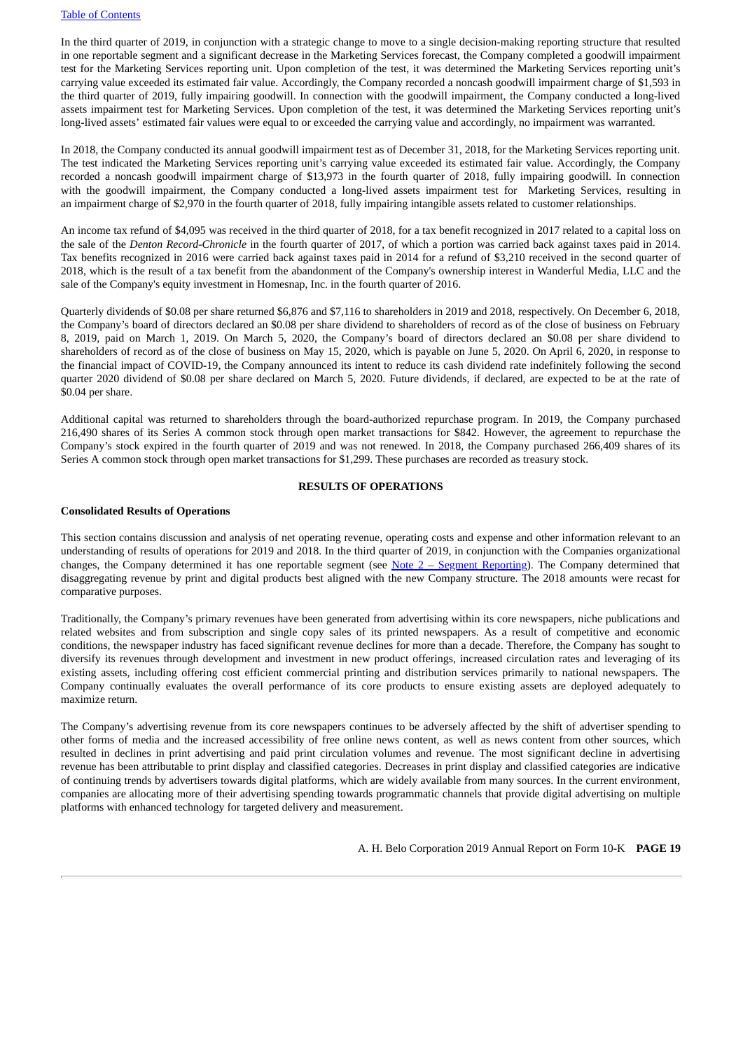In the third quarter of 2019, in conjunction with a strategic change to move to a single decision-making reporting structure that resulted in one reportable segment and a significant decrease in the Marketing Services forecast, the Company completed a goodwill impairment test for the Marketing Services reporting unit. Upon completion of the test, it was determined the Marketing Services reporting unit's carrying value exceeded its estimated fair value. Accordingly, the Company recorded a noncash goodwill impairment charge of \$1,593 in the third quarter of 2019, fully impairing goodwill. In connection with the goodwill impairment, the Company conducted a long-lived assets impairment test for Marketing Services. Upon completion of the test, it was determined the Marketing Services reporting unit's long-lived assets' estimated fair values were equal to or exceeded the carrying value and accordingly, no impairment was warranted.

In 2018, the Company conducted its annual goodwill impairment test as of December 31, 2018, for the Marketing Services reporting unit. The test indicated the Marketing Services reporting unit's carrying value exceeded its estimated fair value. Accordingly, the Company recorded a noncash goodwill impairment charge of \$13,973 in the fourth quarter of 2018, fully impairing goodwill. In connection with the goodwill impairment, the Company conducted a long-lived assets impairment test for Marketing Services, resulting in an impairment charge of \$2,970 in the fourth quarter of 2018, fully impairing intangible assets related to customer relationships.

An income tax refund of \$4,095 was received in the third quarter of 2018, for a tax benefit recognized in 2017 related to a capital loss on the sale of the *Denton Record-Chronicle* in the fourth quarter of 2017, of which a portion was carried back against taxes paid in 2014. Tax benefits recognized in 2016 were carried back against taxes paid in 2014 for a refund of \$3,210 received in the second quarter of 2018, which is the result of a tax benefit from the abandonment of the Company's ownership interest in Wanderful Media, LLC and the sale of the Company's equity investment in Homesnap, Inc. in the fourth quarter of 2016.

Quarterly dividends of \$0.08 per share returned \$6,876 and \$7,116 to shareholders in 2019 and 2018, respectively. On December 6, 2018, the Company's board of directors declared an \$0.08 per share dividend to shareholders of record as of the close of business on February 8, 2019, paid on March 1, 2019. On March 5, 2020, the Company's board of directors declared an \$0.08 per share dividend to shareholders of record as of the close of business on May 15, 2020, which is payable on June 5, 2020. On April 6, 2020, in response to the financial impact of COVID-19, the Company announced its intent to reduce its cash dividend rate indefinitely following the second quarter 2020 dividend of \$0.08 per share declared on March 5, 2020. Future dividends, if declared, are expected to be at the rate of \$0.04 per share.

Additional capital was returned to shareholders through the board-authorized repurchase program. In 2019, the Company purchased 216,490 shares of its Series A common stock through open market transactions for \$842. However, the agreement to repurchase the Company's stock expired in the fourth quarter of 2019 and was not renewed. In 2018, the Company purchased 266,409 shares of its Series A common stock through open market transactions for \$1,299. These purchases are recorded as treasury stock.

### **RESULTS OF OPERATIONS**

#### **Consolidated Results of Operations**

This section contains discussion and analysis of net operating revenue, operating costs and expense and other information relevant to an understanding of results of operations for 2019 and 2018. In the third quarter of 2019, in conjunction with the Companies organizational changes, the Company determined it has one reportable segment (see Note  $2 -$  Segment [Reporting](#page-47-0)). The Company determined that disaggregating revenue by print and digital products best aligned with the new Company structure. The 2018 amounts were recast for comparative purposes.

Traditionally, the Company's primary revenues have been generated from advertising within its core newspapers, niche publications and related websites and from subscription and single copy sales of its printed newspapers. As a result of competitive and economic conditions, the newspaper industry has faced significant revenue declines for more than a decade. Therefore, the Company has sought to diversify its revenues through development and investment in new product offerings, increased circulation rates and leveraging of its existing assets, including offering cost efficient commercial printing and distribution services primarily to national newspapers. The Company continually evaluates the overall performance of its core products to ensure existing assets are deployed adequately to maximize return.

The Company's advertising revenue from its core newspapers continues to be adversely affected by the shift of advertiser spending to other forms of media and the increased accessibility of free online news content, as well as news content from other sources, which resulted in declines in print advertising and paid print circulation volumes and revenue. The most significant decline in advertising revenue has been attributable to print display and classified categories. Decreases in print display and classified categories are indicative of continuing trends by advertisers towards digital platforms, which are widely available from many sources. In the current environment, companies are allocating more of their advertising spending towards programmatic channels that provide digital advertising on multiple platforms with enhanced technology for targeted delivery and measurement.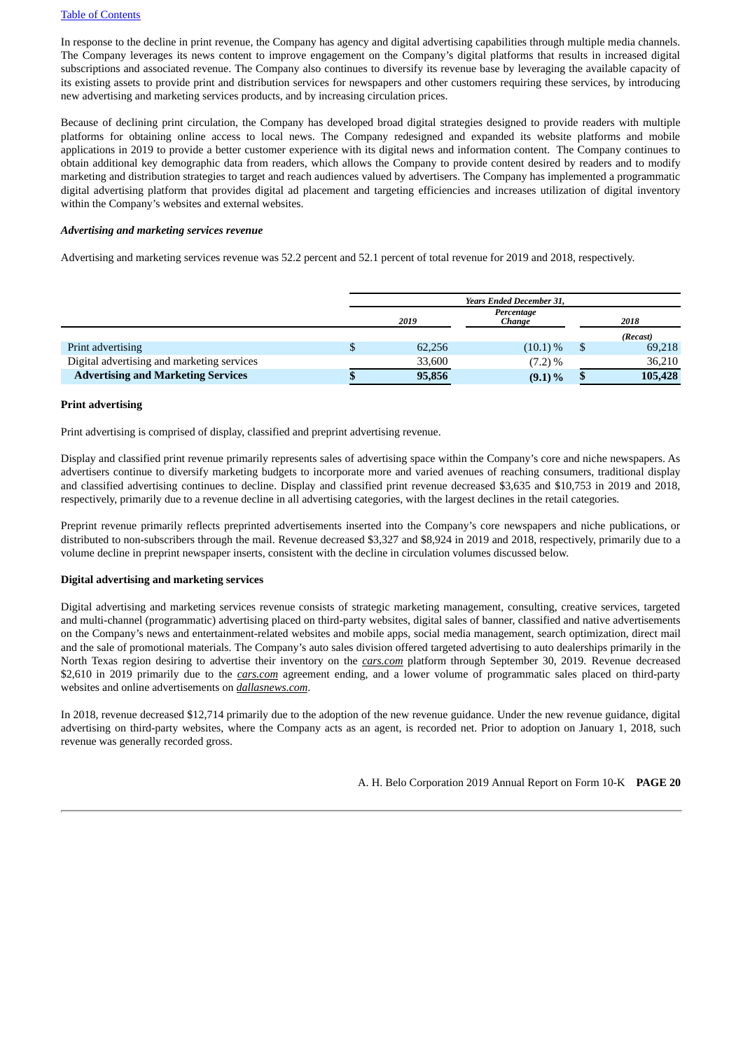In response to the decline in print revenue, the Company has agency and digital advertising capabilities through multiple media channels. The Company leverages its news content to improve engagement on the Company's digital platforms that results in increased digital subscriptions and associated revenue. The Company also continues to diversify its revenue base by leveraging the available capacity of its existing assets to provide print and distribution services for newspapers and other customers requiring these services, by introducing new advertising and marketing services products, and by increasing circulation prices.

Because of declining print circulation, the Company has developed broad digital strategies designed to provide readers with multiple platforms for obtaining online access to local news. The Company redesigned and expanded its website platforms and mobile applications in 2019 to provide a better customer experience with its digital news and information content. The Company continues to obtain additional key demographic data from readers, which allows the Company to provide content desired by readers and to modify marketing and distribution strategies to target and reach audiences valued by advertisers. The Company has implemented a programmatic digital advertising platform that provides digital ad placement and targeting efficiencies and increases utilization of digital inventory within the Company's websites and external websites.

#### *Advertising and marketing services revenue*

Advertising and marketing services revenue was 52.2 percent and 52.1 percent of total revenue for 2019 and 2018, respectively.

|                                            | <b>Years Ended December 31,</b> |            |  |          |  |  |
|--------------------------------------------|---------------------------------|------------|--|----------|--|--|
|                                            | 2019                            | 2018       |  |          |  |  |
|                                            |                                 |            |  | (Recast) |  |  |
| Print advertising                          | 62,256                          | $(10.1)\%$ |  | 69,218   |  |  |
| Digital advertising and marketing services | 33,600                          | $(7.2) \%$ |  | 36,210   |  |  |
| <b>Advertising and Marketing Services</b>  | 95,856                          | $(9.1)\%$  |  | 105,428  |  |  |

#### **Print advertising**

Print advertising is comprised of display, classified and preprint advertising revenue.

Display and classified print revenue primarily represents sales of advertising space within the Company's core and niche newspapers. As advertisers continue to diversify marketing budgets to incorporate more and varied avenues of reaching consumers, traditional display and classified advertising continues to decline. Display and classified print revenue decreased \$3,635 and \$10,753 in 2019 and 2018, respectively, primarily due to a revenue decline in all advertising categories, with the largest declines in the retail categories.

Preprint revenue primarily reflects preprinted advertisements inserted into the Company's core newspapers and niche publications, or distributed to non-subscribers through the mail. Revenue decreased \$3,327 and \$8,924 in 2019 and 2018, respectively, primarily due to a volume decline in preprint newspaper inserts, consistent with the decline in circulation volumes discussed below.

#### **Digital advertising and marketing services**

Digital advertising and marketing services revenue consists of strategic marketing management, consulting, creative services, targeted and multi-channel (programmatic) advertising placed on third-party websites, digital sales of banner, classified and native advertisements on the Company's news and entertainment-related websites and mobile apps, social media management, search optimization, direct mail and the sale of promotional materials. The Company's auto sales division offered targeted advertising to auto dealerships primarily in the North Texas region desiring to advertise their inventory on the *cars.com* platform through September 30, 2019. Revenue decreased \$2,610 in 2019 primarily due to the *cars.com* agreement ending, and a lower volume of programmatic sales placed on third-party websites and online advertisements on *dallasnews.com*.

In 2018, revenue decreased \$12,714 primarily due to the adoption of the new revenue guidance. Under the new revenue guidance, digital advertising on third-party websites, where the Company acts as an agent, is recorded net. Prior to adoption on January 1, 2018, such revenue was generally recorded gross.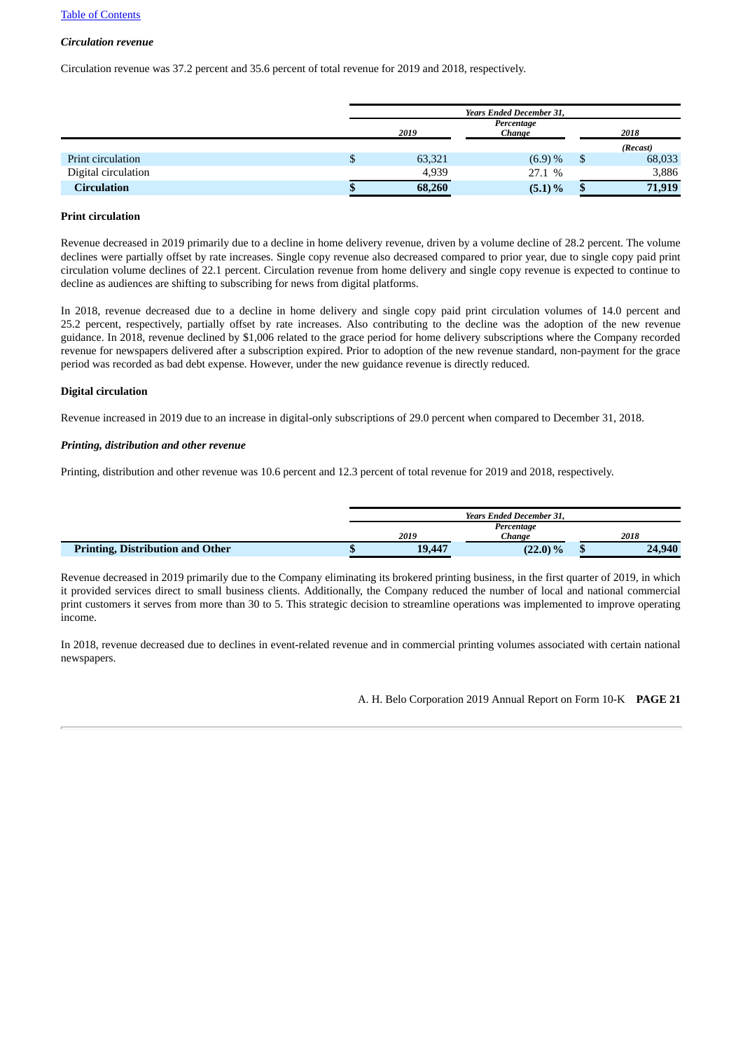#### *Circulation revenue*

Circulation revenue was 37.2 percent and 35.6 percent of total revenue for 2019 and 2018, respectively.

|                     | Years Ended December 31, |                      |  |          |  |  |
|---------------------|--------------------------|----------------------|--|----------|--|--|
|                     | 2019                     | Percentage<br>Change |  | 2018     |  |  |
|                     |                          |                      |  | (Recast) |  |  |
| Print circulation   | 63,321                   | (6.9) %              |  | 68,033   |  |  |
| Digital circulation | 4,939                    | 27.1 %               |  | 3,886    |  |  |
| <b>Circulation</b>  | 68,260                   | (5.1) %              |  | 71,919   |  |  |

## **Print circulation**

Revenue decreased in 2019 primarily due to a decline in home delivery revenue, driven by a volume decline of 28.2 percent. The volume declines were partially offset by rate increases. Single copy revenue also decreased compared to prior year, due to single copy paid print circulation volume declines of 22.1 percent. Circulation revenue from home delivery and single copy revenue is expected to continue to decline as audiences are shifting to subscribing for news from digital platforms.

In 2018, revenue decreased due to a decline in home delivery and single copy paid print circulation volumes of 14.0 percent and 25.2 percent, respectively, partially offset by rate increases. Also contributing to the decline was the adoption of the new revenue guidance. In 2018, revenue declined by \$1,006 related to the grace period for home delivery subscriptions where the Company recorded revenue for newspapers delivered after a subscription expired. Prior to adoption of the new revenue standard, non-payment for the grace period was recorded as bad debt expense. However, under the new guidance revenue is directly reduced.

#### **Digital circulation**

Revenue increased in 2019 due to an increase in digital-only subscriptions of 29.0 percent when compared to December 31, 2018.

### *Printing, distribution and other revenue*

Printing, distribution and other revenue was 10.6 percent and 12.3 percent of total revenue for 2019 and 2018, respectively.

|                                         |  |        | <b>Years Ended December 31.</b> |  |      |        |
|-----------------------------------------|--|--------|---------------------------------|--|------|--------|
|                                         |  | 2019   | Percentage<br>Change            |  | 2018 |        |
| <b>Printing, Distribution and Other</b> |  | 19,447 | $(22.0)\%$                      |  |      | 24,940 |

Revenue decreased in 2019 primarily due to the Company eliminating its brokered printing business, in the first quarter of 2019, in which it provided services direct to small business clients. Additionally, the Company reduced the number of local and national commercial print customers it serves from more than 30 to 5. This strategic decision to streamline operations was implemented to improve operating income.

In 2018, revenue decreased due to declines in event-related revenue and in commercial printing volumes associated with certain national newspapers.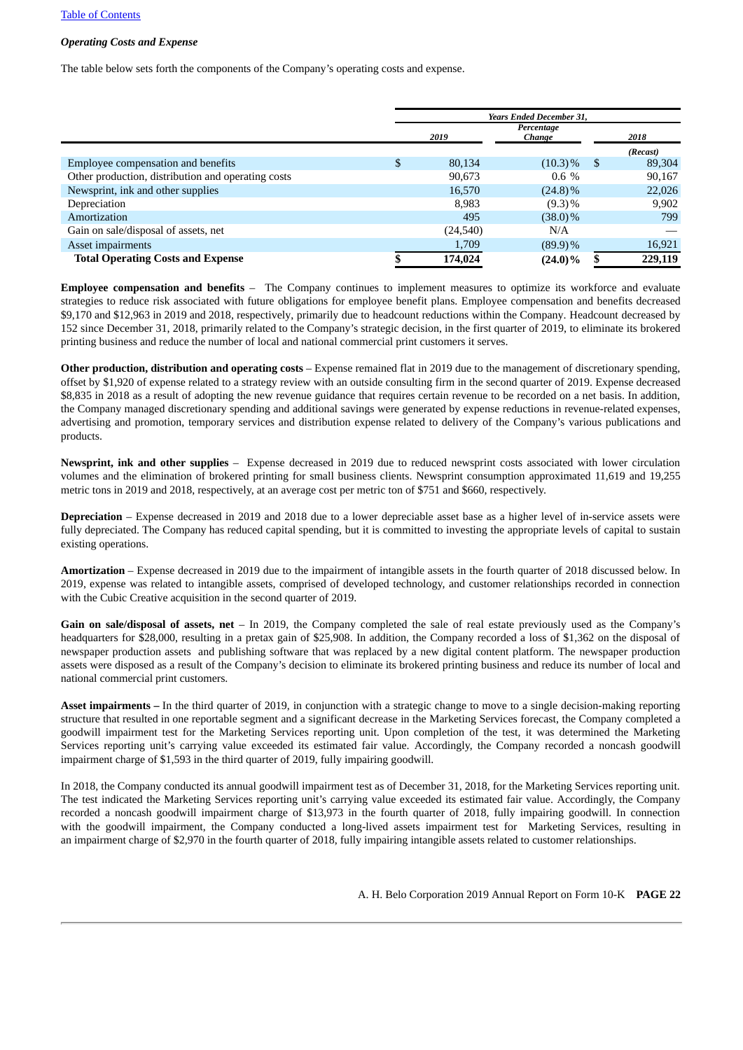# *Operating Costs and Expense*

The table below sets forth the components of the Company's operating costs and expense.

|                                                    | <b>Years Ended December 31,</b> |           |                      |    |          |  |  |  |
|----------------------------------------------------|---------------------------------|-----------|----------------------|----|----------|--|--|--|
|                                                    |                                 | 2019      | Percentage<br>Change |    | 2018     |  |  |  |
|                                                    |                                 |           |                      |    | (Recast) |  |  |  |
| Employee compensation and benefits                 | \$                              | 80,134    | $(10.3)\%$           | -S | 89,304   |  |  |  |
| Other production, distribution and operating costs |                                 | 90,673    | $0.6\%$              |    | 90,167   |  |  |  |
| Newsprint, ink and other supplies                  |                                 | 16,570    | $(24.8)\%$           |    | 22,026   |  |  |  |
| Depreciation                                       |                                 | 8,983     | $(9.3)\%$            |    | 9,902    |  |  |  |
| Amortization                                       |                                 | 495       | $(38.0)\%$           |    | 799      |  |  |  |
| Gain on sale/disposal of assets, net               |                                 | (24, 540) | N/A                  |    |          |  |  |  |
| Asset impairments                                  |                                 | 1,709     | $(89.9)\%$           |    | 16,921   |  |  |  |
| <b>Total Operating Costs and Expense</b>           |                                 | 174,024   | $(24.0)\%$           |    | 229,119  |  |  |  |

**Employee compensation and benefits** – The Company continues to implement measures to optimize its workforce and evaluate strategies to reduce risk associated with future obligations for employee benefit plans. Employee compensation and benefits decreased \$9,170 and \$12,963 in 2019 and 2018, respectively, primarily due to headcount reductions within the Company. Headcount decreased by 152 since December 31, 2018, primarily related to the Company's strategic decision, in the first quarter of 2019, to eliminate its brokered printing business and reduce the number of local and national commercial print customers it serves.

**Other production, distribution and operating costs** – Expense remained flat in 2019 due to the management of discretionary spending, offset by \$1,920 of expense related to a strategy review with an outside consulting firm in the second quarter of 2019. Expense decreased \$8,835 in 2018 as a result of adopting the new revenue guidance that requires certain revenue to be recorded on a net basis. In addition, the Company managed discretionary spending and additional savings were generated by expense reductions in revenue-related expenses, advertising and promotion, temporary services and distribution expense related to delivery of the Company's various publications and products.

**Newsprint, ink and other supplies** – Expense decreased in 2019 due to reduced newsprint costs associated with lower circulation volumes and the elimination of brokered printing for small business clients. Newsprint consumption approximated 11,619 and 19,255 metric tons in 2019 and 2018, respectively, at an average cost per metric ton of \$751 and \$660, respectively.

**Depreciation** – Expense decreased in 2019 and 2018 due to a lower depreciable asset base as a higher level of in-service assets were fully depreciated. The Company has reduced capital spending, but it is committed to investing the appropriate levels of capital to sustain existing operations.

**Amortization** – Expense decreased in 2019 due to the impairment of intangible assets in the fourth quarter of 2018 discussed below. In 2019, expense was related to intangible assets, comprised of developed technology, and customer relationships recorded in connection with the Cubic Creative acquisition in the second quarter of 2019.

**Gain on sale/disposal of assets, net** – In 2019, the Company completed the sale of real estate previously used as the Company's headquarters for \$28,000, resulting in a pretax gain of \$25,908. In addition, the Company recorded a loss of \$1,362 on the disposal of newspaper production assets and publishing software that was replaced by a new digital content platform. The newspaper production assets were disposed as a result of the Company's decision to eliminate its brokered printing business and reduce its number of local and national commercial print customers.

**Asset impairments –** In the third quarter of 2019, in conjunction with a strategic change to move to a single decision-making reporting structure that resulted in one reportable segment and a significant decrease in the Marketing Services forecast, the Company completed a goodwill impairment test for the Marketing Services reporting unit. Upon completion of the test, it was determined the Marketing Services reporting unit's carrying value exceeded its estimated fair value. Accordingly, the Company recorded a noncash goodwill impairment charge of \$1,593 in the third quarter of 2019, fully impairing goodwill.

In 2018, the Company conducted its annual goodwill impairment test as of December 31, 2018, for the Marketing Services reporting unit. The test indicated the Marketing Services reporting unit's carrying value exceeded its estimated fair value. Accordingly, the Company recorded a noncash goodwill impairment charge of \$13,973 in the fourth quarter of 2018, fully impairing goodwill. In connection with the goodwill impairment, the Company conducted a long-lived assets impairment test for Marketing Services, resulting in an impairment charge of \$2,970 in the fourth quarter of 2018, fully impairing intangible assets related to customer relationships.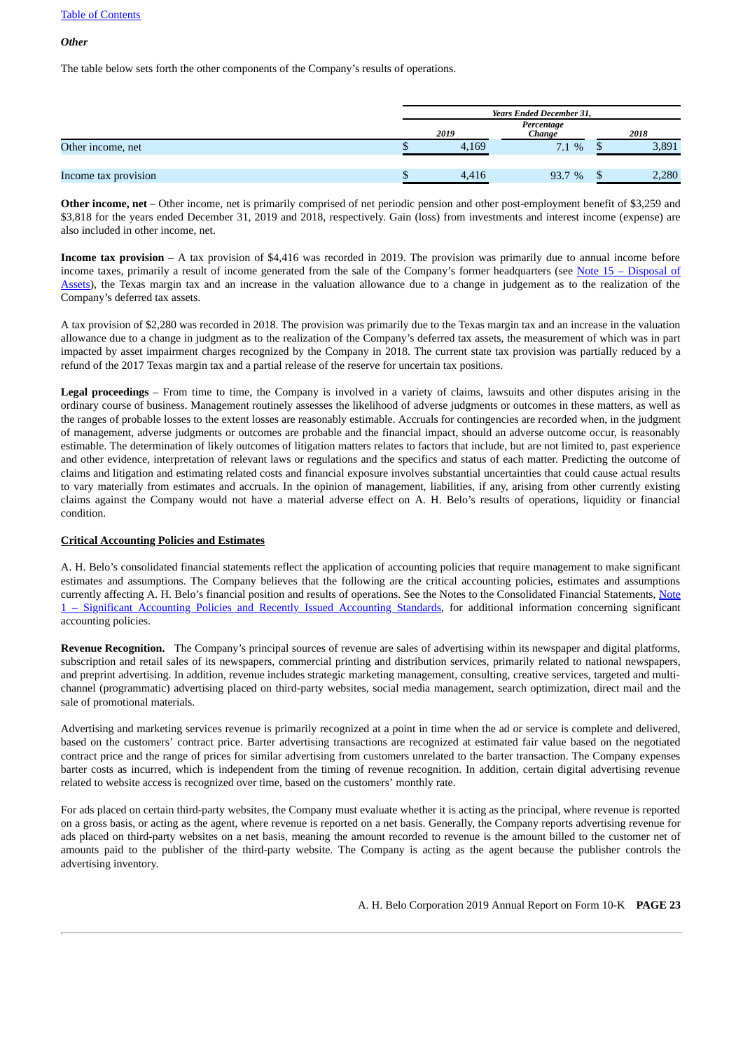# *Other*

The table below sets forth the other components of the Company's results of operations.

|                      | Years Ended December 31, |       |                      |  |       |  |  |
|----------------------|--------------------------|-------|----------------------|--|-------|--|--|
|                      |                          | 2019  | Percentage<br>Change |  | 2018  |  |  |
| Other income, net    |                          | 4,169 | 7.1%                 |  | 3,891 |  |  |
| Income tax provision |                          | 4.416 | 93.7 %               |  | 2,280 |  |  |

**Other income, net** – Other income, net is primarily comprised of net periodic pension and other post-employment benefit of \$3,259 and \$3,818 for the years ended December 31, 2019 and 2018, respectively. Gain (loss) from investments and interest income (expense) are also included in other income, net.

**Income tax provision** – A tax provision of \$4,416 was recorded in 2019. The provision was primarily due to annual income before income taxes, primarily a result of income generated from the sale of the Company's former [headquarters](#page-59-0) (see Note 15 – Disposal of Assets), the Texas margin tax and an increase in the valuation allowance due to a change in judgement as to the realization of the Company's deferred tax assets.

A tax provision of \$2,280 was recorded in 2018. The provision was primarily due to the Texas margin tax and an increase in the valuation allowance due to a change in judgment as to the realization of the Company's deferred tax assets, the measurement of which was in part impacted by asset impairment charges recognized by the Company in 2018. The current state tax provision was partially reduced by a refund of the 2017 Texas margin tax and a partial release of the reserve for uncertain tax positions.

**Legal proceedings** – From time to time, the Company is involved in a variety of claims, lawsuits and other disputes arising in the ordinary course of business. Management routinely assesses the likelihood of adverse judgments or outcomes in these matters, as well as the ranges of probable losses to the extent losses are reasonably estimable. Accruals for contingencies are recorded when, in the judgment of management, adverse judgments or outcomes are probable and the financial impact, should an adverse outcome occur, is reasonably estimable. The determination of likely outcomes of litigation matters relates to factors that include, but are not limited to, past experience and other evidence, interpretation of relevant laws or regulations and the specifics and status of each matter. Predicting the outcome of claims and litigation and estimating related costs and financial exposure involves substantial uncertainties that could cause actual results to vary materially from estimates and accruals. In the opinion of management, liabilities, if any, arising from other currently existing claims against the Company would not have a material adverse effect on A. H. Belo's results of operations, liquidity or financial condition.

# **Critical Accounting Policies and Estimates**

A. H. Belo's consolidated financial statements reflect the application of accounting policies that require management to make significant estimates and assumptions. The Company believes that the following are the critical accounting policies, estimates and assumptions currently affecting A. H. Belo's financial position and results of operations. See the Notes to the [Consolidated](#page-43-1) Financial Statements, Note 1 – Significant Accounting Policies and Recently Issued Accounting Standards, for additional information concerning significant accounting policies.

**Revenue Recognition.** The Company's principal sources of revenue are sales of advertising within its newspaper and digital platforms, subscription and retail sales of its newspapers, commercial printing and distribution services, primarily related to national newspapers, and preprint advertising. In addition, revenue includes strategic marketing management, consulting, creative services, targeted and multichannel (programmatic) advertising placed on third-party websites, social media management, search optimization, direct mail and the sale of promotional materials.

Advertising and marketing services revenue is primarily recognized at a point in time when the ad or service is complete and delivered, based on the customers' contract price. Barter advertising transactions are recognized at estimated fair value based on the negotiated contract price and the range of prices for similar advertising from customers unrelated to the barter transaction. The Company expenses barter costs as incurred, which is independent from the timing of revenue recognition. In addition, certain digital advertising revenue related to website access is recognized over time, based on the customers' monthly rate.

For ads placed on certain third-party websites, the Company must evaluate whether it is acting as the principal, where revenue is reported on a gross basis, or acting as the agent, where revenue is reported on a net basis. Generally, the Company reports advertising revenue for ads placed on third-party websites on a net basis, meaning the amount recorded to revenue is the amount billed to the customer net of amounts paid to the publisher of the third-party website. The Company is acting as the agent because the publisher controls the advertising inventory.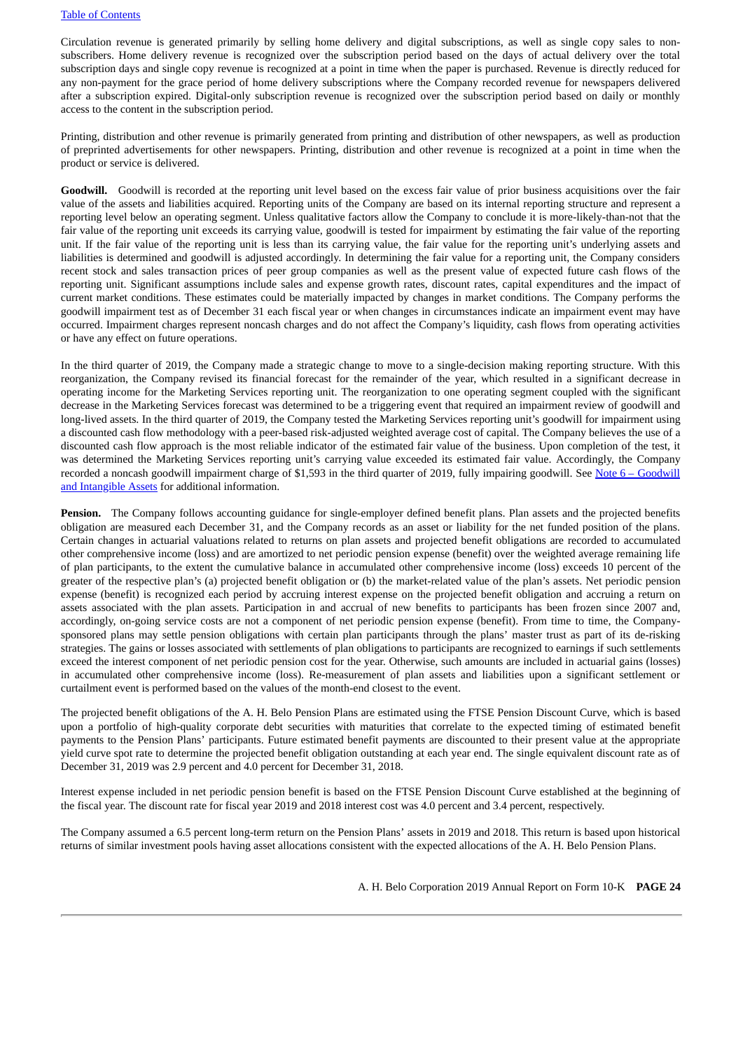Circulation revenue is generated primarily by selling home delivery and digital subscriptions, as well as single copy sales to nonsubscribers. Home delivery revenue is recognized over the subscription period based on the days of actual delivery over the total subscription days and single copy revenue is recognized at a point in time when the paper is purchased. Revenue is directly reduced for any non-payment for the grace period of home delivery subscriptions where the Company recorded revenue for newspapers delivered after a subscription expired. Digital-only subscription revenue is recognized over the subscription period based on daily or monthly access to the content in the subscription period.

Printing, distribution and other revenue is primarily generated from printing and distribution of other newspapers, as well as production of preprinted advertisements for other newspapers. Printing, distribution and other revenue is recognized at a point in time when the product or service is delivered.

**Goodwill.** Goodwill is recorded at the reporting unit level based on the excess fair value of prior business acquisitions over the fair value of the assets and liabilities acquired. Reporting units of the Company are based on its internal reporting structure and represent a reporting level below an operating segment. Unless qualitative factors allow the Company to conclude it is more-likely-than-not that the fair value of the reporting unit exceeds its carrying value, goodwill is tested for impairment by estimating the fair value of the reporting unit. If the fair value of the reporting unit is less than its carrying value, the fair value for the reporting unit's underlying assets and liabilities is determined and goodwill is adjusted accordingly. In determining the fair value for a reporting unit, the Company considers recent stock and sales transaction prices of peer group companies as well as the present value of expected future cash flows of the reporting unit. Significant assumptions include sales and expense growth rates, discount rates, capital expenditures and the impact of current market conditions. These estimates could be materially impacted by changes in market conditions. The Company performs the goodwill impairment test as of December 31 each fiscal year or when changes in circumstances indicate an impairment event may have occurred. Impairment charges represent noncash charges and do not affect the Company's liquidity, cash flows from operating activities or have any effect on future operations.

In the third quarter of 2019, the Company made a strategic change to move to a single-decision making reporting structure. With this reorganization, the Company revised its financial forecast for the remainder of the year, which resulted in a significant decrease in operating income for the Marketing Services reporting unit. The reorganization to one operating segment coupled with the significant decrease in the Marketing Services forecast was determined to be a triggering event that required an impairment review of goodwill and long-lived assets. In the third quarter of 2019, the Company tested the Marketing Services reporting unit's goodwill for impairment using a discounted cash flow methodology with a peer-based risk-adjusted weighted average cost of capital. The Company believes the use of a discounted cash flow approach is the most reliable indicator of the estimated fair value of the business. Upon completion of the test, it was determined the Marketing Services reporting unit's carrying value exceeded its estimated fair value. Accordingly, the Company recorded a noncash goodwill impairment charge of \$1,593 in the third quarter of 2019, fully impairing goodwill. See Note 6 – Goodwill and Intangible Assets for additional [information.](#page-51-0)

**Pension.** The Company follows accounting guidance for single-employer defined benefit plans. Plan assets and the projected benefits obligation are measured each December 31, and the Company records as an asset or liability for the net funded position of the plans. Certain changes in actuarial valuations related to returns on plan assets and projected benefit obligations are recorded to accumulated other comprehensive income (loss) and are amortized to net periodic pension expense (benefit) over the weighted average remaining life of plan participants, to the extent the cumulative balance in accumulated other comprehensive income (loss) exceeds 10 percent of the greater of the respective plan's (a) projected benefit obligation or (b) the market-related value of the plan's assets. Net periodic pension expense (benefit) is recognized each period by accruing interest expense on the projected benefit obligation and accruing a return on assets associated with the plan assets. Participation in and accrual of new benefits to participants has been frozen since 2007 and, accordingly, on-going service costs are not a component of net periodic pension expense (benefit). From time to time, the Companysponsored plans may settle pension obligations with certain plan participants through the plans' master trust as part of its de-risking strategies. The gains or losses associated with settlements of plan obligations to participants are recognized to earnings if such settlements exceed the interest component of net periodic pension cost for the year. Otherwise, such amounts are included in actuarial gains (losses) in accumulated other comprehensive income (loss). Re-measurement of plan assets and liabilities upon a significant settlement or curtailment event is performed based on the values of the month-end closest to the event.

The projected benefit obligations of the A. H. Belo Pension Plans are estimated using the FTSE Pension Discount Curve, which is based upon a portfolio of high-quality corporate debt securities with maturities that correlate to the expected timing of estimated benefit payments to the Pension Plans' participants. Future estimated benefit payments are discounted to their present value at the appropriate yield curve spot rate to determine the projected benefit obligation outstanding at each year end. The single equivalent discount rate as of December 31, 2019 was 2.9 percent and 4.0 percent for December 31, 2018.

Interest expense included in net periodic pension benefit is based on the FTSE Pension Discount Curve established at the beginning of the fiscal year. The discount rate for fiscal year 2019 and 2018 interest cost was 4.0 percent and 3.4 percent, respectively.

The Company assumed a 6.5 percent long-term return on the Pension Plans' assets in 2019 and 2018. This return is based upon historical returns of similar investment pools having asset allocations consistent with the expected allocations of the A. H. Belo Pension Plans.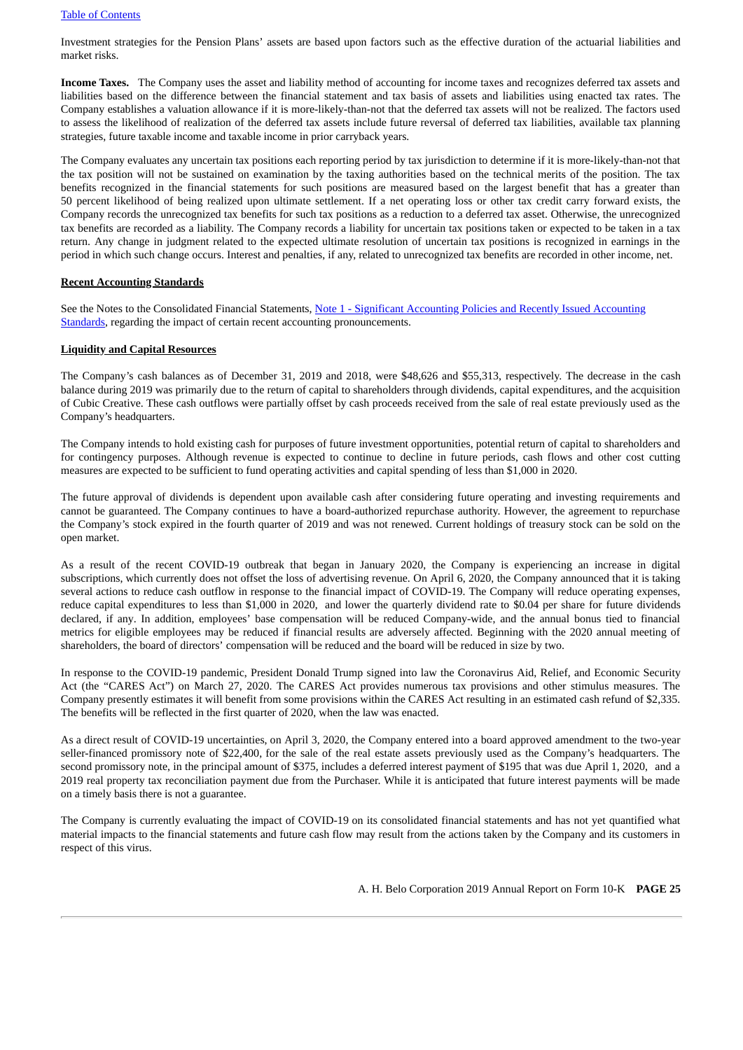Investment strategies for the Pension Plans' assets are based upon factors such as the effective duration of the actuarial liabilities and market risks.

**Income Taxes.** The Company uses the asset and liability method of accounting for income taxes and recognizes deferred tax assets and liabilities based on the difference between the financial statement and tax basis of assets and liabilities using enacted tax rates. The Company establishes a valuation allowance if it is more-likely-than-not that the deferred tax assets will not be realized. The factors used to assess the likelihood of realization of the deferred tax assets include future reversal of deferred tax liabilities, available tax planning strategies, future taxable income and taxable income in prior carryback years.

The Company evaluates any uncertain tax positions each reporting period by tax jurisdiction to determine if it is more-likely-than-not that the tax position will not be sustained on examination by the taxing authorities based on the technical merits of the position. The tax benefits recognized in the financial statements for such positions are measured based on the largest benefit that has a greater than 50 percent likelihood of being realized upon ultimate settlement. If a net operating loss or other tax credit carry forward exists, the Company records the unrecognized tax benefits for such tax positions as a reduction to a deferred tax asset. Otherwise, the unrecognized tax benefits are recorded as a liability. The Company records a liability for uncertain tax positions taken or expected to be taken in a tax return. Any change in judgment related to the expected ultimate resolution of uncertain tax positions is recognized in earnings in the period in which such change occurs. Interest and penalties, if any, related to unrecognized tax benefits are recorded in other income, net.

# **Recent Accounting Standards**

See the Notes to the Consolidated Financial Statements, Note 1 - Significant Accounting Policies and Recently Issued Accounting Standards, regarding the impact of certain recent accounting [pronouncements.](#page-43-1)

# **Liquidity and Capital Resources**

The Company's cash balances as of December 31, 2019 and 2018, were \$48,626 and \$55,313, respectively. The decrease in the cash balance during 2019 was primarily due to the return of capital to shareholders through dividends, capital expenditures, and the acquisition of Cubic Creative. These cash outflows were partially offset by cash proceeds received from the sale of real estate previously used as the Company's headquarters.

The Company intends to hold existing cash for purposes of future investment opportunities, potential return of capital to shareholders and for contingency purposes. Although revenue is expected to continue to decline in future periods, cash flows and other cost cutting measures are expected to be sufficient to fund operating activities and capital spending of less than \$1,000 in 2020.

The future approval of dividends is dependent upon available cash after considering future operating and investing requirements and cannot be guaranteed. The Company continues to have a board-authorized repurchase authority. However, the agreement to repurchase the Company's stock expired in the fourth quarter of 2019 and was not renewed. Current holdings of treasury stock can be sold on the open market.

As a result of the recent COVID-19 outbreak that began in January 2020, the Company is experiencing an increase in digital subscriptions, which currently does not offset the loss of advertising revenue. On April 6, 2020, the Company announced that it is taking several actions to reduce cash outflow in response to the financial impact of COVID-19. The Company will reduce operating expenses, reduce capital expenditures to less than \$1,000 in 2020, and lower the quarterly dividend rate to \$0.04 per share for future dividends declared, if any. In addition, employees' base compensation will be reduced Company-wide, and the annual bonus tied to financial metrics for eligible employees may be reduced if financial results are adversely affected. Beginning with the 2020 annual meeting of shareholders, the board of directors' compensation will be reduced and the board will be reduced in size by two.

In response to the COVID-19 pandemic, President Donald Trump signed into law the Coronavirus Aid, Relief, and Economic Security Act (the "CARES Act") on March 27, 2020. The CARES Act provides numerous tax provisions and other stimulus measures. The Company presently estimates it will benefit from some provisions within the CARES Act resulting in an estimated cash refund of \$2,335. The benefits will be reflected in the first quarter of 2020, when the law was enacted.

As a direct result of COVID-19 uncertainties, on April 3, 2020, the Company entered into a board approved amendment to the two-year seller-financed promissory note of \$22,400, for the sale of the real estate assets previously used as the Company's headquarters. The second promissory note, in the principal amount of \$375, includes a deferred interest payment of \$195 that was due April 1, 2020, and a 2019 real property tax reconciliation payment due from the Purchaser. While it is anticipated that future interest payments will be made on a timely basis there is not a guarantee.

The Company is currently evaluating the impact of COVID-19 on its consolidated financial statements and has not yet quantified what material impacts to the financial statements and future cash flow may result from the actions taken by the Company and its customers in respect of this virus.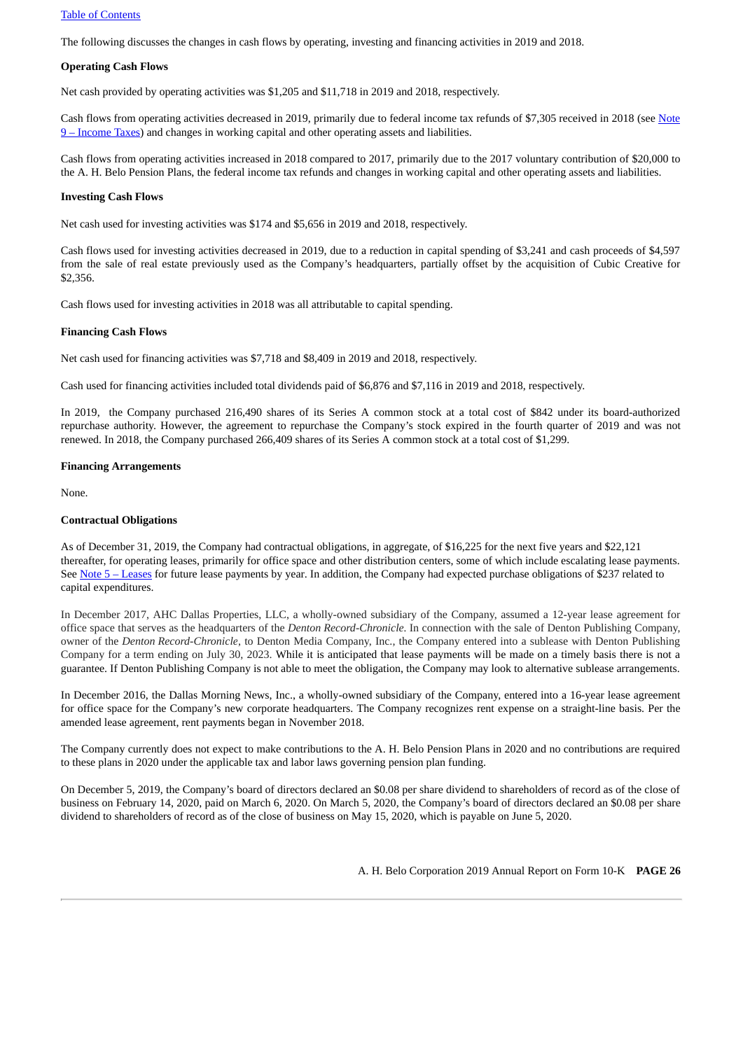The following discusses the changes in cash flows by operating, investing and financing activities in 2019 and 2018.

#### **Operating Cash Flows**

Net cash provided by operating activities was \$1,205 and \$11,718 in 2019 and 2018, respectively.

Cash flows from operating activities decreased in 2019, primarily due to federal income tax refunds of \$7,305 received in 2018 (see Note 9 – Income Taxes) and changes in working capital and other operating assets and [liabilities.](#page-53-0)

Cash flows from operating activities increased in 2018 compared to 2017, primarily due to the 2017 voluntary contribution of \$20,000 to the A. H. Belo Pension Plans, the federal income tax refunds and changes in working capital and other operating assets and liabilities.

### **Investing Cash Flows**

Net cash used for investing activities was \$174 and \$5,656 in 2019 and 2018, respectively.

Cash flows used for investing activities decreased in 2019, due to a reduction in capital spending of \$3,241 and cash proceeds of \$4,597 from the sale of real estate previously used as the Company's headquarters, partially offset by the acquisition of Cubic Creative for \$2,356.

Cash flows used for investing activities in 2018 was all attributable to capital spending.

#### **Financing Cash Flows**

Net cash used for financing activities was \$7,718 and \$8,409 in 2019 and 2018, respectively.

Cash used for financing activities included total dividends paid of \$6,876 and \$7,116 in 2019 and 2018, respectively.

In 2019, the Company purchased 216,490 shares of its Series A common stock at a total cost of \$842 under its board-authorized repurchase authority. However, the agreement to repurchase the Company's stock expired in the fourth quarter of 2019 and was not renewed. In 2018, the Company purchased 266,409 shares of its Series A common stock at a total cost of \$1,299.

# **Financing Arrangements**

None.

#### **Contractual Obligations**

As of December 31, 2019, the Company had contractual obligations, in aggregate, of \$16,225 for the next five years and \$22,121 thereafter, for operating leases, primarily for office space and other distribution centers, some of which include escalating lease payments. See Note 5 – [Leases](#page-50-0) for future lease payments by year. In addition, the Company had expected purchase obligations of \$237 related to capital expenditures.

In December 2017, AHC Dallas Properties, LLC, a wholly-owned subsidiary of the Company, assumed a 12-year lease agreement for office space that serves as the headquarters of the *Denton Record-Chronicle.* In connection with the sale of Denton Publishing Company, owner of the *Denton Record-Chronicle*, to Denton Media Company, Inc., the Company entered into a sublease with Denton Publishing Company for a term ending on July 30, 2023. While it is anticipated that lease payments will be made on a timely basis there is not a guarantee. If Denton Publishing Company is not able to meet the obligation, the Company may look to alternative sublease arrangements.

In December 2016, the Dallas Morning News, Inc., a wholly-owned subsidiary of the Company, entered into a 16-year lease agreement for office space for the Company's new corporate headquarters. The Company recognizes rent expense on a straight-line basis. Per the amended lease agreement, rent payments began in November 2018.

The Company currently does not expect to make contributions to the A. H. Belo Pension Plans in 2020 and no contributions are required to these plans in 2020 under the applicable tax and labor laws governing pension plan funding.

On December 5, 2019, the Company's board of directors declared an \$0.08 per share dividend to shareholders of record as of the close of business on February 14, 2020, paid on March 6, 2020. On March 5, 2020, the Company's board of directors declared an \$0.08 per share dividend to shareholders of record as of the close of business on May 15, 2020, which is payable on June 5, 2020.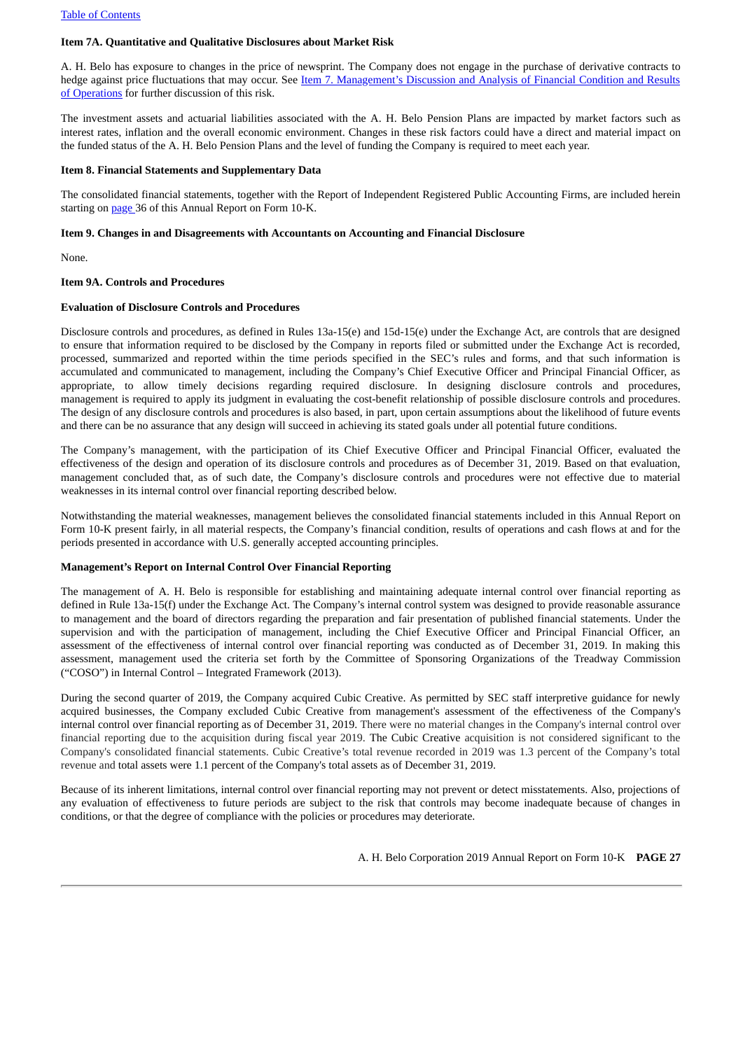# <span id="page-26-0"></span>**Item 7A. Quantitative and Qualitative Disclosures about Market Risk**

A. H. Belo has exposure to changes in the price of newsprint. The Company does not engage in the purchase of derivative contracts to hedge against price fluctuations that may occur. See Item 7. [Management's](#page-17-1) Discussion and Analysis of Financial Condition and Results of Operations for further discussion of this risk.

The investment assets and actuarial liabilities associated with the A. H. Belo Pension Plans are impacted by market factors such as interest rates, inflation and the overall economic environment. Changes in these risk factors could have a direct and material impact on the funded status of the A. H. Belo Pension Plans and the level of funding the Company is required to meet each year.

# <span id="page-26-1"></span>**Item 8. Financial Statements and Supplementary Data**

The consolidated financial statements, together with the Report of Independent Registered Public Accounting Firms, are included herein starting on [page](#page-35-0) 36 of this Annual Report on Form 10-K.

## <span id="page-26-2"></span>**Item 9. Changes in and Disagreements with Accountants on Accounting and Financial Disclosure**

None.

#### <span id="page-26-3"></span>**Item 9A. Controls and Procedures**

# **Evaluation of Disclosure Controls and Procedures**

Disclosure controls and procedures, as defined in Rules 13a-15(e) and 15d-15(e) under the Exchange Act, are controls that are designed to ensure that information required to be disclosed by the Company in reports filed or submitted under the Exchange Act is recorded, processed, summarized and reported within the time periods specified in the SEC's rules and forms, and that such information is accumulated and communicated to management, including the Company's Chief Executive Officer and Principal Financial Officer, as appropriate, to allow timely decisions regarding required disclosure. In designing disclosure controls and procedures, management is required to apply its judgment in evaluating the cost-benefit relationship of possible disclosure controls and procedures. The design of any disclosure controls and procedures is also based, in part, upon certain assumptions about the likelihood of future events and there can be no assurance that any design will succeed in achieving its stated goals under all potential future conditions.

The Company's management, with the participation of its Chief Executive Officer and Principal Financial Officer, evaluated the effectiveness of the design and operation of its disclosure controls and procedures as of December 31, 2019. Based on that evaluation, management concluded that, as of such date, the Company's disclosure controls and procedures were not effective due to material weaknesses in its internal control over financial reporting described below.

Notwithstanding the material weaknesses, management believes the consolidated financial statements included in this Annual Report on Form 10-K present fairly, in all material respects, the Company's financial condition, results of operations and cash flows at and for the periods presented in accordance with U.S. generally accepted accounting principles.

#### **Management's Report on Internal Control Over Financial Reporting**

The management of A. H. Belo is responsible for establishing and maintaining adequate internal control over financial reporting as defined in Rule 13a-15(f) under the Exchange Act. The Company's internal control system was designed to provide reasonable assurance to management and the board of directors regarding the preparation and fair presentation of published financial statements. Under the supervision and with the participation of management, including the Chief Executive Officer and Principal Financial Officer, an assessment of the effectiveness of internal control over financial reporting was conducted as of December 31, 2019. In making this assessment, management used the criteria set forth by the Committee of Sponsoring Organizations of the Treadway Commission ("COSO") in Internal Control – Integrated Framework (2013).

During the second quarter of 2019, the Company acquired Cubic Creative. As permitted by SEC staff interpretive guidance for newly acquired businesses, the Company excluded Cubic Creative from management's assessment of the effectiveness of the Company's internal control over financial reporting as of December 31, 2019. There were no material changes in the Company's internal control over financial reporting due to the acquisition during fiscal year 2019. The Cubic Creative acquisition is not considered significant to the Company's consolidated financial statements. Cubic Creative's total revenue recorded in 2019 was 1.3 percent of the Company's total revenue and total assets were 1.1 percent of the Company's total assets as of December 31, 2019.

Because of its inherent limitations, internal control over financial reporting may not prevent or detect misstatements. Also, projections of any evaluation of effectiveness to future periods are subject to the risk that controls may become inadequate because of changes in conditions, or that the degree of compliance with the policies or procedures may deteriorate.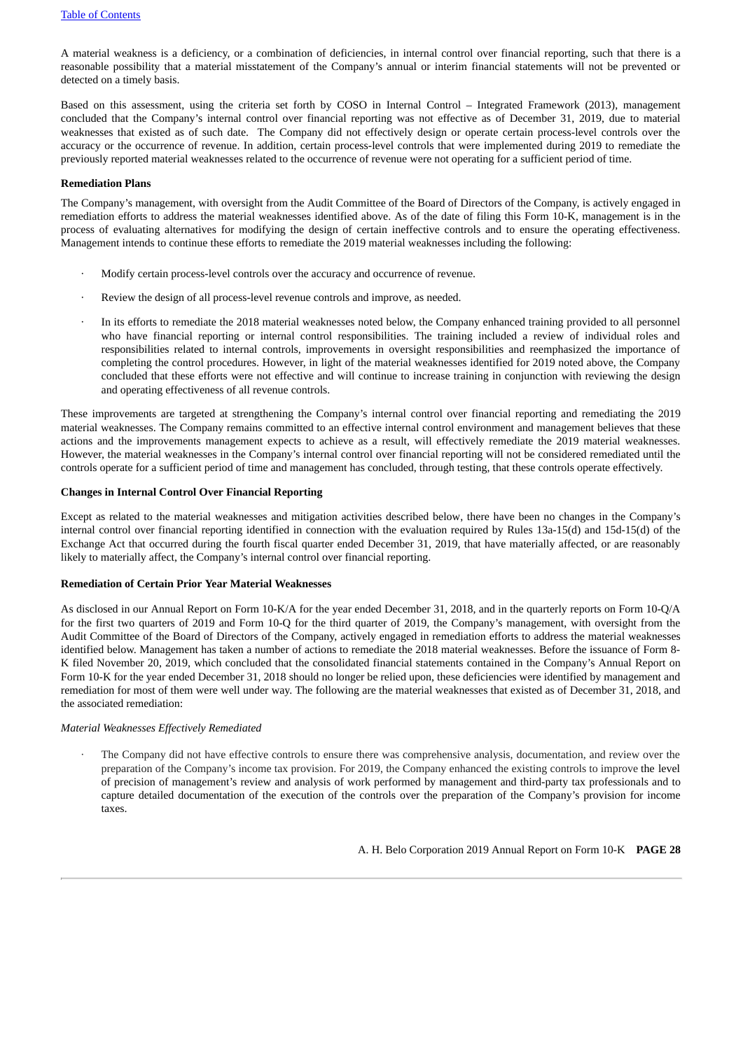A material weakness is a deficiency, or a combination of deficiencies, in internal control over financial reporting, such that there is a reasonable possibility that a material misstatement of the Company's annual or interim financial statements will not be prevented or detected on a timely basis.

Based on this assessment, using the criteria set forth by COSO in Internal Control – Integrated Framework (2013), management concluded that the Company's internal control over financial reporting was not effective as of December 31, 2019, due to material weaknesses that existed as of such date. The Company did not effectively design or operate certain process-level controls over the accuracy or the occurrence of revenue. In addition, certain process-level controls that were implemented during 2019 to remediate the previously reported material weaknesses related to the occurrence of revenue were not operating for a sufficient period of time.

#### **Remediation Plans**

The Company's management, with oversight from the Audit Committee of the Board of Directors of the Company, is actively engaged in remediation efforts to address the material weaknesses identified above. As of the date of filing this Form 10-K, management is in the process of evaluating alternatives for modifying the design of certain ineffective controls and to ensure the operating effectiveness. Management intends to continue these efforts to remediate the 2019 material weaknesses including the following:

- Modify certain process-level controls over the accuracy and occurrence of revenue.
- Review the design of all process-level revenue controls and improve, as needed.
- In its efforts to remediate the 2018 material weaknesses noted below, the Company enhanced training provided to all personnel who have financial reporting or internal control responsibilities. The training included a review of individual roles and responsibilities related to internal controls, improvements in oversight responsibilities and reemphasized the importance of completing the control procedures. However, in light of the material weaknesses identified for 2019 noted above, the Company concluded that these efforts were not effective and will continue to increase training in conjunction with reviewing the design and operating effectiveness of all revenue controls.

These improvements are targeted at strengthening the Company's internal control over financial reporting and remediating the 2019 material weaknesses. The Company remains committed to an effective internal control environment and management believes that these actions and the improvements management expects to achieve as a result, will effectively remediate the 2019 material weaknesses. However, the material weaknesses in the Company's internal control over financial reporting will not be considered remediated until the controls operate for a sufficient period of time and management has concluded, through testing, that these controls operate effectively.

#### **Changes in Internal Control Over Financial Reporting**

Except as related to the material weaknesses and mitigation activities described below, there have been no changes in the Company's internal control over financial reporting identified in connection with the evaluation required by Rules 13a-15(d) and 15d-15(d) of the Exchange Act that occurred during the fourth fiscal quarter ended December 31, 2019, that have materially affected, or are reasonably likely to materially affect, the Company's internal control over financial reporting.

#### **Remediation of Certain Prior Year Material Weaknesses**

As disclosed in our Annual Report on Form 10-K/A for the year ended December 31, 2018, and in the quarterly reports on Form 10-Q/A for the first two quarters of 2019 and Form 10-Q for the third quarter of 2019, the Company's management, with oversight from the Audit Committee of the Board of Directors of the Company, actively engaged in remediation efforts to address the material weaknesses identified below. Management has taken a number of actions to remediate the 2018 material weaknesses. Before the issuance of Form 8- K filed November 20, 2019, which concluded that the consolidated financial statements contained in the Company's Annual Report on Form 10-K for the year ended December 31, 2018 should no longer be relied upon, these deficiencies were identified by management and remediation for most of them were well under way. The following are the material weaknesses that existed as of December 31, 2018, and the associated remediation:

#### *Material Weaknesses Effectively Remediated*

The Company did not have effective controls to ensure there was comprehensive analysis, documentation, and review over the preparation of the Company's income tax provision. For 2019, the Company enhanced the existing controls to improve the level of precision of management's review and analysis of work performed by management and third-party tax professionals and to capture detailed documentation of the execution of the controls over the preparation of the Company's provision for income taxes.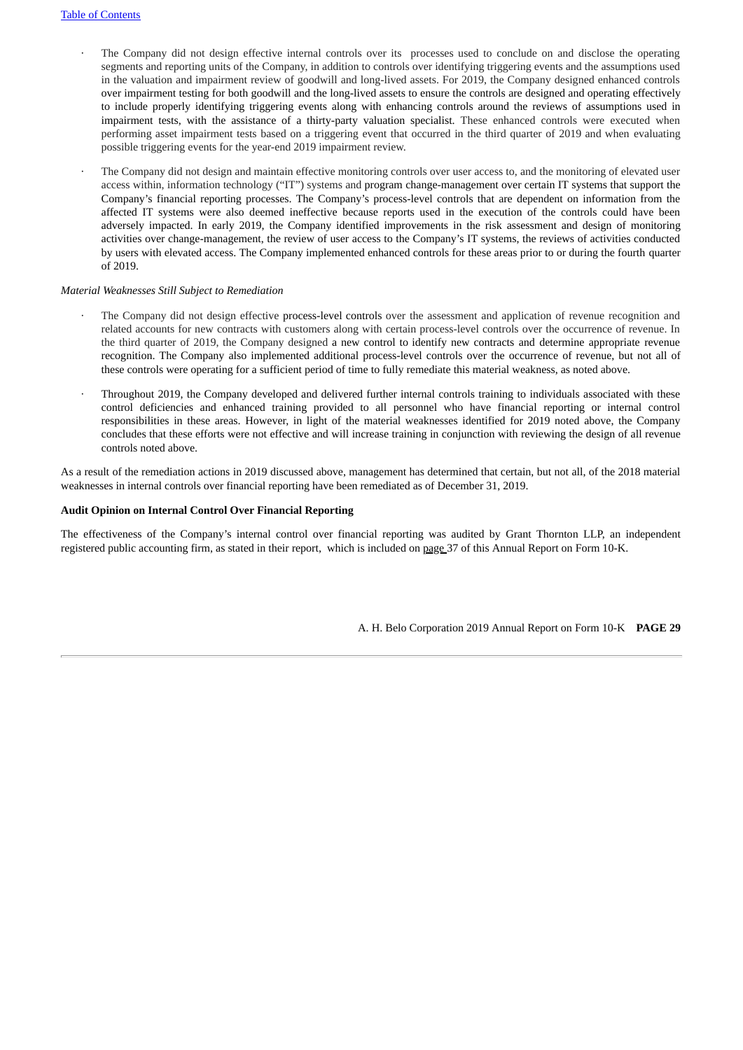- · The Company did not design effective internal controls over its processes used to conclude on and disclose the operating segments and reporting units of the Company, in addition to controls over identifying triggering events and the assumptions used in the valuation and impairment review of goodwill and long-lived assets. For 2019, the Company designed enhanced controls over impairment testing for both goodwill and the long-lived assets to ensure the controls are designed and operating effectively to include properly identifying triggering events along with enhancing controls around the reviews of assumptions used in impairment tests, with the assistance of a thirty-party valuation specialist. These enhanced controls were executed when performing asset impairment tests based on a triggering event that occurred in the third quarter of 2019 and when evaluating possible triggering events for the year-end 2019 impairment review.
- The Company did not design and maintain effective monitoring controls over user access to, and the monitoring of elevated user access within, information technology ("IT") systems and program change-management over certain IT systems that support the Company's financial reporting processes. The Company's process-level controls that are dependent on information from the affected IT systems were also deemed ineffective because reports used in the execution of the controls could have been adversely impacted. In early 2019, the Company identified improvements in the risk assessment and design of monitoring activities over change-management, the review of user access to the Company's IT systems, the reviews of activities conducted by users with elevated access. The Company implemented enhanced controls for these areas prior to or during the fourth quarter of 2019.

# *Material Weaknesses Still Subject to Remediation*

- The Company did not design effective process-level controls over the assessment and application of revenue recognition and related accounts for new contracts with customers along with certain process-level controls over the occurrence of revenue. In the third quarter of 2019, the Company designed a new control to identify new contracts and determine appropriate revenue recognition. The Company also implemented additional process-level controls over the occurrence of revenue, but not all of these controls were operating for a sufficient period of time to fully remediate this material weakness, as noted above.
- Throughout 2019, the Company developed and delivered further internal controls training to individuals associated with these control deficiencies and enhanced training provided to all personnel who have financial reporting or internal control responsibilities in these areas. However, in light of the material weaknesses identified for 2019 noted above, the Company concludes that these efforts were not effective and will increase training in conjunction with reviewing the design of all revenue controls noted above.

As a result of the remediation actions in 2019 discussed above, management has determined that certain, but not all, of the 2018 material weaknesses in internal controls over financial reporting have been remediated as of December 31, 2019.

#### **Audit Opinion on Internal Control Over Financial Reporting**

The effectiveness of the Company's internal control over financial reporting was audited by Grant Thornton LLP, an independent registered public accounting firm, as stated in their report, which is included on [page](#page-36-0) 37 of this Annual Report on Form 10-K.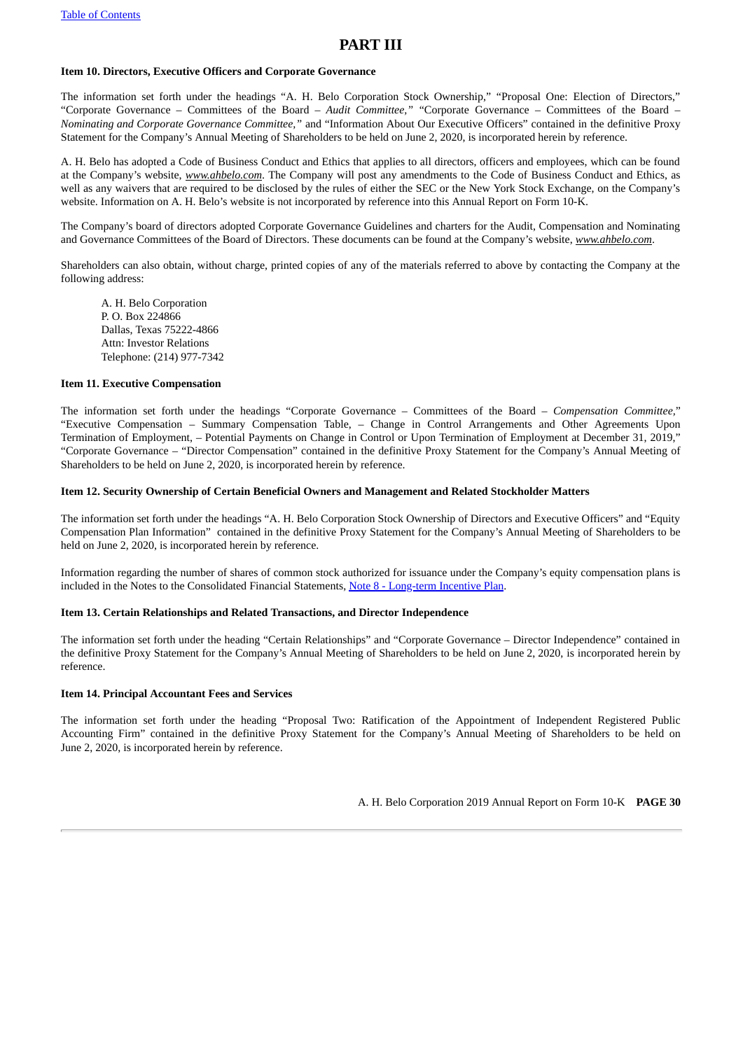# **PART III**

# <span id="page-29-1"></span><span id="page-29-0"></span>**Item 10. Directors, Executive Officers and Corporate Governance**

The information set forth under the headings "A. H. Belo Corporation Stock Ownership," "Proposal One: Election of Directors," "Corporate Governance – Committees of the Board – *Audit Committee,"* "Corporate Governance – Committees of the Board – *Nominating and Corporate Governance Committee,"* and "Information About Our Executive Officers" contained in the definitive Proxy Statement for the Company's Annual Meeting of Shareholders to be held on June 2, 2020, is incorporated herein by reference.

A. H. Belo has adopted a Code of Business Conduct and Ethics that applies to all directors, officers and employees, which can be found at the Company's website, *www.ahbelo.com*. The Company will post any amendments to the Code of Business Conduct and Ethics, as well as any waivers that are required to be disclosed by the rules of either the SEC or the New York Stock Exchange, on the Company's website. Information on A. H. Belo's website is not incorporated by reference into this Annual Report on Form 10-K.

The Company's board of directors adopted Corporate Governance Guidelines and charters for the Audit, Compensation and Nominating and Governance Committees of the Board of Directors. These documents can be found at the Company's website, *www.ahbelo.com*.

Shareholders can also obtain, without charge, printed copies of any of the materials referred to above by contacting the Company at the following address:

A. H. Belo Corporation P. O. Box 224866 Dallas, Texas 75222-4866 Attn: Investor Relations Telephone: (214) 977-7342

#### <span id="page-29-2"></span>**Item 11. Executive Compensation**

The information set forth under the headings "Corporate Governance – Committees of the Board – *Compensation Committee,*" "Executive Compensation – Summary Compensation Table, – Change in Control Arrangements and Other Agreements Upon Termination of Employment, – Potential Payments on Change in Control or Upon Termination of Employment at December 31, 2019," "Corporate Governance – "Director Compensation" contained in the definitive Proxy Statement for the Company's Annual Meeting of Shareholders to be held on June 2, 2020, is incorporated herein by reference.

#### <span id="page-29-3"></span>**Item 12. Security Ownership of Certain Beneficial Owners and Management and Related Stockholder Matters**

The information set forth under the headings "A. H. Belo Corporation Stock Ownership of Directors and Executive Officers" and "Equity Compensation Plan Information" contained in the definitive Proxy Statement for the Company's Annual Meeting of Shareholders to be held on June 2, 2020, is incorporated herein by reference.

Information regarding the number of shares of common stock authorized for issuance under the Company's equity compensation plans is included in the Notes to the Consolidated Financial Statements, Note 8 - [Long-term](#page-52-0) Incentive Plan.

#### <span id="page-29-4"></span>**Item 13. Certain Relationships and Related Transactions, and Director Independence**

The information set forth under the heading "Certain Relationships" and "Corporate Governance – Director Independence" contained in the definitive Proxy Statement for the Company's Annual Meeting of Shareholders to be held on June 2, 2020, is incorporated herein by reference.

#### <span id="page-29-5"></span>**Item 14. Principal Accountant Fees and Services**

The information set forth under the heading "Proposal Two: Ratification of the Appointment of Independent Registered Public Accounting Firm" contained in the definitive Proxy Statement for the Company's Annual Meeting of Shareholders to be held on June 2, 2020, is incorporated herein by reference.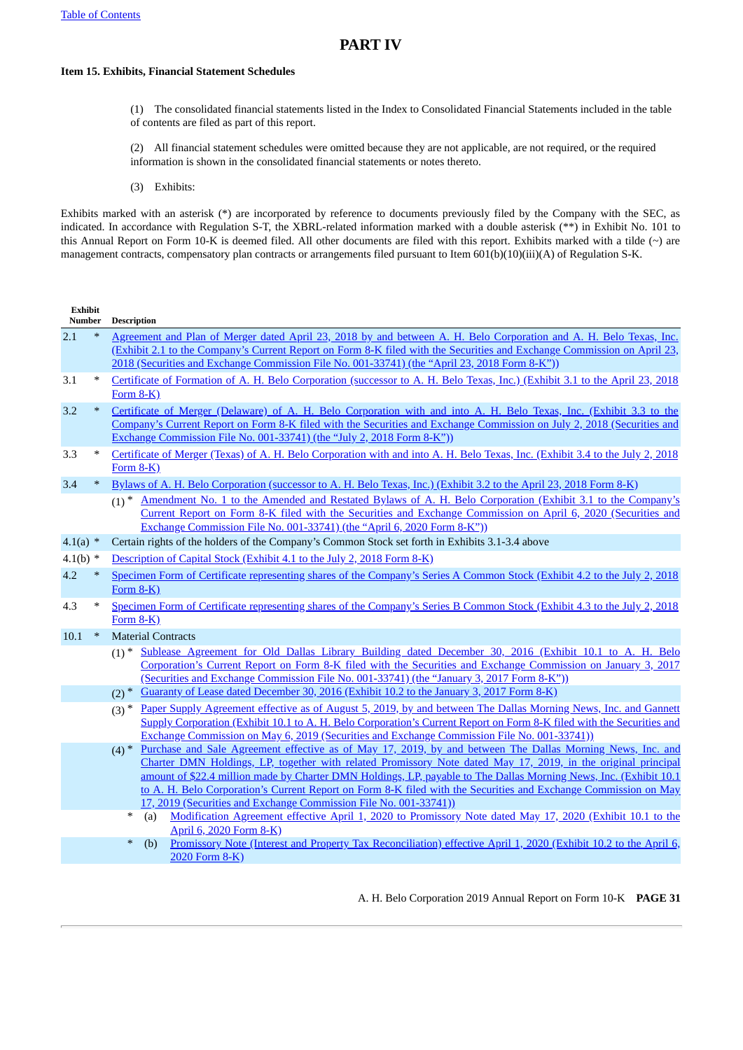# <span id="page-30-1"></span><span id="page-30-0"></span>**Item 15. Exhibits, Financial Statement Schedules**

(1) The consolidated financial statements listed in the Index to Consolidated Financial Statements included in the table of contents are filed as part of this report.

(2) All financial statement schedules were omitted because they are not applicable, are not required, or the required information is shown in the consolidated financial statements or notes thereto.

(3) Exhibits:

Exhibits marked with an asterisk (\*) are incorporated by reference to documents previously filed by the Company with the SEC, as indicated. In accordance with Regulation S-T, the XBRL-related information marked with a double asterisk (\*\*) in Exhibit No. 101 to this Annual Report on Form 10-K is deemed filed. All other documents are filed with this report. Exhibits marked with a tilde (~) are management contracts, compensatory plan contracts or arrangements filed pursuant to Item 601(b)(10)(iii)(A) of Regulation S-K.

| <b>Exhibit</b><br><b>Number</b> |        | Description                                                                                                                                                                                                                                                                                                                                                                                                                                                                                                                                                    |
|---------------------------------|--------|----------------------------------------------------------------------------------------------------------------------------------------------------------------------------------------------------------------------------------------------------------------------------------------------------------------------------------------------------------------------------------------------------------------------------------------------------------------------------------------------------------------------------------------------------------------|
| 2.1                             | $\ast$ | Agreement and Plan of Merger dated April 23, 2018 by and between A. H. Belo Corporation and A. H. Belo Texas, Inc.<br>(Exhibit 2.1 to the Company's Current Report on Form 8-K filed with the Securities and Exchange Commission on April 23,<br>2018 (Securities and Exchange Commission File No. 001-33741) (the "April 23, 2018 Form 8-K")).                                                                                                                                                                                                                |
| 3.1                             | $\ast$ | Certificate of Formation of A. H. Belo Corporation (successor to A. H. Belo Texas, Inc.) (Exhibit 3.1 to the April 23, 2018<br>Form $8-K$ )                                                                                                                                                                                                                                                                                                                                                                                                                    |
| 3.2                             | $\ast$ | Certificate of Merger (Delaware) of A. H. Belo Corporation with and into A. H. Belo Texas, Inc. (Exhibit 3.3 to the<br>Company's Current Report on Form 8-K filed with the Securities and Exchange Commission on July 2, 2018 (Securities and<br>Exchange Commission File No. 001-33741) (the "July 2, 2018 Form 8-K"))                                                                                                                                                                                                                                        |
| 3.3                             | $\ast$ | Certificate of Merger (Texas) of A. H. Belo Corporation with and into A. H. Belo Texas, Inc. (Exhibit 3.4 to the July 2, 2018<br>Form $8-K$ )                                                                                                                                                                                                                                                                                                                                                                                                                  |
| 3.4                             | $\ast$ | Bylaws of A. H. Belo Corporation (successor to A. H. Belo Texas, Inc.) (Exhibit 3.2 to the April 23, 2018 Form 8-K)<br>(1) * Amendment No. 1 to the Amended and Restated Bylaws of A. H. Belo Corporation (Exhibit 3.1 to the Company's<br>Current Report on Form 8-K filed with the Securities and Exchange Commission on April 6, 2020 (Securities and<br>Exchange Commission File No. 001-33741) (the "April 6, 2020 Form 8-K"))                                                                                                                            |
| $4.1(a)$ *                      |        | Certain rights of the holders of the Company's Common Stock set forth in Exhibits 3.1-3.4 above                                                                                                                                                                                                                                                                                                                                                                                                                                                                |
| $4.1(b)$ *                      |        | Description of Capital Stock (Exhibit 4.1 to the July 2, 2018 Form 8-K)                                                                                                                                                                                                                                                                                                                                                                                                                                                                                        |
| 4.2                             | $\ast$ | Specimen Form of Certificate representing shares of the Company's Series A Common Stock (Exhibit 4.2 to the July 2, 2018<br>Form $8-K$ )                                                                                                                                                                                                                                                                                                                                                                                                                       |
| 4.3                             | $\ast$ | Specimen Form of Certificate representing shares of the Company's Series B Common Stock (Exhibit 4.3 to the July 2, 2018<br>Form $8-K$ )                                                                                                                                                                                                                                                                                                                                                                                                                       |
| 10.1                            | $\ast$ | <b>Material Contracts</b>                                                                                                                                                                                                                                                                                                                                                                                                                                                                                                                                      |
|                                 |        | (1) * Sublease Agreement for Old Dallas Library Building dated December 30, 2016 (Exhibit 10.1 to A. H. Belo<br>Corporation's Current Report on Form 8-K filed with the Securities and Exchange Commission on January 3, 2017<br>(Securities and Exchange Commission File No. 001-33741) (the "January 3, 2017 Form 8-K"))<br>Guaranty of Lease dated December 30, 2016 (Exhibit 10.2 to the January 3, 2017 Form 8-K)<br>$(2)$ <sup>*</sup>                                                                                                                   |
|                                 |        | Paper Supply Agreement effective as of August 5, 2019, by and between The Dallas Morning News, Inc. and Gannett<br>$(3)$ $*$<br>Supply Corporation (Exhibit 10.1 to A. H. Belo Corporation's Current Report on Form 8-K filed with the Securities and<br>Exchange Commission on May 6, 2019 (Securities and Exchange Commission File No. 001-33741))                                                                                                                                                                                                           |
|                                 |        | Purchase and Sale Agreement effective as of May 17, 2019, by and between The Dallas Morning News, Inc. and<br>$(4)$ <sup>*</sup><br>Charter DMN Holdings, LP, together with related Promissory Note dated May 17, 2019, in the original principal<br>amount of \$22.4 million made by Charter DMN Holdings, LP, payable to The Dallas Morning News, Inc. (Exhibit 10.1<br>to A. H. Belo Corporation's Current Report on Form 8-K filed with the Securities and Exchange Commission on May<br>17, 2019 (Securities and Exchange Commission File No. 001-33741)) |
|                                 |        | $\ast$<br>Modification Agreement effective April 1, 2020 to Promissory Note dated May 17, 2020 (Exhibit 10.1 to the<br>(a)<br>April 6, 2020 Form 8-K)                                                                                                                                                                                                                                                                                                                                                                                                          |
|                                 |        | Promissory Note (Interest and Property Tax Reconciliation) effective April 1, 2020 (Exhibit 10.2 to the April 6,<br>∗<br>(b)<br>2020 Form 8-K)                                                                                                                                                                                                                                                                                                                                                                                                                 |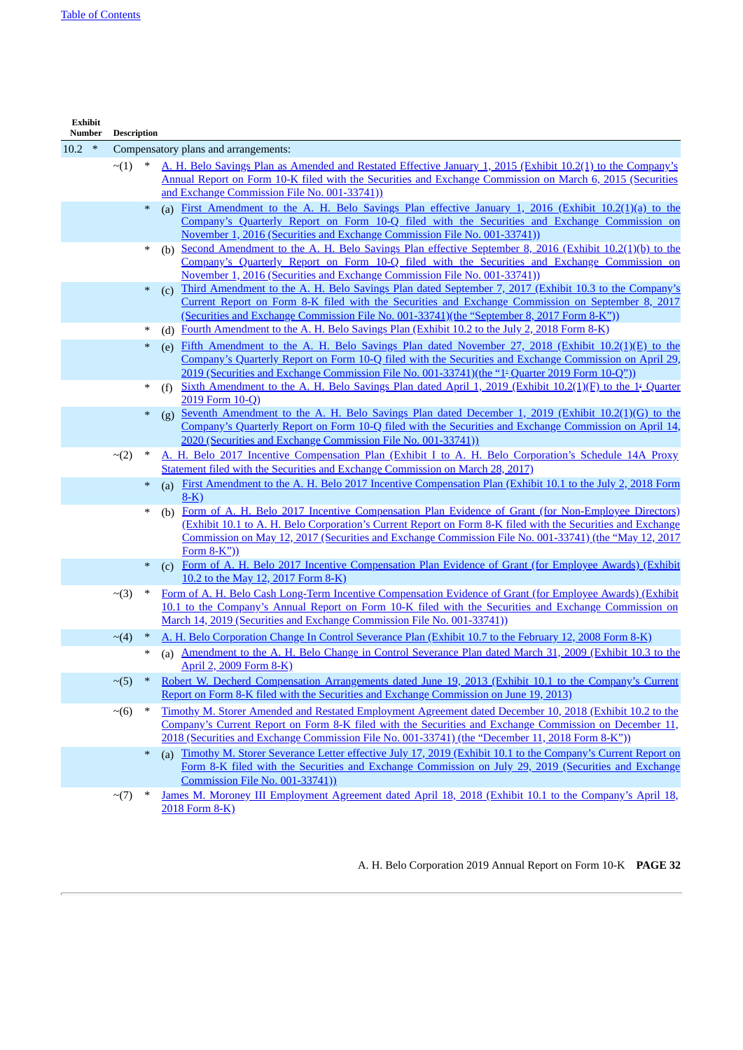| <b>Exhibit</b><br>Number |            | <b>Description</b> |                                                                                                                                                                                                                                                                                                                                                     |
|--------------------------|------------|--------------------|-----------------------------------------------------------------------------------------------------------------------------------------------------------------------------------------------------------------------------------------------------------------------------------------------------------------------------------------------------|
| $10.2$ *                 |            |                    | Compensatory plans and arrangements:                                                                                                                                                                                                                                                                                                                |
|                          | $\sim$ (1) |                    | A. H. Belo Savings Plan as Amended and Restated Effective January 1, 2015 (Exhibit 10.2(1) to the Company's<br>Annual Report on Form 10-K filed with the Securities and Exchange Commission on March 6, 2015 (Securities<br>and Exchange Commission File No. 001-33741))                                                                            |
|                          |            | $\ast$             | (a) First Amendment to the A. H. Belo Savings Plan effective January 1, 2016 (Exhibit 10.2(1)(a) to the<br>Company's Quarterly Report on Form 10-Q filed with the Securities and Exchange Commission on<br>November 1, 2016 (Securities and Exchange Commission File No. 001-33741))                                                                |
|                          |            | $\ast$             | Second Amendment to the A. H. Belo Savings Plan effective September 8, 2016 (Exhibit 10.2(1)(b) to the<br>(b)<br>Company's Quarterly Report on Form 10-Q filed with the Securities and Exchange Commission on<br>November 1, 2016 (Securities and Exchange Commission File No. 001-33741))                                                          |
|                          |            | $\ast$             | Third Amendment to the A. H. Belo Savings Plan dated September 7, 2017 (Exhibit 10.3 to the Company's<br>(c)<br>Current Report on Form 8-K filed with the Securities and Exchange Commission on September 8, 2017<br>(Securities and Exchange Commission File No. 001-33741)(the "September 8, 2017 Form 8-K"))                                     |
|                          |            | ∗                  | Fourth Amendment to the A. H. Belo Savings Plan (Exhibit 10.2 to the July 2, 2018 Form 8-K)<br>(d)                                                                                                                                                                                                                                                  |
|                          |            | $\ast$             | Fifth Amendment to the A. H. Belo Savings Plan dated November $27$ , $2018$ (Exhibit $10.2(1)(E)$ to the<br>(e)<br>Company's Quarterly Report on Form 10-Q filed with the Securities and Exchange Commission on April 29,<br>2019 (Securities and Exchange Commission File No. 001-33741)(the "1 <sup>®</sup> Quarter 2019 Form 10-Q")).            |
|                          |            | $\ast$             | Sixth Amendment to the A. H. Belo Savings Plan dated April 1, 2019 (Exhibit 10.2(1)(F) to the 1 <sup><i>z</i></sup> Quarter<br>(f)<br>2019 Form 10-Q)                                                                                                                                                                                               |
|                          |            | $\ast$             | Seventh Amendment to the A. H. Belo Savings Plan dated December 1, 2019 (Exhibit 10.2(1)(G) to the<br>(g)<br>Company's Quarterly Report on Form 10-Q filed with the Securities and Exchange Commission on April 14,<br>2020 (Securities and Exchange Commission File No. 001-33741))                                                                |
|                          | $\sim$ (2) | $\ast$             | A. H. Belo 2017 Incentive Compensation Plan (Exhibit I to A. H. Belo Corporation's Schedule 14A Proxy                                                                                                                                                                                                                                               |
|                          |            |                    | Statement filed with the Securities and Exchange Commission on March 28, 2017)                                                                                                                                                                                                                                                                      |
|                          |            | $\ast$             | (a) First Amendment to the A. H. Belo 2017 Incentive Compensation Plan (Exhibit 10.1 to the July 2, 2018 Form<br>$8-K$ )                                                                                                                                                                                                                            |
|                          |            | $\ast$             | Form of A. H. Belo 2017 Incentive Compensation Plan Evidence of Grant (for Non-Employee Directors)<br>(b)<br>(Exhibit 10.1 to A. H. Belo Corporation's Current Report on Form 8-K filed with the Securities and Exchange<br>Commission on May 12, 2017 (Securities and Exchange Commission File No. 001-33741) (the "May 12, 2017<br>Form $8-K$ ")) |
|                          |            | $\ast$             | (c) Form of A. H. Belo 2017 Incentive Compensation Plan Evidence of Grant (for Employee Awards) (Exhibit<br>10.2 to the May 12, 2017 Form 8-K)                                                                                                                                                                                                      |
|                          | $\sim$ (3) | $\ast$             | Form of A. H. Belo Cash Long-Term Incentive Compensation Evidence of Grant (for Employee Awards) (Exhibit<br>10.1 to the Company's Annual Report on Form 10-K filed with the Securities and Exchange Commission on<br>March 14, 2019 (Securities and Exchange Commission File No. 001-33741))                                                       |
|                          | $\sim$ (4) | $\ast$             | A. H. Belo Corporation Change In Control Severance Plan (Exhibit 10.7 to the February 12, 2008 Form 8-K)                                                                                                                                                                                                                                            |
|                          |            | $\ast$             | (a) Amendment to the A. H. Belo Change in Control Severance Plan dated March 31, 2009 (Exhibit 10.3 to the<br>April 2, 2009 Form 8-K)                                                                                                                                                                                                               |
|                          | $\sim$ (5) |                    | Robert W. Decherd Compensation Arrangements dated June 19, 2013 (Exhibit 10.1 to the Company's Current<br>Report on Form 8-K filed with the Securities and Exchange Commission on June 19, 2013)                                                                                                                                                    |
|                          | $\sim$ (6) | $\ast$             | Timothy M. Storer Amended and Restated Employment Agreement dated December 10, 2018 (Exhibit 10.2 to the<br>Company's Current Report on Form 8-K filed with the Securities and Exchange Commission on December 11,<br>2018 (Securities and Exchange Commission File No. 001-33741) (the "December 11, 2018 Form 8-K"))                              |
|                          |            | $\ast$             | Timothy M. Storer Severance Letter effective July 17, 2019 (Exhibit 10.1 to the Company's Current Report on<br>(a)<br>Form 8-K filed with the Securities and Exchange Commission on July 29, 2019 (Securities and Exchange<br><b>Commission File No. 001-33741)</b>                                                                                 |
|                          | $\sim$ (7) | $\ast$             | James M. Moroney III Employment Agreement dated April 18, 2018 (Exhibit 10.1 to the Company's April 18,<br>2018 Form 8-K)                                                                                                                                                                                                                           |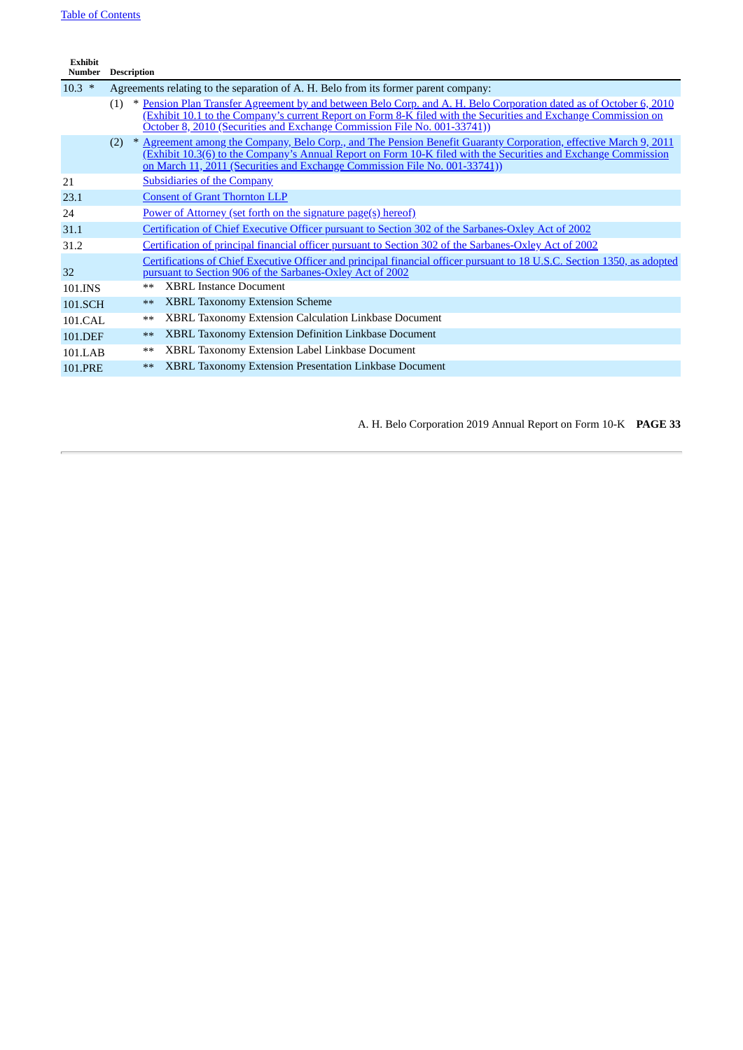| <b>Exhibit</b><br><b>Number</b> | <b>Description</b> |                                                                                                                                                                                                                                                                                                                       |
|---------------------------------|--------------------|-----------------------------------------------------------------------------------------------------------------------------------------------------------------------------------------------------------------------------------------------------------------------------------------------------------------------|
| $10.3*$                         |                    | Agreements relating to the separation of A. H. Belo from its former parent company:                                                                                                                                                                                                                                   |
|                                 | (1)                | * Pension Plan Transfer Agreement by and between Belo Corp. and A. H. Belo Corporation dated as of October 6, 2010<br>(Exhibit 10.1 to the Company's current Report on Form 8-K filed with the Securities and Exchange Commission on<br>October 8, 2010 (Securities and Exchange Commission File No. 001-33741))      |
|                                 |                    | (2) * Agreement among the Company, Belo Corp., and The Pension Benefit Guaranty Corporation, effective March 9, 2011<br>(Exhibit 10.3(6) to the Company's Annual Report on Form 10-K filed with the Securities and Exchange Commission<br>on March 11, 2011 (Securities and Exchange Commission File No. 001-33741)). |
| 21                              |                    | <b>Subsidiaries of the Company</b>                                                                                                                                                                                                                                                                                    |
| 23.1                            |                    | <b>Consent of Grant Thornton LLP</b>                                                                                                                                                                                                                                                                                  |
| 24                              |                    | <b>Power of Attorney (set forth on the signature page(s) hereof)</b>                                                                                                                                                                                                                                                  |
| 31.1                            |                    | <u>Certification of Chief Executive Officer pursuant to Section 302 of the Sarbanes-Oxley Act of 2002</u>                                                                                                                                                                                                             |
| 31.2                            |                    | Certification of principal financial officer pursuant to Section 302 of the Sarbanes-Oxley Act of 2002                                                                                                                                                                                                                |
| 32                              |                    | Certifications of Chief Executive Officer and principal financial officer pursuant to 18 U.S.C. Section 1350, as adopted<br>pursuant to Section 906 of the Sarbanes-Oxley Act of 2002                                                                                                                                 |
| 101.INS                         |                    | <b>XBRL Instance Document</b><br>$**$                                                                                                                                                                                                                                                                                 |
| 101.SCH                         |                    | <b>XBRL Taxonomy Extension Scheme</b><br>$**$                                                                                                                                                                                                                                                                         |
| 101.CAL                         |                    | <b>XBRL Taxonomy Extension Calculation Linkbase Document</b><br>$***$                                                                                                                                                                                                                                                 |
| <b>101.DEF</b>                  |                    | XBRL Taxonomy Extension Definition Linkbase Document<br>$***$                                                                                                                                                                                                                                                         |
| 101.LAB                         |                    | XBRL Taxonomy Extension Label Linkbase Document<br>$**$                                                                                                                                                                                                                                                               |
| 101.PRE                         |                    | <b>XBRL Taxonomy Extension Presentation Linkbase Document</b><br>$**$                                                                                                                                                                                                                                                 |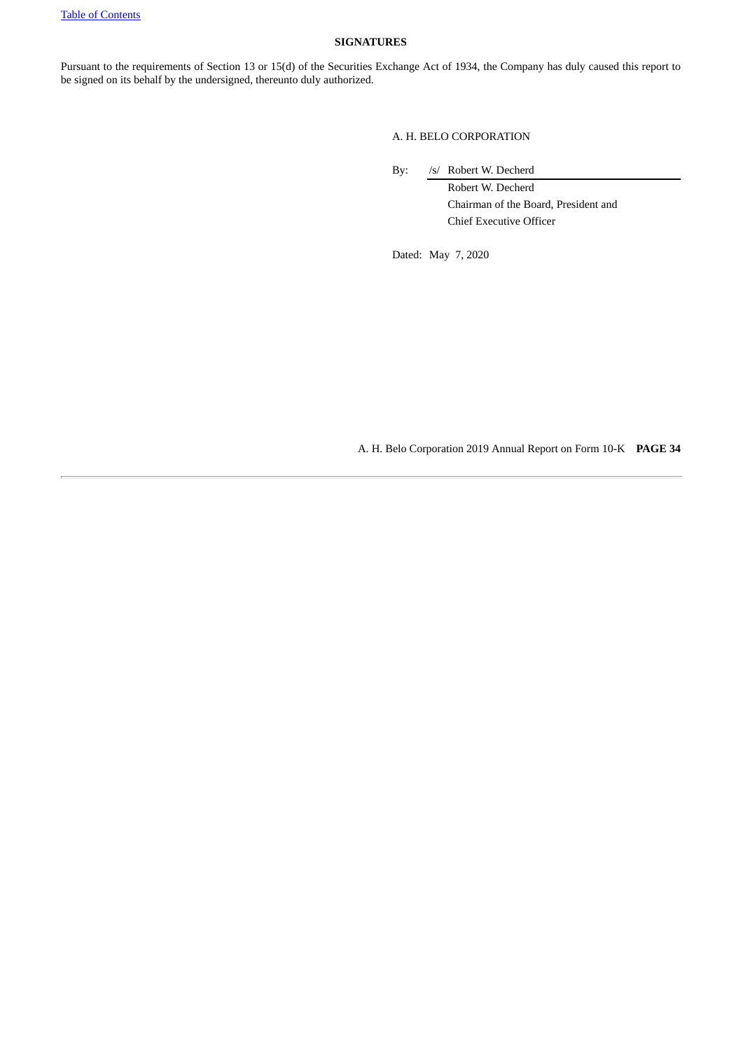# <span id="page-33-0"></span>**SIGNATURES**

Pursuant to the requirements of Section 13 or 15(d) of the Securities Exchange Act of 1934, the Company has duly caused this report to be signed on its behalf by the undersigned, thereunto duly authorized.

A. H. BELO CORPORATION

By: /s/ Robert W. Decherd

Robert W. Decherd Chairman of the Board, President and Chief Executive Officer

Dated: May 7, 2020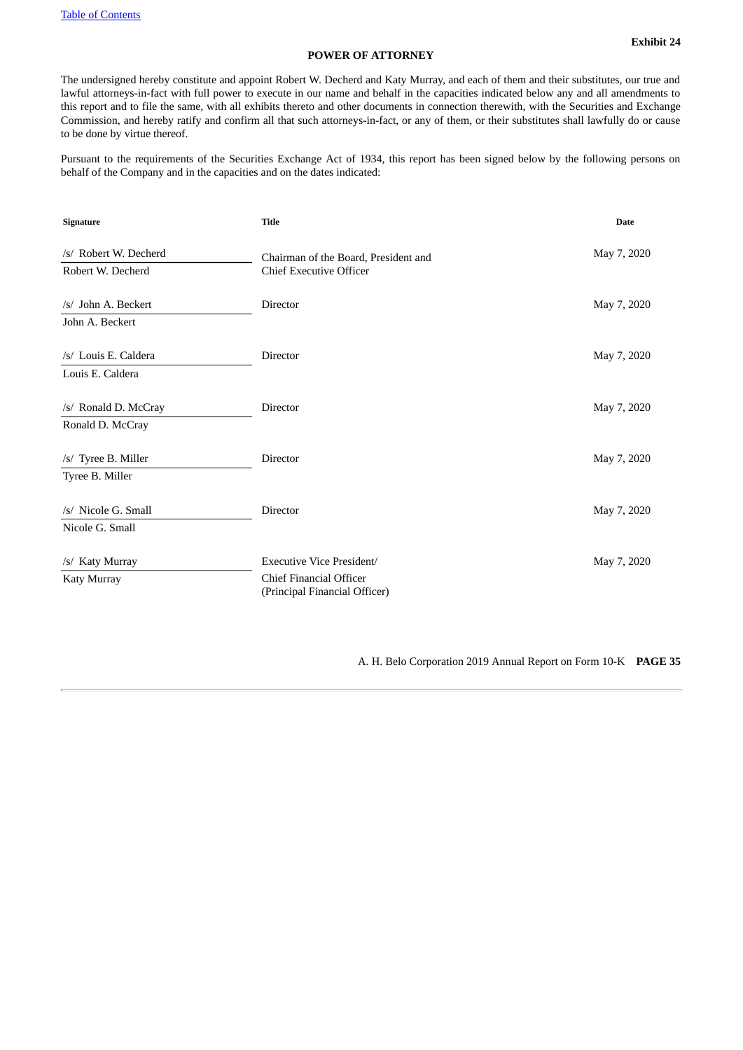#### <span id="page-34-0"></span>**POWER OF ATTORNEY**

The undersigned hereby constitute and appoint Robert W. Decherd and Katy Murray, and each of them and their substitutes, our true and lawful attorneys-in-fact with full power to execute in our name and behalf in the capacities indicated below any and all amendments to this report and to file the same, with all exhibits thereto and other documents in connection therewith, with the Securities and Exchange Commission, and hereby ratify and confirm all that such attorneys-in-fact, or any of them, or their substitutes shall lawfully do or cause to be done by virtue thereof.

Pursuant to the requirements of the Securities Exchange Act of 1934, this report has been signed below by the following persons on behalf of the Company and in the capacities and on the dates indicated:

| <b>Signature</b>                           | <b>Title</b>                                                           | <b>Date</b> |
|--------------------------------------------|------------------------------------------------------------------------|-------------|
| /s/ Robert W. Decherd<br>Robert W. Decherd | Chairman of the Board, President and<br><b>Chief Executive Officer</b> | May 7, 2020 |
|                                            |                                                                        |             |
| /s/ John A. Beckert                        | Director                                                               | May 7, 2020 |
| John A. Beckert                            |                                                                        |             |
| /s/ Louis E. Caldera                       | Director                                                               | May 7, 2020 |
| Louis E. Caldera                           |                                                                        |             |
| /s/ Ronald D. McCray                       | Director                                                               | May 7, 2020 |
| Ronald D. McCray                           |                                                                        |             |
| /s/ Tyree B. Miller                        | Director                                                               | May 7, 2020 |
| Tyree B. Miller                            |                                                                        |             |
| /s/ Nicole G. Small                        | Director                                                               | May 7, 2020 |
| Nicole G. Small                            |                                                                        |             |
| /s/ Katy Murray                            | <b>Executive Vice President/</b>                                       | May 7, 2020 |
| Katy Murray                                | Chief Financial Officer<br>(Principal Financial Officer)               |             |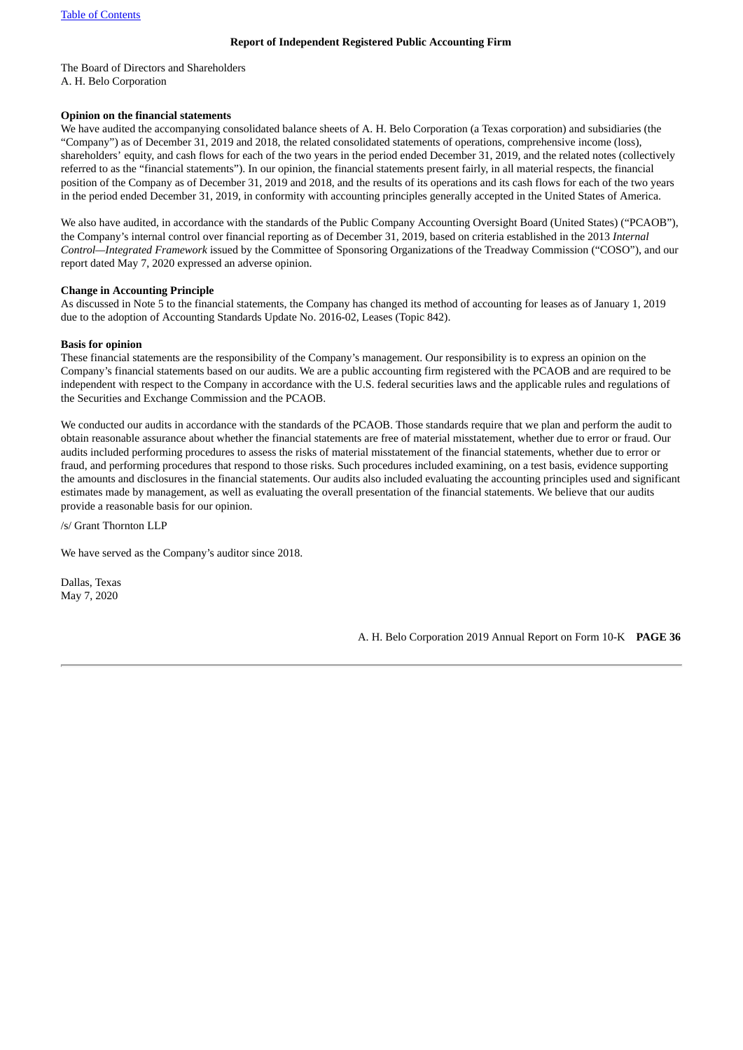# **Report of Independent Registered Public Accounting Firm**

<span id="page-35-0"></span>The Board of Directors and Shareholders A. H. Belo Corporation

# **Opinion on the financial statements**

We have audited the accompanying consolidated balance sheets of A. H. Belo Corporation (a Texas corporation) and subsidiaries (the "Company") as of December 31, 2019 and 2018, the related consolidated statements of operations, comprehensive income (loss), shareholders' equity, and cash flows for each of the two years in the period ended December 31, 2019, and the related notes (collectively referred to as the "financial statements"). In our opinion, the financial statements present fairly, in all material respects, the financial position of the Company as of December 31, 2019 and 2018, and the results of its operations and its cash flows for each of the two years in the period ended December 31, 2019, in conformity with accounting principles generally accepted in the United States of America.

We also have audited, in accordance with the standards of the Public Company Accounting Oversight Board (United States) ("PCAOB"), the Company's internal control over financial reporting as of December 31, 2019, based on criteria established in the 2013 *Internal Control—Integrated Framework* issued by the Committee of Sponsoring Organizations of the Treadway Commission ("COSO"), and our report dated May 7, 2020 expressed an adverse opinion.

# **Change in Accounting Principle**

As discussed in Note 5 to the financial statements, the Company has changed its method of accounting for leases as of January 1, 2019 due to the adoption of Accounting Standards Update No. 2016-02, Leases (Topic 842).

#### **Basis for opinion**

These financial statements are the responsibility of the Company's management. Our responsibility is to express an opinion on the Company's financial statements based on our audits. We are a public accounting firm registered with the PCAOB and are required to be independent with respect to the Company in accordance with the U.S. federal securities laws and the applicable rules and regulations of the Securities and Exchange Commission and the PCAOB.

We conducted our audits in accordance with the standards of the PCAOB. Those standards require that we plan and perform the audit to obtain reasonable assurance about whether the financial statements are free of material misstatement, whether due to error or fraud. Our audits included performing procedures to assess the risks of material misstatement of the financial statements, whether due to error or fraud, and performing procedures that respond to those risks. Such procedures included examining, on a test basis, evidence supporting the amounts and disclosures in the financial statements. Our audits also included evaluating the accounting principles used and significant estimates made by management, as well as evaluating the overall presentation of the financial statements. We believe that our audits provide a reasonable basis for our opinion.

/s/ Grant Thornton LLP

We have served as the Company's auditor since 2018.

Dallas, Texas May 7, 2020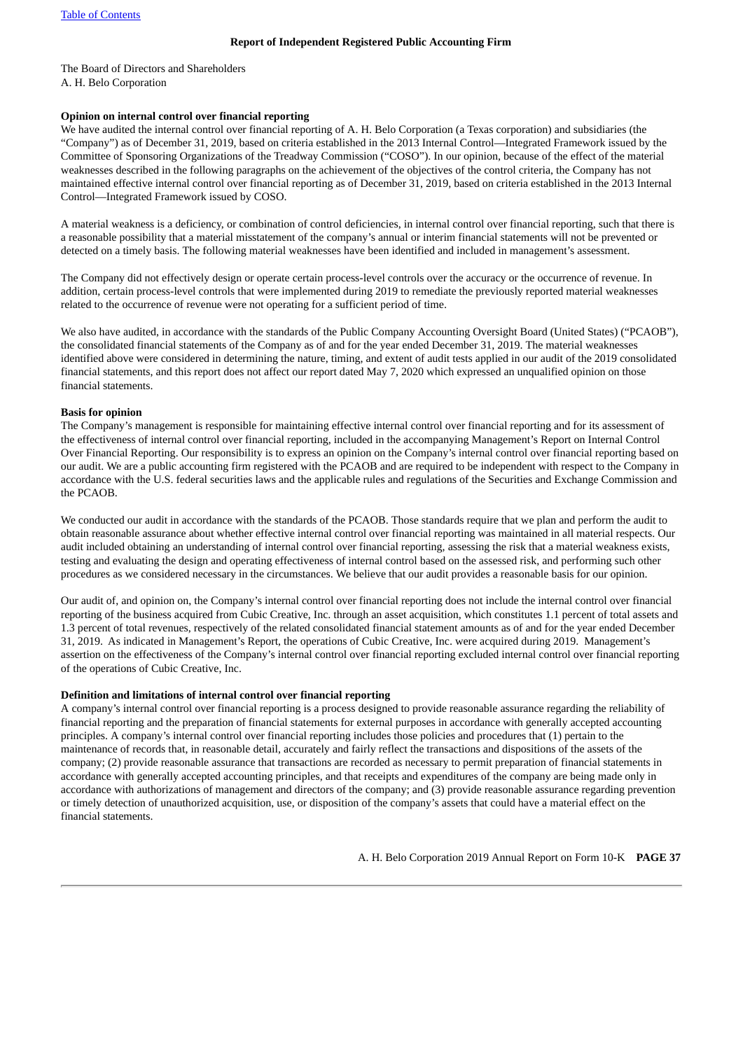# **Report of Independent Registered Public Accounting Firm**

<span id="page-36-0"></span>The Board of Directors and Shareholders A. H. Belo Corporation

# **Opinion on internal control over financial reporting**

We have audited the internal control over financial reporting of A. H. Belo Corporation (a Texas corporation) and subsidiaries (the "Company") as of December 31, 2019, based on criteria established in the 2013 Internal Control—Integrated Framework issued by the Committee of Sponsoring Organizations of the Treadway Commission ("COSO"). In our opinion, because of the effect of the material weaknesses described in the following paragraphs on the achievement of the objectives of the control criteria, the Company has not maintained effective internal control over financial reporting as of December 31, 2019, based on criteria established in the 2013 Internal Control—Integrated Framework issued by COSO.

A material weakness is a deficiency, or combination of control deficiencies, in internal control over financial reporting, such that there is a reasonable possibility that a material misstatement of the company's annual or interim financial statements will not be prevented or detected on a timely basis. The following material weaknesses have been identified and included in management's assessment.

The Company did not effectively design or operate certain process-level controls over the accuracy or the occurrence of revenue. In addition, certain process-level controls that were implemented during 2019 to remediate the previously reported material weaknesses related to the occurrence of revenue were not operating for a sufficient period of time.

We also have audited, in accordance with the standards of the Public Company Accounting Oversight Board (United States) ("PCAOB"), the consolidated financial statements of the Company as of and for the year ended December 31, 2019. The material weaknesses identified above were considered in determining the nature, timing, and extent of audit tests applied in our audit of the 2019 consolidated financial statements, and this report does not affect our report dated May 7, 2020 which expressed an unqualified opinion on those financial statements.

#### **Basis for opinion**

The Company's management is responsible for maintaining effective internal control over financial reporting and for its assessment of the effectiveness of internal control over financial reporting, included in the accompanying Management's Report on Internal Control Over Financial Reporting. Our responsibility is to express an opinion on the Company's internal control over financial reporting based on our audit. We are a public accounting firm registered with the PCAOB and are required to be independent with respect to the Company in accordance with the U.S. federal securities laws and the applicable rules and regulations of the Securities and Exchange Commission and the PCAOB.

We conducted our audit in accordance with the standards of the PCAOB. Those standards require that we plan and perform the audit to obtain reasonable assurance about whether effective internal control over financial reporting was maintained in all material respects. Our audit included obtaining an understanding of internal control over financial reporting, assessing the risk that a material weakness exists, testing and evaluating the design and operating effectiveness of internal control based on the assessed risk, and performing such other procedures as we considered necessary in the circumstances. We believe that our audit provides a reasonable basis for our opinion.

Our audit of, and opinion on, the Company's internal control over financial reporting does not include the internal control over financial reporting of the business acquired from Cubic Creative, Inc. through an asset acquisition, which constitutes 1.1 percent of total assets and 1.3 percent of total revenues, respectively of the related consolidated financial statement amounts as of and for the year ended December 31, 2019. As indicated in Management's Report, the operations of Cubic Creative, Inc. were acquired during 2019. Management's assertion on the effectiveness of the Company's internal control over financial reporting excluded internal control over financial reporting of the operations of Cubic Creative, Inc.

# **Definition and limitations of internal control over financial reporting**

A company's internal control over financial reporting is a process designed to provide reasonable assurance regarding the reliability of financial reporting and the preparation of financial statements for external purposes in accordance with generally accepted accounting principles. A company's internal control over financial reporting includes those policies and procedures that (1) pertain to the maintenance of records that, in reasonable detail, accurately and fairly reflect the transactions and dispositions of the assets of the company; (2) provide reasonable assurance that transactions are recorded as necessary to permit preparation of financial statements in accordance with generally accepted accounting principles, and that receipts and expenditures of the company are being made only in accordance with authorizations of management and directors of the company; and (3) provide reasonable assurance regarding prevention or timely detection of unauthorized acquisition, use, or disposition of the company's assets that could have a material effect on the financial statements.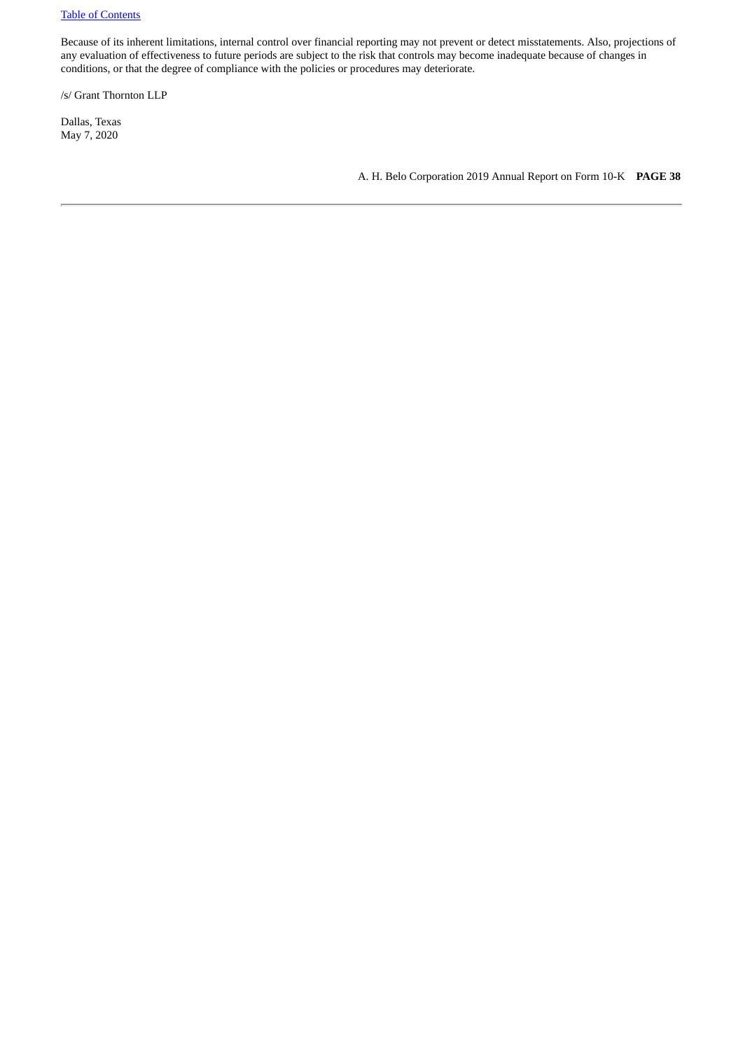Because of its inherent limitations, internal control over financial reporting may not prevent or detect misstatements. Also, projections of any evaluation of effectiveness to future periods are subject to the risk that controls may become inadequate because of changes in conditions, or that the degree of compliance with the policies or procedures may deteriorate.

/s/ Grant Thornton LLP

Dallas, Texas May 7, 2020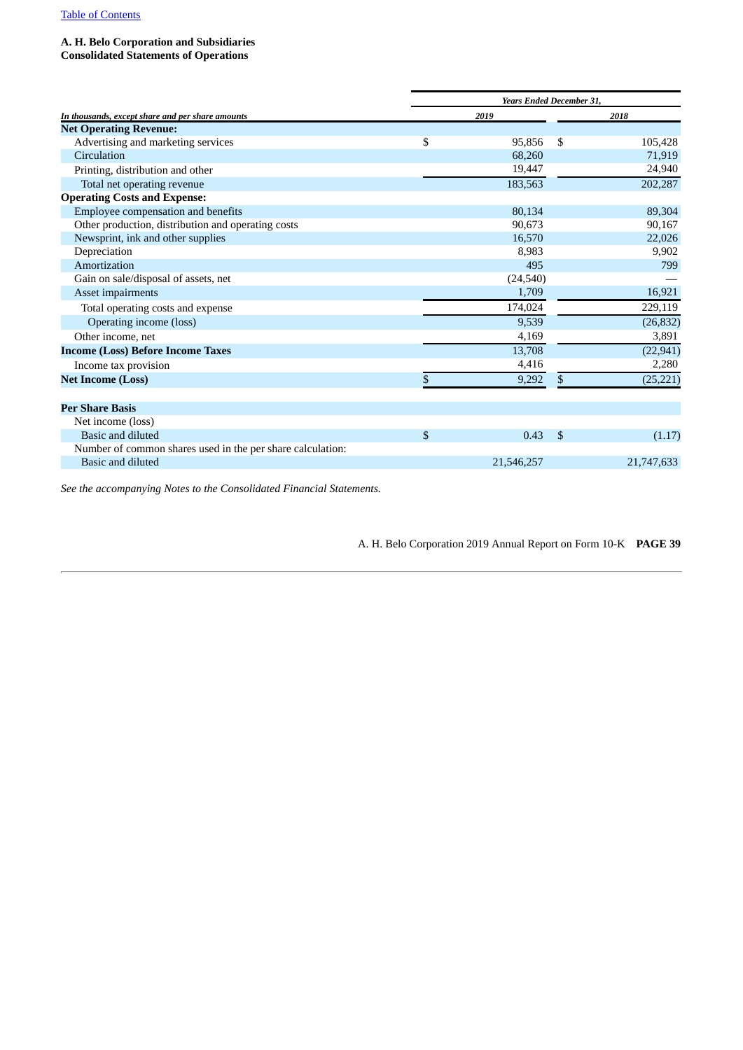# <span id="page-38-0"></span>**A. H. Belo Corporation and Subsidiaries**

**Consolidated Statements of Operations**

|                                                            | <b>Years Ended December 31,</b> |            |               |            |
|------------------------------------------------------------|---------------------------------|------------|---------------|------------|
| In thousands, except share and per share amounts           |                                 | 2019       |               | 2018       |
| <b>Net Operating Revenue:</b>                              |                                 |            |               |            |
| Advertising and marketing services                         | \$                              | 95,856     | \$            | 105,428    |
| Circulation                                                |                                 | 68,260     |               | 71,919     |
| Printing, distribution and other                           |                                 | 19,447     |               | 24,940     |
| Total net operating revenue                                |                                 | 183,563    |               | 202,287    |
| <b>Operating Costs and Expense:</b>                        |                                 |            |               |            |
| Employee compensation and benefits                         |                                 | 80,134     |               | 89,304     |
| Other production, distribution and operating costs         |                                 | 90,673     |               | 90,167     |
| Newsprint, ink and other supplies                          |                                 | 16,570     |               | 22,026     |
| Depreciation                                               |                                 | 8,983      |               | 9,902      |
| Amortization                                               |                                 | 495        |               | 799        |
| Gain on sale/disposal of assets, net                       |                                 | (24, 540)  |               |            |
| Asset impairments                                          |                                 | 1.709      |               | 16,921     |
| Total operating costs and expense                          |                                 | 174,024    |               | 229,119    |
| Operating income (loss)                                    |                                 | 9,539      |               | (26, 832)  |
| Other income, net                                          |                                 | 4,169      |               | 3,891      |
| <b>Income (Loss) Before Income Taxes</b>                   |                                 | 13,708     |               | (22, 941)  |
| Income tax provision                                       |                                 | 4,416      |               | 2,280      |
| <b>Net Income (Loss)</b>                                   | \$                              | 9,292      | \$            | (25, 221)  |
| <b>Per Share Basis</b>                                     |                                 |            |               |            |
| Net income (loss)                                          |                                 |            |               |            |
| Basic and diluted                                          | $\mathbb{S}$                    | 0.43       | <sup>\$</sup> | (1.17)     |
| Number of common shares used in the per share calculation: |                                 |            |               |            |
| Basic and diluted                                          |                                 | 21,546,257 |               | 21,747,633 |
|                                                            |                                 |            |               |            |

*See the accompanying Notes to the Consolidated Financial Statements.*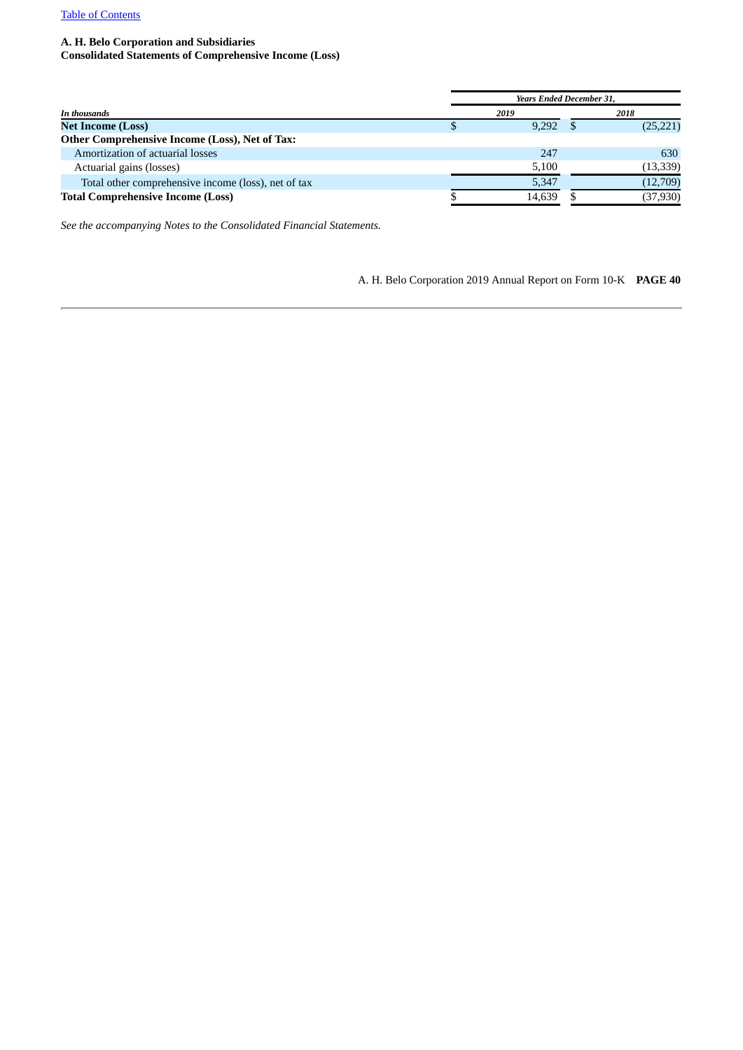# <span id="page-39-0"></span>**A. H. Belo Corporation and Subsidiaries**

**Consolidated Statements of Comprehensive Income (Loss)**

|                                                     | <b>Years Ended December 31,</b> |        |  |           |  |  |
|-----------------------------------------------------|---------------------------------|--------|--|-----------|--|--|
| In thousands                                        | 2019                            |        |  | 2018      |  |  |
| <b>Net Income (Loss)</b>                            |                                 | 9.292  |  | (25, 221) |  |  |
| Other Comprehensive Income (Loss), Net of Tax:      |                                 |        |  |           |  |  |
| Amortization of actuarial losses                    |                                 | 247    |  | 630       |  |  |
| Actuarial gains (losses)                            |                                 | 5,100  |  | (13, 339) |  |  |
| Total other comprehensive income (loss), net of tax |                                 | 5,347  |  | (12,709)  |  |  |
| <b>Total Comprehensive Income (Loss)</b>            |                                 | 14,639 |  | (37, 930) |  |  |

*See the accompanying Notes to the Consolidated Financial Statements.*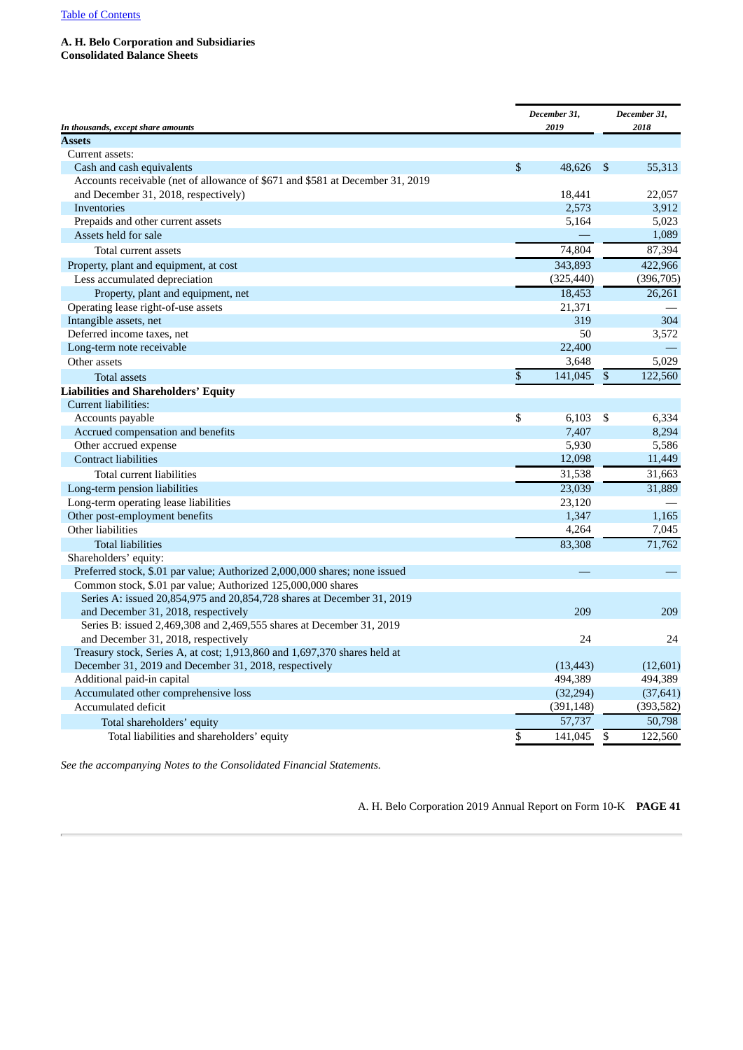# <span id="page-40-0"></span>**A. H. Belo Corporation and Subsidiaries**

**Consolidated Balance Sheets**

| In thousands, except share amounts                                            |                 | December 31,<br>2019 |    | December 31,<br>2018 |
|-------------------------------------------------------------------------------|-----------------|----------------------|----|----------------------|
| <b>Assets</b>                                                                 |                 |                      |    |                      |
| Current assets:                                                               |                 |                      |    |                      |
| Cash and cash equivalents                                                     | \$              | 48,626               | -S | 55,313               |
| Accounts receivable (net of allowance of \$671 and \$581 at December 31, 2019 |                 |                      |    |                      |
| and December 31, 2018, respectively)                                          |                 | 18,441               |    | 22,057               |
| Inventories                                                                   |                 | 2,573                |    | 3,912                |
| Prepaids and other current assets                                             |                 | 5,164                |    | 5,023                |
| Assets held for sale                                                          |                 |                      |    | 1,089                |
| Total current assets                                                          |                 | 74,804               |    | 87,394               |
| Property, plant and equipment, at cost                                        |                 | 343,893              |    | 422,966              |
| Less accumulated depreciation                                                 |                 | (325, 440)           |    | (396, 705)           |
| Property, plant and equipment, net                                            |                 | 18,453               |    | 26,261               |
| Operating lease right-of-use assets                                           |                 | 21,371               |    |                      |
| Intangible assets, net                                                        |                 | 319                  |    | 304                  |
| Deferred income taxes, net                                                    |                 | 50                   |    | 3,572                |
| Long-term note receivable                                                     |                 | 22,400               |    |                      |
| Other assets                                                                  |                 | 3,648                |    | 5,029                |
| <b>Total assets</b>                                                           | \$              | 141,045              | \$ | 122,560              |
| <b>Liabilities and Shareholders' Equity</b>                                   |                 |                      |    |                      |
| Current liabilities:                                                          |                 |                      |    |                      |
| Accounts payable                                                              | \$              | 6,103                | \$ | 6,334                |
| Accrued compensation and benefits                                             |                 | 7,407                |    | 8,294                |
| Other accrued expense                                                         |                 | 5,930                |    | 5,586                |
| <b>Contract liabilities</b>                                                   |                 | 12,098               |    | 11,449               |
| Total current liabilities                                                     |                 | 31,538               |    | 31,663               |
| Long-term pension liabilities                                                 |                 | 23,039               |    | 31,889               |
| Long-term operating lease liabilities                                         |                 | 23,120               |    |                      |
| Other post-employment benefits                                                |                 | 1,347                |    | 1,165                |
| Other liabilities                                                             |                 | 4,264                |    | 7,045                |
| <b>Total liabilities</b>                                                      |                 | 83,308               |    | 71,762               |
| Shareholders' equity:                                                         |                 |                      |    |                      |
| Preferred stock, \$.01 par value; Authorized 2,000,000 shares; none issued    |                 |                      |    |                      |
| Common stock, \$.01 par value; Authorized 125,000,000 shares                  |                 |                      |    |                      |
| Series A: issued 20,854,975 and 20,854,728 shares at December 31, 2019        |                 |                      |    |                      |
| and December 31, 2018, respectively                                           |                 | 209                  |    | 209                  |
| Series B: issued 2,469,308 and 2,469,555 shares at December 31, 2019          |                 |                      |    |                      |
| and December 31, 2018, respectively                                           |                 | 24                   |    | 24                   |
| Treasury stock, Series A, at cost; 1,913,860 and 1,697,370 shares held at     |                 |                      |    |                      |
| December 31, 2019 and December 31, 2018, respectively                         |                 | (13, 443)            |    | (12,601)             |
| Additional paid-in capital                                                    |                 | 494,389              |    | 494,389              |
| Accumulated other comprehensive loss                                          |                 | (32, 294)            |    | (37, 641)            |
| Accumulated deficit                                                           |                 | (391, 148)           |    | (393, 582)           |
| Total shareholders' equity                                                    |                 | 57,737               |    | 50,798               |
| Total liabilities and shareholders' equity                                    | $\overline{\$}$ | 141,045              | \$ | 122,560              |
|                                                                               |                 |                      |    |                      |

*See the accompanying Notes to the Consolidated Financial Statements.*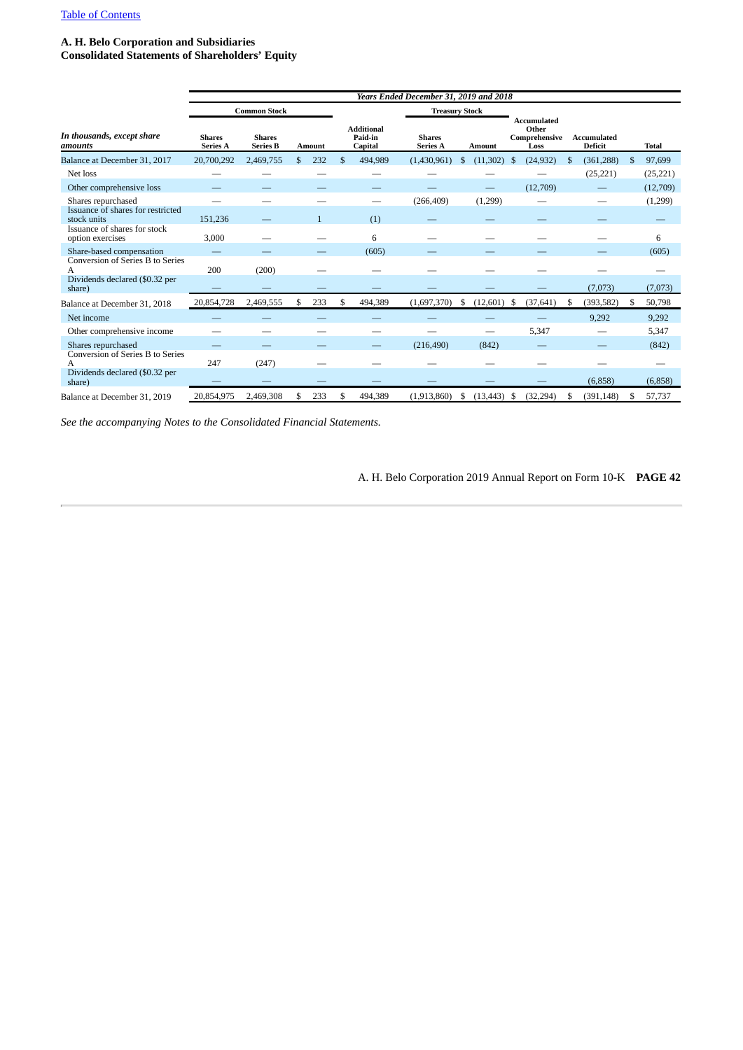# <span id="page-41-0"></span>**A. H. Belo Corporation and Subsidiaries**

**Consolidated Statements of Shareholders' Equity**

|                                                  |                                  |                                  |     |               |     |                                         | Years Ended December 31, 2019 and 2018 |    |               |    |                                                      |    |                               |              |
|--------------------------------------------------|----------------------------------|----------------------------------|-----|---------------|-----|-----------------------------------------|----------------------------------------|----|---------------|----|------------------------------------------------------|----|-------------------------------|--------------|
|                                                  |                                  | <b>Common Stock</b>              |     |               |     |                                         | <b>Treasury Stock</b>                  |    |               |    |                                                      |    |                               |              |
| In thousands, except share<br>amounts            | <b>Shares</b><br><b>Series A</b> | <b>Shares</b><br><b>Series B</b> |     | <b>Amount</b> |     | <b>Additional</b><br>Paid-in<br>Capital | <b>Shares</b><br><b>Series A</b>       |    | <b>Amount</b> |    | <b>Accumulated</b><br>Other<br>Comprehensive<br>Loss |    | <b>Accumulated</b><br>Deficit | <b>Total</b> |
| Balance at December 31, 2017                     | 20,700,292                       | 2,469,755                        | \$  | 232           |     | 494,989                                 | (1,430,961)                            | S. | (11, 302)     | \$ | (24, 932)                                            | -S | (361, 288)                    | 97,699       |
| Net loss                                         |                                  |                                  |     |               |     |                                         |                                        |    |               |    |                                                      |    | (25, 221)                     | (25, 221)    |
| Other comprehensive loss                         |                                  |                                  |     |               |     |                                         |                                        |    |               |    | (12,709)                                             |    |                               | (12,709)     |
| Shares repurchased                               |                                  |                                  |     |               |     |                                         | (266, 409)                             |    | (1,299)       |    |                                                      |    |                               | (1,299)      |
| Issuance of shares for restricted<br>stock units | 151,236                          |                                  |     |               |     | (1)                                     |                                        |    |               |    |                                                      |    |                               |              |
| Issuance of shares for stock<br>option exercises | 3,000                            |                                  |     |               |     | 6                                       |                                        |    |               |    |                                                      |    |                               | 6            |
| Share-based compensation                         |                                  |                                  |     |               |     | (605)                                   |                                        |    |               |    |                                                      |    |                               | (605)        |
| Conversion of Series B to Series                 | 200                              | (200)                            |     |               |     |                                         |                                        |    |               |    |                                                      |    |                               |              |
| Dividends declared (\$0.32 per<br>share)         |                                  |                                  |     |               |     |                                         |                                        |    |               |    |                                                      |    | (7,073)                       | (7,073)      |
| Balance at December 31, 2018                     | 20,854,728                       | 2,469,555                        | \$. | 233           | \$. | 494.389                                 | (1,697,370)                            | S  | (12,601)      | -S | (37, 641)                                            | \$ | (393, 582)                    | \$<br>50,798 |
| Net income                                       |                                  |                                  |     |               |     |                                         |                                        |    |               |    |                                                      |    | 9,292                         | 9,292        |
| Other comprehensive income                       |                                  |                                  |     |               |     |                                         |                                        |    |               |    | 5,347                                                |    |                               | 5,347        |
| Shares repurchased                               |                                  |                                  |     |               |     |                                         | (216, 490)                             |    | (842)         |    |                                                      |    |                               | (842)        |
| Conversion of Series B to Series                 | 247                              | (247)                            |     |               |     |                                         |                                        |    |               |    |                                                      |    |                               |              |
| Dividends declared (\$0.32 per<br>share)         |                                  |                                  |     |               |     |                                         |                                        |    |               |    |                                                      |    | (6, 858)                      | (6, 858)     |
| Balance at December 31, 2019                     | 20,854,975                       | 2,469,308                        |     | 233           | \$. | 494,389                                 | (1,913,860)                            | S  | (13, 443)     | \$ | (32, 294)                                            | \$ | (391, 148)                    | 57,737       |

*See the accompanying Notes to the Consolidated Financial Statements.*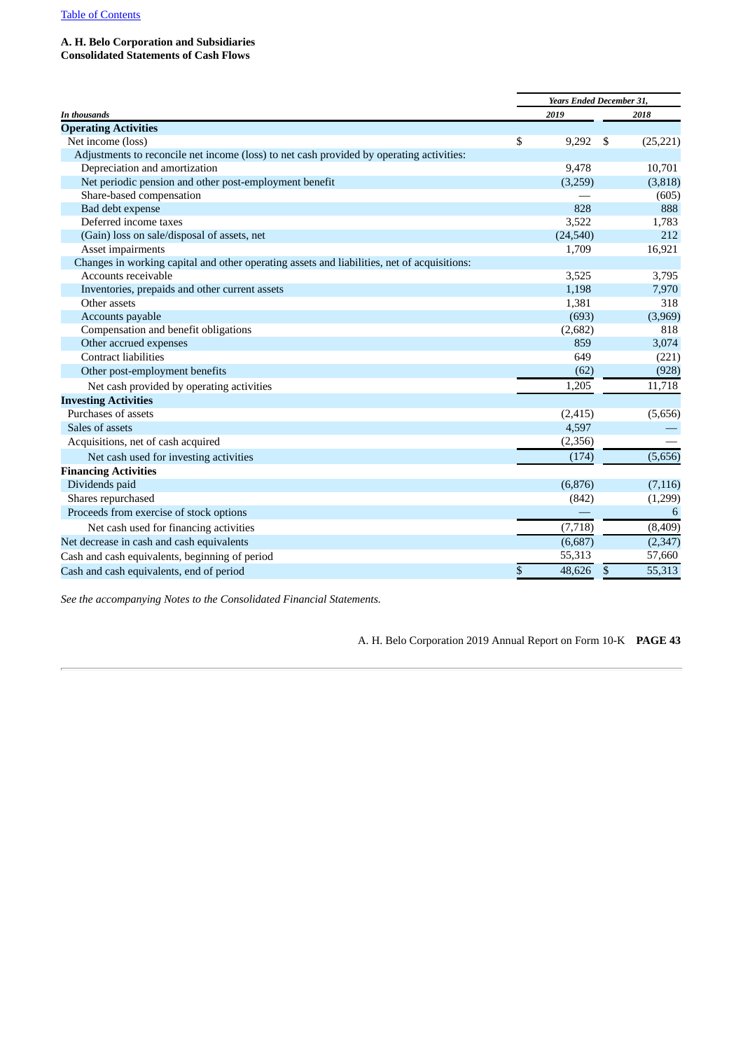### <span id="page-42-0"></span>**A. H. Belo Corporation and Subsidiaries**

**Consolidated Statements of Cash Flows**

| 2019<br>2018<br>In thousands<br><b>Operating Activities</b><br>\$<br>Net income (loss)<br>9,292<br>\$<br>(25, 221)<br>Adjustments to reconcile net income (loss) to net cash provided by operating activities:<br>Depreciation and amortization<br>9,478<br>10,701<br>Net periodic pension and other post-employment benefit<br>(3,259)<br>Share-based compensation<br>Bad debt expense<br>828<br>888<br>Deferred income taxes<br>3,522<br>1,783<br>(Gain) loss on sale/disposal of assets, net<br>212<br>(24, 540)<br>Asset impairments<br>16,921<br>1,709<br>Changes in working capital and other operating assets and liabilities, net of acquisitions:<br>Accounts receivable<br>3,525<br>3,795<br>1,198<br>Inventories, prepaids and other current assets<br>7,970<br>Other assets<br>1,381<br>318<br>(693)<br>Accounts payable<br>(3,969) |  | Years Ended December 31, |  |
|-------------------------------------------------------------------------------------------------------------------------------------------------------------------------------------------------------------------------------------------------------------------------------------------------------------------------------------------------------------------------------------------------------------------------------------------------------------------------------------------------------------------------------------------------------------------------------------------------------------------------------------------------------------------------------------------------------------------------------------------------------------------------------------------------------------------------------------------------|--|--------------------------|--|
| (3,818)<br>(605)                                                                                                                                                                                                                                                                                                                                                                                                                                                                                                                                                                                                                                                                                                                                                                                                                                |  |                          |  |
|                                                                                                                                                                                                                                                                                                                                                                                                                                                                                                                                                                                                                                                                                                                                                                                                                                                 |  |                          |  |
|                                                                                                                                                                                                                                                                                                                                                                                                                                                                                                                                                                                                                                                                                                                                                                                                                                                 |  |                          |  |
|                                                                                                                                                                                                                                                                                                                                                                                                                                                                                                                                                                                                                                                                                                                                                                                                                                                 |  |                          |  |
|                                                                                                                                                                                                                                                                                                                                                                                                                                                                                                                                                                                                                                                                                                                                                                                                                                                 |  |                          |  |
|                                                                                                                                                                                                                                                                                                                                                                                                                                                                                                                                                                                                                                                                                                                                                                                                                                                 |  |                          |  |
|                                                                                                                                                                                                                                                                                                                                                                                                                                                                                                                                                                                                                                                                                                                                                                                                                                                 |  |                          |  |
|                                                                                                                                                                                                                                                                                                                                                                                                                                                                                                                                                                                                                                                                                                                                                                                                                                                 |  |                          |  |
|                                                                                                                                                                                                                                                                                                                                                                                                                                                                                                                                                                                                                                                                                                                                                                                                                                                 |  |                          |  |
|                                                                                                                                                                                                                                                                                                                                                                                                                                                                                                                                                                                                                                                                                                                                                                                                                                                 |  |                          |  |
|                                                                                                                                                                                                                                                                                                                                                                                                                                                                                                                                                                                                                                                                                                                                                                                                                                                 |  |                          |  |
|                                                                                                                                                                                                                                                                                                                                                                                                                                                                                                                                                                                                                                                                                                                                                                                                                                                 |  |                          |  |
|                                                                                                                                                                                                                                                                                                                                                                                                                                                                                                                                                                                                                                                                                                                                                                                                                                                 |  |                          |  |
|                                                                                                                                                                                                                                                                                                                                                                                                                                                                                                                                                                                                                                                                                                                                                                                                                                                 |  |                          |  |
|                                                                                                                                                                                                                                                                                                                                                                                                                                                                                                                                                                                                                                                                                                                                                                                                                                                 |  |                          |  |
|                                                                                                                                                                                                                                                                                                                                                                                                                                                                                                                                                                                                                                                                                                                                                                                                                                                 |  |                          |  |
| Compensation and benefit obligations<br>(2,682)<br>818                                                                                                                                                                                                                                                                                                                                                                                                                                                                                                                                                                                                                                                                                                                                                                                          |  |                          |  |
| Other accrued expenses<br>3,074<br>859                                                                                                                                                                                                                                                                                                                                                                                                                                                                                                                                                                                                                                                                                                                                                                                                          |  |                          |  |
| <b>Contract liabilities</b><br>649<br>(221)                                                                                                                                                                                                                                                                                                                                                                                                                                                                                                                                                                                                                                                                                                                                                                                                     |  |                          |  |
| (62)<br>(928)<br>Other post-employment benefits                                                                                                                                                                                                                                                                                                                                                                                                                                                                                                                                                                                                                                                                                                                                                                                                 |  |                          |  |
| 1,205<br>11,718<br>Net cash provided by operating activities                                                                                                                                                                                                                                                                                                                                                                                                                                                                                                                                                                                                                                                                                                                                                                                    |  |                          |  |
| <b>Investing Activities</b>                                                                                                                                                                                                                                                                                                                                                                                                                                                                                                                                                                                                                                                                                                                                                                                                                     |  |                          |  |
| Purchases of assets<br>(5,656)<br>(2, 415)                                                                                                                                                                                                                                                                                                                                                                                                                                                                                                                                                                                                                                                                                                                                                                                                      |  |                          |  |
| Sales of assets<br>4,597                                                                                                                                                                                                                                                                                                                                                                                                                                                                                                                                                                                                                                                                                                                                                                                                                        |  |                          |  |
| (2,356)<br>Acquisitions, net of cash acquired                                                                                                                                                                                                                                                                                                                                                                                                                                                                                                                                                                                                                                                                                                                                                                                                   |  |                          |  |
| (5,656)<br>(174)<br>Net cash used for investing activities                                                                                                                                                                                                                                                                                                                                                                                                                                                                                                                                                                                                                                                                                                                                                                                      |  |                          |  |
| <b>Financing Activities</b>                                                                                                                                                                                                                                                                                                                                                                                                                                                                                                                                                                                                                                                                                                                                                                                                                     |  |                          |  |
| Dividends paid<br>(6, 876)<br>(7, 116)                                                                                                                                                                                                                                                                                                                                                                                                                                                                                                                                                                                                                                                                                                                                                                                                          |  |                          |  |
| Shares repurchased<br>(842)<br>(1,299)                                                                                                                                                                                                                                                                                                                                                                                                                                                                                                                                                                                                                                                                                                                                                                                                          |  |                          |  |
| Proceeds from exercise of stock options<br>6                                                                                                                                                                                                                                                                                                                                                                                                                                                                                                                                                                                                                                                                                                                                                                                                    |  |                          |  |
| (7, 718)<br>(8, 409)<br>Net cash used for financing activities                                                                                                                                                                                                                                                                                                                                                                                                                                                                                                                                                                                                                                                                                                                                                                                  |  |                          |  |
| Net decrease in cash and cash equivalents<br>(6,687)<br>(2,347)                                                                                                                                                                                                                                                                                                                                                                                                                                                                                                                                                                                                                                                                                                                                                                                 |  |                          |  |
| 55,313<br>57,660<br>Cash and cash equivalents, beginning of period                                                                                                                                                                                                                                                                                                                                                                                                                                                                                                                                                                                                                                                                                                                                                                              |  |                          |  |
| \$<br>48.626<br>$\mathbb{S}$<br>55,313<br>Cash and cash equivalents, end of period                                                                                                                                                                                                                                                                                                                                                                                                                                                                                                                                                                                                                                                                                                                                                              |  |                          |  |

*See the accompanying Notes to the Consolidated Financial Statements.*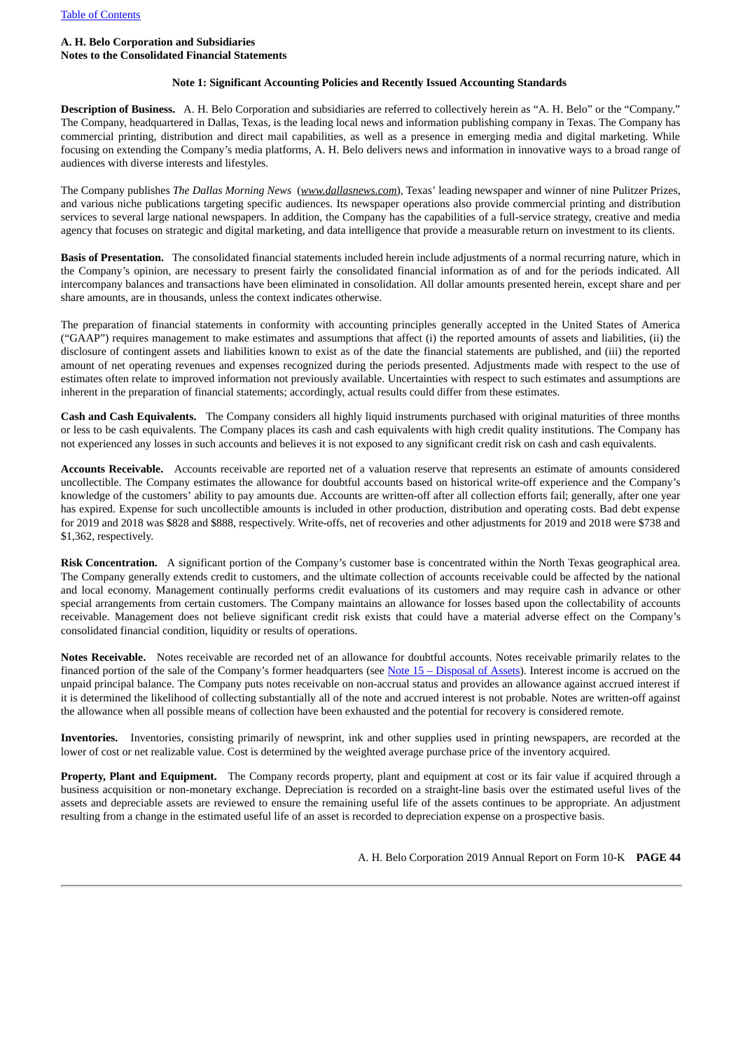# <span id="page-43-1"></span><span id="page-43-0"></span>**A. H. Belo Corporation and Subsidiaries Notes to the Consolidated Financial Statements**

# **Note 1: Significant Accounting Policies and Recently Issued Accounting Standards**

**Description of Business.** A. H. Belo Corporation and subsidiaries are referred to collectively herein as "A. H. Belo" or the "Company." The Company, headquartered in Dallas, Texas, is the leading local news and information publishing company in Texas. The Company has commercial printing, distribution and direct mail capabilities, as well as a presence in emerging media and digital marketing. While focusing on extending the Company's media platforms, A. H. Belo delivers news and information in innovative ways to a broad range of audiences with diverse interests and lifestyles.

The Company publishes *The Dallas Morning News* (*www.dallasnews.com*), Texas' leading newspaper and winner of nine Pulitzer Prizes, and various niche publications targeting specific audiences. Its newspaper operations also provide commercial printing and distribution services to several large national newspapers. In addition, the Company has the capabilities of a full-service strategy, creative and media agency that focuses on strategic and digital marketing, and data intelligence that provide a measurable return on investment to its clients.

**Basis of Presentation.** The consolidated financial statements included herein include adjustments of a normal recurring nature, which in the Company's opinion, are necessary to present fairly the consolidated financial information as of and for the periods indicated. All intercompany balances and transactions have been eliminated in consolidation. All dollar amounts presented herein, except share and per share amounts, are in thousands, unless the context indicates otherwise.

The preparation of financial statements in conformity with accounting principles generally accepted in the United States of America ("GAAP") requires management to make estimates and assumptions that affect (i) the reported amounts of assets and liabilities, (ii) the disclosure of contingent assets and liabilities known to exist as of the date the financial statements are published, and (iii) the reported amount of net operating revenues and expenses recognized during the periods presented. Adjustments made with respect to the use of estimates often relate to improved information not previously available. Uncertainties with respect to such estimates and assumptions are inherent in the preparation of financial statements; accordingly, actual results could differ from these estimates.

**Cash and Cash Equivalents.** The Company considers all highly liquid instruments purchased with original maturities of three months or less to be cash equivalents. The Company places its cash and cash equivalents with high credit quality institutions. The Company has not experienced any losses in such accounts and believes it is not exposed to any significant credit risk on cash and cash equivalents.

**Accounts Receivable.** Accounts receivable are reported net of a valuation reserve that represents an estimate of amounts considered uncollectible. The Company estimates the allowance for doubtful accounts based on historical write-off experience and the Company's knowledge of the customers' ability to pay amounts due. Accounts are written-off after all collection efforts fail; generally, after one year has expired. Expense for such uncollectible amounts is included in other production, distribution and operating costs. Bad debt expense for 2019 and 2018 was \$828 and \$888, respectively. Write-offs, net of recoveries and other adjustments for 2019 and 2018 were \$738 and \$1,362, respectively.

**Risk Concentration.** A significant portion of the Company's customer base is concentrated within the North Texas geographical area. The Company generally extends credit to customers, and the ultimate collection of accounts receivable could be affected by the national and local economy. Management continually performs credit evaluations of its customers and may require cash in advance or other special arrangements from certain customers. The Company maintains an allowance for losses based upon the collectability of accounts receivable. Management does not believe significant credit risk exists that could have a material adverse effect on the Company's consolidated financial condition, liquidity or results of operations.

**Notes Receivable.** Notes receivable are recorded net of an allowance for doubtful accounts. Notes receivable primarily relates to the financed portion of the sale of the Company's former headquarters (see Note 15 – [Disposal](#page-59-0) of Assets). Interest income is accrued on the unpaid principal balance. The Company puts notes receivable on non-accrual status and provides an allowance against accrued interest if it is determined the likelihood of collecting substantially all of the note and accrued interest is not probable. Notes are written-off against the allowance when all possible means of collection have been exhausted and the potential for recovery is considered remote.

**Inventories.** Inventories, consisting primarily of newsprint, ink and other supplies used in printing newspapers, are recorded at the lower of cost or net realizable value. Cost is determined by the weighted average purchase price of the inventory acquired.

**Property, Plant and Equipment.** The Company records property, plant and equipment at cost or its fair value if acquired through a business acquisition or non-monetary exchange. Depreciation is recorded on a straight-line basis over the estimated useful lives of the assets and depreciable assets are reviewed to ensure the remaining useful life of the assets continues to be appropriate. An adjustment resulting from a change in the estimated useful life of an asset is recorded to depreciation expense on a prospective basis.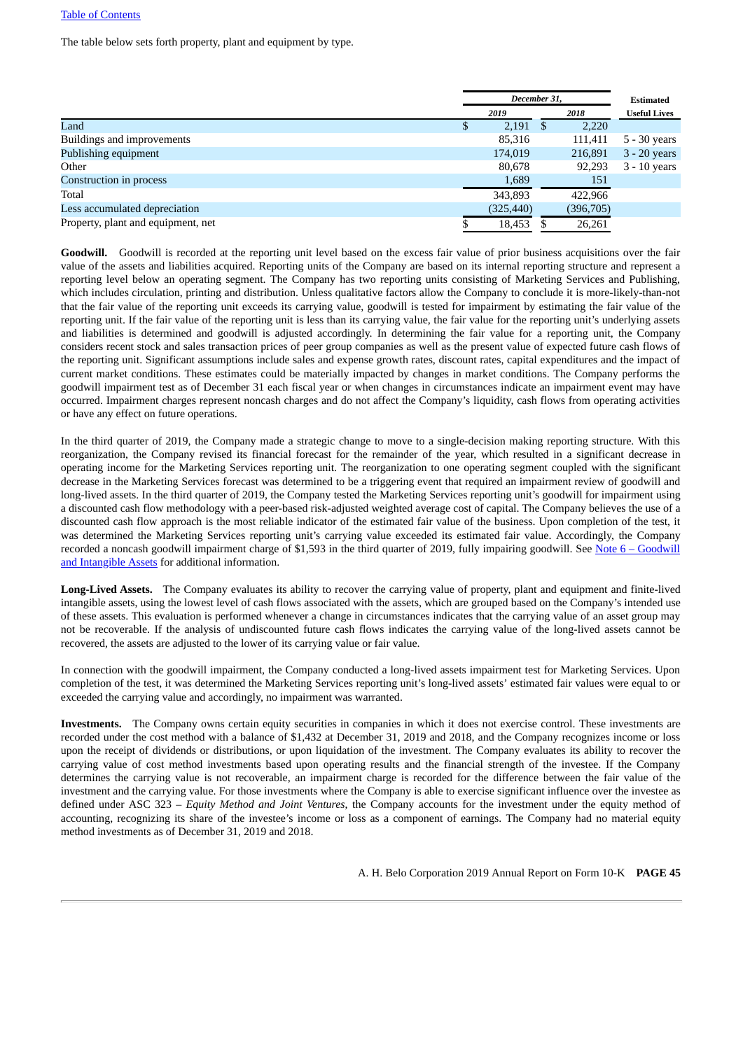The table below sets forth property, plant and equipment by type.

|                                    | December 31, |               |           |                     |
|------------------------------------|--------------|---------------|-----------|---------------------|
|                                    | 2019         |               | 2018      | <b>Useful Lives</b> |
| Land                               | 2,191        | <sup>\$</sup> | 2,220     |                     |
| Buildings and improvements         | 85,316       |               | 111,411   | 5 - 30 years        |
| Publishing equipment               | 174,019      |               | 216,891   | 3 - 20 years        |
| Other                              | 80,678       |               | 92,293    | $3 - 10$ years      |
| Construction in process            | 1,689        |               | 151       |                     |
| Total                              | 343,893      |               | 422,966   |                     |
| Less accumulated depreciation      | (325, 440)   |               | (396,705) |                     |
| Property, plant and equipment, net | 18,453       |               | 26,261    |                     |

**Goodwill.** Goodwill is recorded at the reporting unit level based on the excess fair value of prior business acquisitions over the fair value of the assets and liabilities acquired. Reporting units of the Company are based on its internal reporting structure and represent a reporting level below an operating segment. The Company has two reporting units consisting of Marketing Services and Publishing, which includes circulation, printing and distribution. Unless qualitative factors allow the Company to conclude it is more-likely-than-not that the fair value of the reporting unit exceeds its carrying value, goodwill is tested for impairment by estimating the fair value of the reporting unit. If the fair value of the reporting unit is less than its carrying value, the fair value for the reporting unit's underlying assets and liabilities is determined and goodwill is adjusted accordingly. In determining the fair value for a reporting unit, the Company considers recent stock and sales transaction prices of peer group companies as well as the present value of expected future cash flows of the reporting unit. Significant assumptions include sales and expense growth rates, discount rates, capital expenditures and the impact of current market conditions. These estimates could be materially impacted by changes in market conditions. The Company performs the goodwill impairment test as of December 31 each fiscal year or when changes in circumstances indicate an impairment event may have occurred. Impairment charges represent noncash charges and do not affect the Company's liquidity, cash flows from operating activities or have any effect on future operations.

In the third quarter of 2019, the Company made a strategic change to move to a single-decision making reporting structure. With this reorganization, the Company revised its financial forecast for the remainder of the year, which resulted in a significant decrease in operating income for the Marketing Services reporting unit. The reorganization to one operating segment coupled with the significant decrease in the Marketing Services forecast was determined to be a triggering event that required an impairment review of goodwill and long-lived assets. In the third quarter of 2019, the Company tested the Marketing Services reporting unit's goodwill for impairment using a discounted cash flow methodology with a peer-based risk-adjusted weighted average cost of capital. The Company believes the use of a discounted cash flow approach is the most reliable indicator of the estimated fair value of the business. Upon completion of the test, it was determined the Marketing Services reporting unit's carrying value exceeded its estimated fair value. Accordingly, the Company recorded a noncash goodwill impairment charge of \$1,593 in the third quarter of 2019, fully impairing goodwill. See Note 6 – Goodwill and Intangible Assets for additional [information.](#page-51-0)

**Long-Lived Assets.** The Company evaluates its ability to recover the carrying value of property, plant and equipment and finite-lived intangible assets, using the lowest level of cash flows associated with the assets, which are grouped based on the Company's intended use of these assets. This evaluation is performed whenever a change in circumstances indicates that the carrying value of an asset group may not be recoverable. If the analysis of undiscounted future cash flows indicates the carrying value of the long-lived assets cannot be recovered, the assets are adjusted to the lower of its carrying value or fair value.

In connection with the goodwill impairment, the Company conducted a long-lived assets impairment test for Marketing Services. Upon completion of the test, it was determined the Marketing Services reporting unit's long-lived assets' estimated fair values were equal to or exceeded the carrying value and accordingly, no impairment was warranted.

**Investments.** The Company owns certain equity securities in companies in which it does not exercise control. These investments are recorded under the cost method with a balance of \$1,432 at December 31, 2019 and 2018, and the Company recognizes income or loss upon the receipt of dividends or distributions, or upon liquidation of the investment. The Company evaluates its ability to recover the carrying value of cost method investments based upon operating results and the financial strength of the investee. If the Company determines the carrying value is not recoverable, an impairment charge is recorded for the difference between the fair value of the investment and the carrying value. For those investments where the Company is able to exercise significant influence over the investee as defined under ASC 323 – *Equity Method and Joint Ventures*, the Company accounts for the investment under the equity method of accounting, recognizing its share of the investee's income or loss as a component of earnings. The Company had no material equity method investments as of December 31, 2019 and 2018.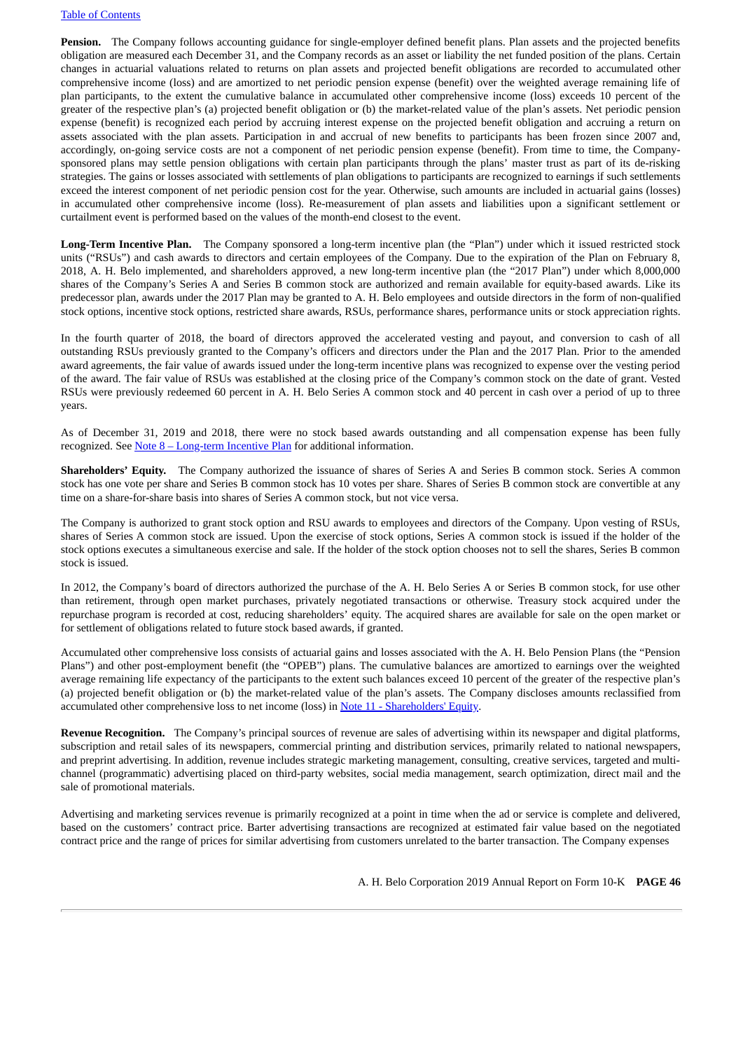**Pension.** The Company follows accounting guidance for single-employer defined benefit plans. Plan assets and the projected benefits obligation are measured each December 31, and the Company records as an asset or liability the net funded position of the plans. Certain changes in actuarial valuations related to returns on plan assets and projected benefit obligations are recorded to accumulated other comprehensive income (loss) and are amortized to net periodic pension expense (benefit) over the weighted average remaining life of plan participants, to the extent the cumulative balance in accumulated other comprehensive income (loss) exceeds 10 percent of the greater of the respective plan's (a) projected benefit obligation or (b) the market-related value of the plan's assets. Net periodic pension expense (benefit) is recognized each period by accruing interest expense on the projected benefit obligation and accruing a return on assets associated with the plan assets. Participation in and accrual of new benefits to participants has been frozen since 2007 and, accordingly, on-going service costs are not a component of net periodic pension expense (benefit). From time to time, the Companysponsored plans may settle pension obligations with certain plan participants through the plans' master trust as part of its de-risking strategies. The gains or losses associated with settlements of plan obligations to participants are recognized to earnings if such settlements exceed the interest component of net periodic pension cost for the year. Otherwise, such amounts are included in actuarial gains (losses) in accumulated other comprehensive income (loss). Re-measurement of plan assets and liabilities upon a significant settlement or curtailment event is performed based on the values of the month-end closest to the event.

**Long-Term Incentive Plan.** The Company sponsored a long-term incentive plan (the "Plan") under which it issued restricted stock units ("RSUs") and cash awards to directors and certain employees of the Company. Due to the expiration of the Plan on February 8, 2018, A. H. Belo implemented, and shareholders approved, a new long-term incentive plan (the "2017 Plan") under which 8,000,000 shares of the Company's Series A and Series B common stock are authorized and remain available for equity-based awards. Like its predecessor plan, awards under the 2017 Plan may be granted to A. H. Belo employees and outside directors in the form of non-qualified stock options, incentive stock options, restricted share awards, RSUs, performance shares, performance units or stock appreciation rights.

In the fourth quarter of 2018, the board of directors approved the accelerated vesting and payout, and conversion to cash of all outstanding RSUs previously granted to the Company's officers and directors under the Plan and the 2017 Plan. Prior to the amended award agreements, the fair value of awards issued under the long-term incentive plans was recognized to expense over the vesting period of the award. The fair value of RSUs was established at the closing price of the Company's common stock on the date of grant. Vested RSUs were previously redeemed 60 percent in A. H. Belo Series A common stock and 40 percent in cash over a period of up to three years.

As of December 31, 2019 and 2018, there were no stock based awards outstanding and all compensation expense has been fully recognized. See Note  $8 - Long-term Incentive Plan$  $8 - Long-term Incentive Plan$  $8 - Long-term Incentive Plan$  for additional information.

**Shareholders' Equity.** The Company authorized the issuance of shares of Series A and Series B common stock. Series A common stock has one vote per share and Series B common stock has 10 votes per share. Shares of Series B common stock are convertible at any time on a share-for-share basis into shares of Series A common stock, but not vice versa.

The Company is authorized to grant stock option and RSU awards to employees and directors of the Company. Upon vesting of RSUs, shares of Series A common stock are issued. Upon the exercise of stock options, Series A common stock is issued if the holder of the stock options executes a simultaneous exercise and sale. If the holder of the stock option chooses not to sell the shares, Series B common stock is issued.

In 2012, the Company's board of directors authorized the purchase of the A. H. Belo Series A or Series B common stock, for use other than retirement, through open market purchases, privately negotiated transactions or otherwise. Treasury stock acquired under the repurchase program is recorded at cost, reducing shareholders' equity. The acquired shares are available for sale on the open market or for settlement of obligations related to future stock based awards, if granted.

Accumulated other comprehensive loss consists of actuarial gains and losses associated with the A. H. Belo Pension Plans (the "Pension Plans") and other post-employment benefit (the "OPEB") plans. The cumulative balances are amortized to earnings over the weighted average remaining life expectancy of the participants to the extent such balances exceed 10 percent of the greater of the respective plan's (a) projected benefit obligation or (b) the market-related value of the plan's assets. The Company discloses amounts reclassified from accumulated other comprehensive loss to net income (loss) in Note 11 - [Shareholders'](#page-58-0) Equity.

**Revenue Recognition.** The Company's principal sources of revenue are sales of advertising within its newspaper and digital platforms, subscription and retail sales of its newspapers, commercial printing and distribution services, primarily related to national newspapers, and preprint advertising. In addition, revenue includes strategic marketing management, consulting, creative services, targeted and multichannel (programmatic) advertising placed on third-party websites, social media management, search optimization, direct mail and the sale of promotional materials.

Advertising and marketing services revenue is primarily recognized at a point in time when the ad or service is complete and delivered, based on the customers' contract price. Barter advertising transactions are recognized at estimated fair value based on the negotiated contract price and the range of prices for similar advertising from customers unrelated to the barter transaction. The Company expenses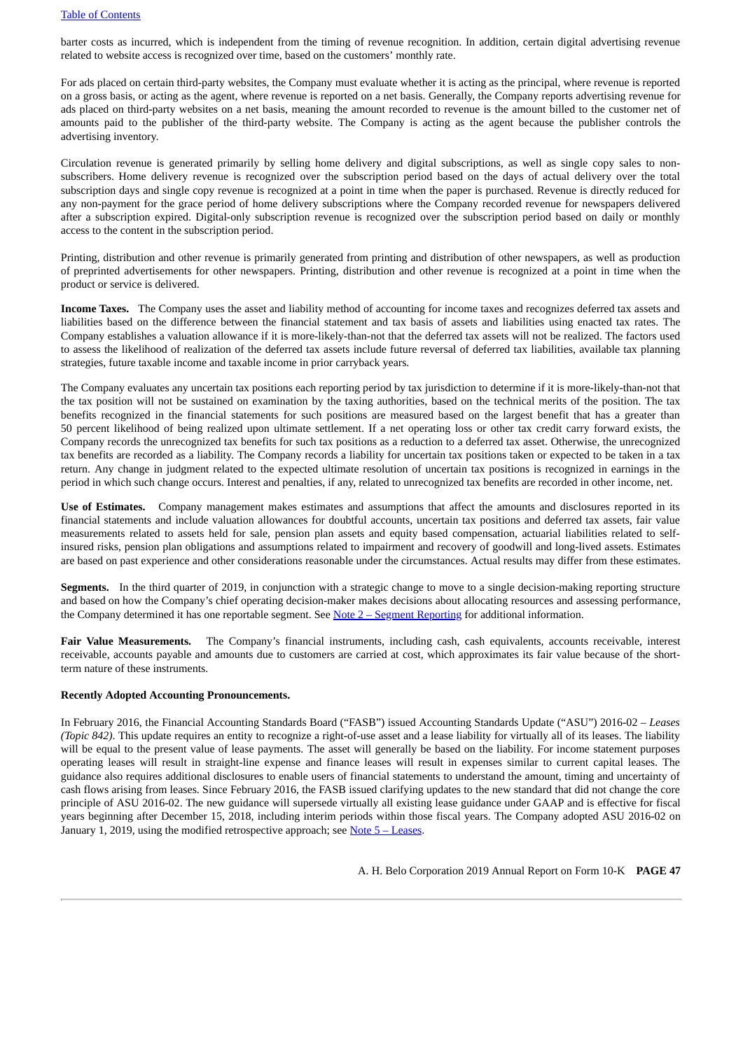barter costs as incurred, which is independent from the timing of revenue recognition. In addition, certain digital advertising revenue related to website access is recognized over time, based on the customers' monthly rate.

For ads placed on certain third-party websites, the Company must evaluate whether it is acting as the principal, where revenue is reported on a gross basis, or acting as the agent, where revenue is reported on a net basis. Generally, the Company reports advertising revenue for ads placed on third-party websites on a net basis, meaning the amount recorded to revenue is the amount billed to the customer net of amounts paid to the publisher of the third-party website. The Company is acting as the agent because the publisher controls the advertising inventory.

Circulation revenue is generated primarily by selling home delivery and digital subscriptions, as well as single copy sales to nonsubscribers. Home delivery revenue is recognized over the subscription period based on the days of actual delivery over the total subscription days and single copy revenue is recognized at a point in time when the paper is purchased. Revenue is directly reduced for any non-payment for the grace period of home delivery subscriptions where the Company recorded revenue for newspapers delivered after a subscription expired. Digital-only subscription revenue is recognized over the subscription period based on daily or monthly access to the content in the subscription period.

Printing, distribution and other revenue is primarily generated from printing and distribution of other newspapers, as well as production of preprinted advertisements for other newspapers. Printing, distribution and other revenue is recognized at a point in time when the product or service is delivered.

**Income Taxes.** The Company uses the asset and liability method of accounting for income taxes and recognizes deferred tax assets and liabilities based on the difference between the financial statement and tax basis of assets and liabilities using enacted tax rates. The Company establishes a valuation allowance if it is more-likely-than-not that the deferred tax assets will not be realized. The factors used to assess the likelihood of realization of the deferred tax assets include future reversal of deferred tax liabilities, available tax planning strategies, future taxable income and taxable income in prior carryback years.

The Company evaluates any uncertain tax positions each reporting period by tax jurisdiction to determine if it is more-likely-than-not that the tax position will not be sustained on examination by the taxing authorities, based on the technical merits of the position. The tax benefits recognized in the financial statements for such positions are measured based on the largest benefit that has a greater than 50 percent likelihood of being realized upon ultimate settlement. If a net operating loss or other tax credit carry forward exists, the Company records the unrecognized tax benefits for such tax positions as a reduction to a deferred tax asset. Otherwise, the unrecognized tax benefits are recorded as a liability. The Company records a liability for uncertain tax positions taken or expected to be taken in a tax return. Any change in judgment related to the expected ultimate resolution of uncertain tax positions is recognized in earnings in the period in which such change occurs. Interest and penalties, if any, related to unrecognized tax benefits are recorded in other income, net.

**Use of Estimates.** Company management makes estimates and assumptions that affect the amounts and disclosures reported in its financial statements and include valuation allowances for doubtful accounts, uncertain tax positions and deferred tax assets, fair value measurements related to assets held for sale, pension plan assets and equity based compensation, actuarial liabilities related to selfinsured risks, pension plan obligations and assumptions related to impairment and recovery of goodwill and long-lived assets. Estimates are based on past experience and other considerations reasonable under the circumstances. Actual results may differ from these estimates.

**Segments.** In the third quarter of 2019, in conjunction with a strategic change to move to a single decision-making reporting structure and based on how the Company's chief operating decision-maker makes decisions about allocating resources and assessing performance, the Company determined it has one reportable segment. See Note  $2 -$  Segment [Reporting](#page-47-0) for additional information.

**Fair Value Measurements.** The Company's financial instruments, including cash, cash equivalents, accounts receivable, interest receivable, accounts payable and amounts due to customers are carried at cost, which approximates its fair value because of the shortterm nature of these instruments.

# **Recently Adopted Accounting Pronouncements.**

In February 2016, the Financial Accounting Standards Board ("FASB") issued Accounting Standards Update ("ASU") 2016-02 – *Leases (Topic 842)*. This update requires an entity to recognize a right-of-use asset and a lease liability for virtually all of its leases. The liability will be equal to the present value of lease payments. The asset will generally be based on the liability. For income statement purposes operating leases will result in straight-line expense and finance leases will result in expenses similar to current capital leases. The guidance also requires additional disclosures to enable users of financial statements to understand the amount, timing and uncertainty of cash flows arising from leases. Since February 2016, the FASB issued clarifying updates to the new standard that did not change the core principle of ASU 2016-02. The new guidance will supersede virtually all existing lease guidance under GAAP and is effective for fiscal years beginning after December 15, 2018, including interim periods within those fiscal years. The Company adopted ASU 2016-02 on January 1, 2019, using the modified retrospective approach; see Note  $5 -$  [Leases](#page-50-0).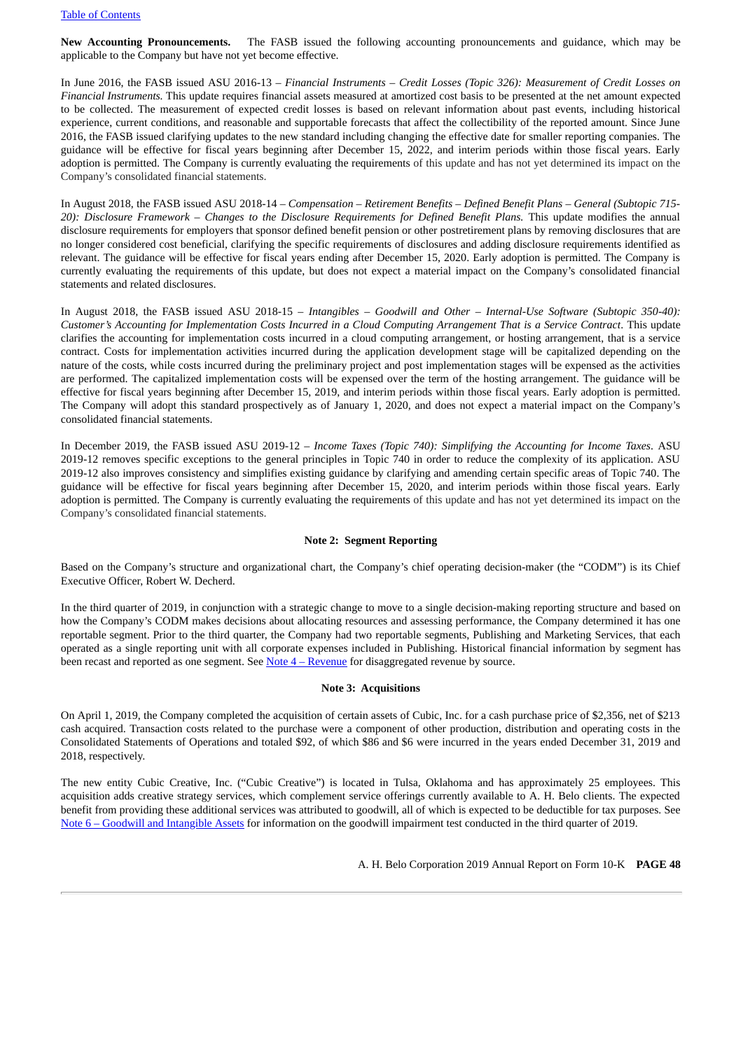**New Accounting Pronouncements.** The FASB issued the following accounting pronouncements and guidance, which may be applicable to the Company but have not yet become effective.

In June 2016, the FASB issued ASU 2016-13 – *Financial Instruments – Credit Losses (Topic 326): Measurement of Credit Losses on Financial Instruments.* This update requires financial assets measured at amortized cost basis to be presented at the net amount expected to be collected. The measurement of expected credit losses is based on relevant information about past events, including historical experience, current conditions, and reasonable and supportable forecasts that affect the collectibility of the reported amount. Since June 2016, the FASB issued clarifying updates to the new standard including changing the effective date for smaller reporting companies. The guidance will be effective for fiscal years beginning after December 15, 2022, and interim periods within those fiscal years. Early adoption is permitted. The Company is currently evaluating the requirements of this update and has not yet determined its impact on the Company's consolidated financial statements.

In August 2018, the FASB issued ASU 2018-14 – *Compensation – Retirement Benefits – Defined Benefit Plans – General (Subtopic 715- 20): Disclosure Framework* – *Changes to the Disclosure Requirements for Defined Benefit Plans.* This update modifies the annual disclosure requirements for employers that sponsor defined benefit pension or other postretirement plans by removing disclosures that are no longer considered cost beneficial, clarifying the specific requirements of disclosures and adding disclosure requirements identified as relevant. The guidance will be effective for fiscal years ending after December 15, 2020. Early adoption is permitted. The Company is currently evaluating the requirements of this update, but does not expect a material impact on the Company's consolidated financial statements and related disclosures.

In August 2018, the FASB issued ASU 2018-15 – *Intangibles – Goodwill and Other – Internal-Use Software (Subtopic 350-40):* Customer's Accounting for Implementation Costs Incurred in a Cloud Computing Arrangement That is a Service Contract. This update clarifies the accounting for implementation costs incurred in a cloud computing arrangement, or hosting arrangement, that is a service contract. Costs for implementation activities incurred during the application development stage will be capitalized depending on the nature of the costs, while costs incurred during the preliminary project and post implementation stages will be expensed as the activities are performed. The capitalized implementation costs will be expensed over the term of the hosting arrangement. The guidance will be effective for fiscal years beginning after December 15, 2019, and interim periods within those fiscal years. Early adoption is permitted. The Company will adopt this standard prospectively as of January 1, 2020, and does not expect a material impact on the Company's consolidated financial statements.

In December 2019, the FASB issued ASU 2019-12 – *Income Taxes (Topic 740): Simplifying the Accounting for Income Taxes*. ASU 2019-12 removes specific exceptions to the general principles in Topic 740 in order to reduce the complexity of its application. ASU 2019-12 also improves consistency and simplifies existing guidance by clarifying and amending certain specific areas of Topic 740. The guidance will be effective for fiscal years beginning after December 15, 2020, and interim periods within those fiscal years. Early adoption is permitted. The Company is currently evaluating the requirements of this update and has not yet determined its impact on the Company's consolidated financial statements.

#### **Note 2: Segment Reporting**

<span id="page-47-0"></span>Based on the Company's structure and organizational chart, the Company's chief operating decision-maker (the "CODM") is its Chief Executive Officer, Robert W. Decherd.

In the third quarter of 2019, in conjunction with a strategic change to move to a single decision-making reporting structure and based on how the Company's CODM makes decisions about allocating resources and assessing performance, the Company determined it has one reportable segment. Prior to the third quarter, the Company had two reportable segments, Publishing and Marketing Services, that each operated as a single reporting unit with all corporate expenses included in Publishing. Historical financial information by segment has been recast and reported as one segment. See Note  $4 -$  [Revenue](#page-48-0) for disaggregated revenue by source.

# **Note 3: Acquisitions**

On April 1, 2019, the Company completed the acquisition of certain assets of Cubic, Inc. for a cash purchase price of \$2,356, net of \$213 cash acquired. Transaction costs related to the purchase were a component of other production, distribution and operating costs in the Consolidated Statements of Operations and totaled \$92, of which \$86 and \$6 were incurred in the years ended December 31, 2019 and 2018, respectively.

The new entity Cubic Creative, Inc. ("Cubic Creative") is located in Tulsa, Oklahoma and has approximately 25 employees. This acquisition adds creative strategy services, which complement service offerings currently available to A. H. Belo clients. The expected benefit from providing these additional services was attributed to goodwill, all of which is expected to be deductible for tax purposes. See Note 6 – Goodwill and [Intangible](#page-51-0) Assets for information on the goodwill impairment test conducted in the third quarter of 2019.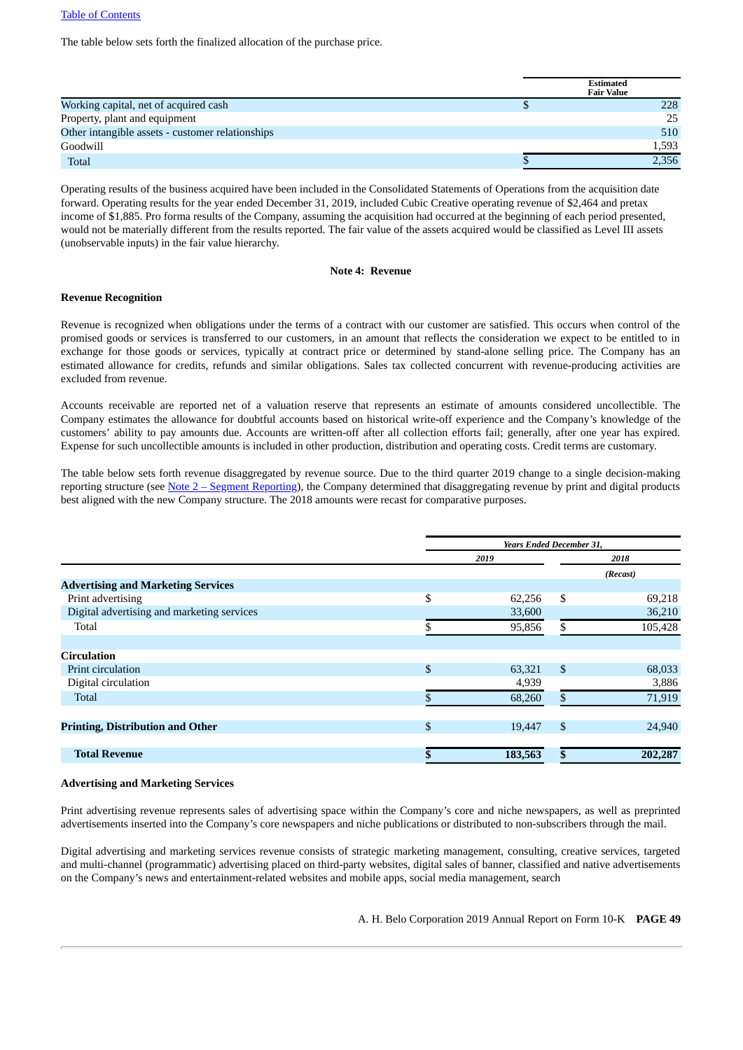The table below sets forth the finalized allocation of the purchase price.

|                                                  | <b>Estimated</b><br><b>Fair Value</b> |
|--------------------------------------------------|---------------------------------------|
| Working capital, net of acquired cash            | 228                                   |
| Property, plant and equipment                    | 25                                    |
| Other intangible assets - customer relationships | 510                                   |
| Goodwill                                         | 1,593                                 |
| Total                                            | 2,356                                 |

Operating results of the business acquired have been included in the Consolidated Statements of Operations from the acquisition date forward. Operating results for the year ended December 31, 2019, included Cubic Creative operating revenue of \$2,464 and pretax income of \$1,885. Pro forma results of the Company, assuming the acquisition had occurred at the beginning of each period presented, would not be materially different from the results reported. The fair value of the assets acquired would be classified as Level III assets (unobservable inputs) in the fair value hierarchy.

#### **Note 4: Revenue**

# <span id="page-48-0"></span>**Revenue Recognition**

Revenue is recognized when obligations under the terms of a contract with our customer are satisfied. This occurs when control of the promised goods or services is transferred to our customers, in an amount that reflects the consideration we expect to be entitled to in exchange for those goods or services, typically at contract price or determined by stand-alone selling price. The Company has an estimated allowance for credits, refunds and similar obligations. Sales tax collected concurrent with revenue-producing activities are excluded from revenue.

Accounts receivable are reported net of a valuation reserve that represents an estimate of amounts considered uncollectible. The Company estimates the allowance for doubtful accounts based on historical write-off experience and the Company's knowledge of the customers' ability to pay amounts due. Accounts are written-off after all collection efforts fail; generally, after one year has expired. Expense for such uncollectible amounts is included in other production, distribution and operating costs. Credit terms are customary.

The table below sets forth revenue disaggregated by revenue source. Due to the third quarter 2019 change to a single decision-making reporting structure (see Note 2 – Segment [Reporting](#page-47-0)), the Company determined that disaggregating revenue by print and digital products best aligned with the new Company structure. The 2018 amounts were recast for comparative purposes.

|                                            | <b>Years Ended December 31,</b> |               |
|--------------------------------------------|---------------------------------|---------------|
|                                            | 2019                            | 2018          |
|                                            |                                 | (Recast)      |
| <b>Advertising and Marketing Services</b>  |                                 |               |
| Print advertising                          | \$<br>62,256                    | \$<br>69,218  |
| Digital advertising and marketing services | 33,600                          | 36,210        |
| Total                                      | 95,856                          | \$<br>105,428 |
|                                            |                                 |               |
| <b>Circulation</b>                         |                                 |               |
| Print circulation                          | \$<br>63,321                    | \$<br>68,033  |
| Digital circulation                        | 4,939                           | 3,886         |
| <b>Total</b>                               | 68,260                          | \$<br>71,919  |
|                                            |                                 |               |
| <b>Printing, Distribution and Other</b>    | \$<br>19,447                    | \$<br>24,940  |
|                                            |                                 |               |
| <b>Total Revenue</b>                       | \$<br>183,563                   | \$<br>202.287 |

#### **Advertising and Marketing Services**

Print advertising revenue represents sales of advertising space within the Company's core and niche newspapers, as well as preprinted advertisements inserted into the Company's core newspapers and niche publications or distributed to non-subscribers through the mail.

Digital advertising and marketing services revenue consists of strategic marketing management, consulting, creative services, targeted and multi-channel (programmatic) advertising placed on third-party websites, digital sales of banner, classified and native advertisements on the Company's news and entertainment-related websites and mobile apps, social media management, search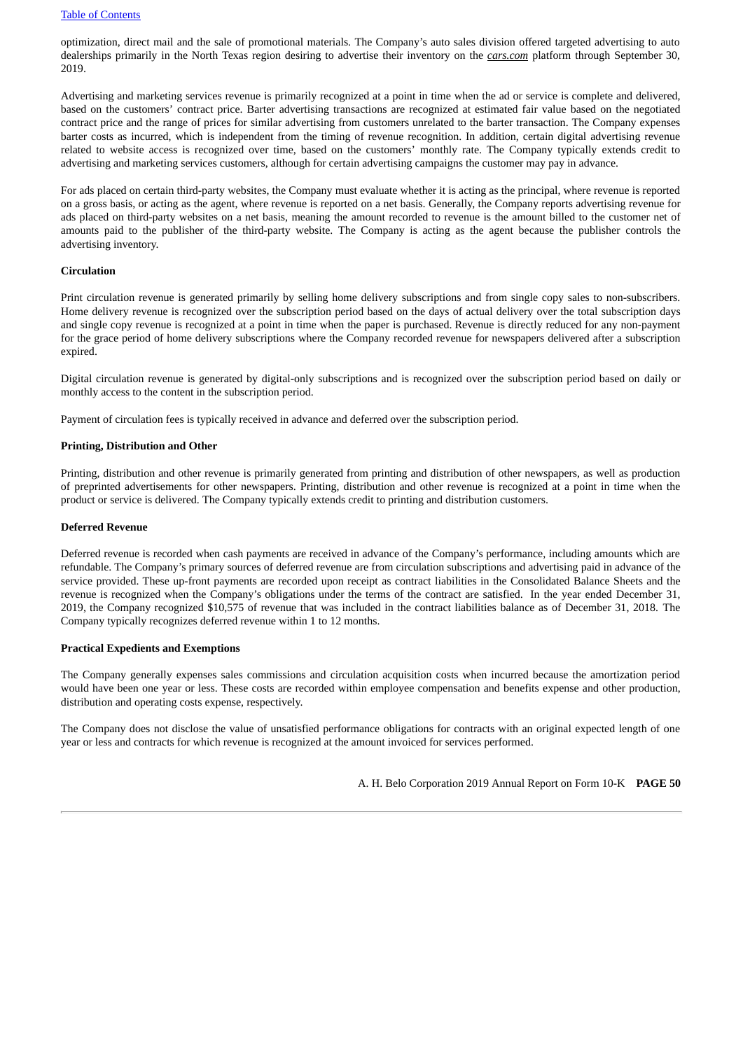optimization, direct mail and the sale of promotional materials. The Company's auto sales division offered targeted advertising to auto dealerships primarily in the North Texas region desiring to advertise their inventory on the *cars.com* platform through September 30, 2019.

Advertising and marketing services revenue is primarily recognized at a point in time when the ad or service is complete and delivered, based on the customers' contract price. Barter advertising transactions are recognized at estimated fair value based on the negotiated contract price and the range of prices for similar advertising from customers unrelated to the barter transaction. The Company expenses barter costs as incurred, which is independent from the timing of revenue recognition. In addition, certain digital advertising revenue related to website access is recognized over time, based on the customers' monthly rate. The Company typically extends credit to advertising and marketing services customers, although for certain advertising campaigns the customer may pay in advance.

For ads placed on certain third-party websites, the Company must evaluate whether it is acting as the principal, where revenue is reported on a gross basis, or acting as the agent, where revenue is reported on a net basis. Generally, the Company reports advertising revenue for ads placed on third-party websites on a net basis, meaning the amount recorded to revenue is the amount billed to the customer net of amounts paid to the publisher of the third-party website. The Company is acting as the agent because the publisher controls the advertising inventory.

# **Circulation**

Print circulation revenue is generated primarily by selling home delivery subscriptions and from single copy sales to non-subscribers. Home delivery revenue is recognized over the subscription period based on the days of actual delivery over the total subscription days and single copy revenue is recognized at a point in time when the paper is purchased. Revenue is directly reduced for any non-payment for the grace period of home delivery subscriptions where the Company recorded revenue for newspapers delivered after a subscription expired.

Digital circulation revenue is generated by digital-only subscriptions and is recognized over the subscription period based on daily or monthly access to the content in the subscription period.

Payment of circulation fees is typically received in advance and deferred over the subscription period.

# **Printing, Distribution and Other**

Printing, distribution and other revenue is primarily generated from printing and distribution of other newspapers, as well as production of preprinted advertisements for other newspapers. Printing, distribution and other revenue is recognized at a point in time when the product or service is delivered. The Company typically extends credit to printing and distribution customers.

#### **Deferred Revenue**

Deferred revenue is recorded when cash payments are received in advance of the Company's performance, including amounts which are refundable. The Company's primary sources of deferred revenue are from circulation subscriptions and advertising paid in advance of the service provided. These up-front payments are recorded upon receipt as contract liabilities in the Consolidated Balance Sheets and the revenue is recognized when the Company's obligations under the terms of the contract are satisfied. In the year ended December 31, 2019, the Company recognized \$10,575 of revenue that was included in the contract liabilities balance as of December 31, 2018. The Company typically recognizes deferred revenue within 1 to 12 months.

#### **Practical Expedients and Exemptions**

The Company generally expenses sales commissions and circulation acquisition costs when incurred because the amortization period would have been one year or less. These costs are recorded within employee compensation and benefits expense and other production, distribution and operating costs expense, respectively.

The Company does not disclose the value of unsatisfied performance obligations for contracts with an original expected length of one year or less and contracts for which revenue is recognized at the amount invoiced for services performed.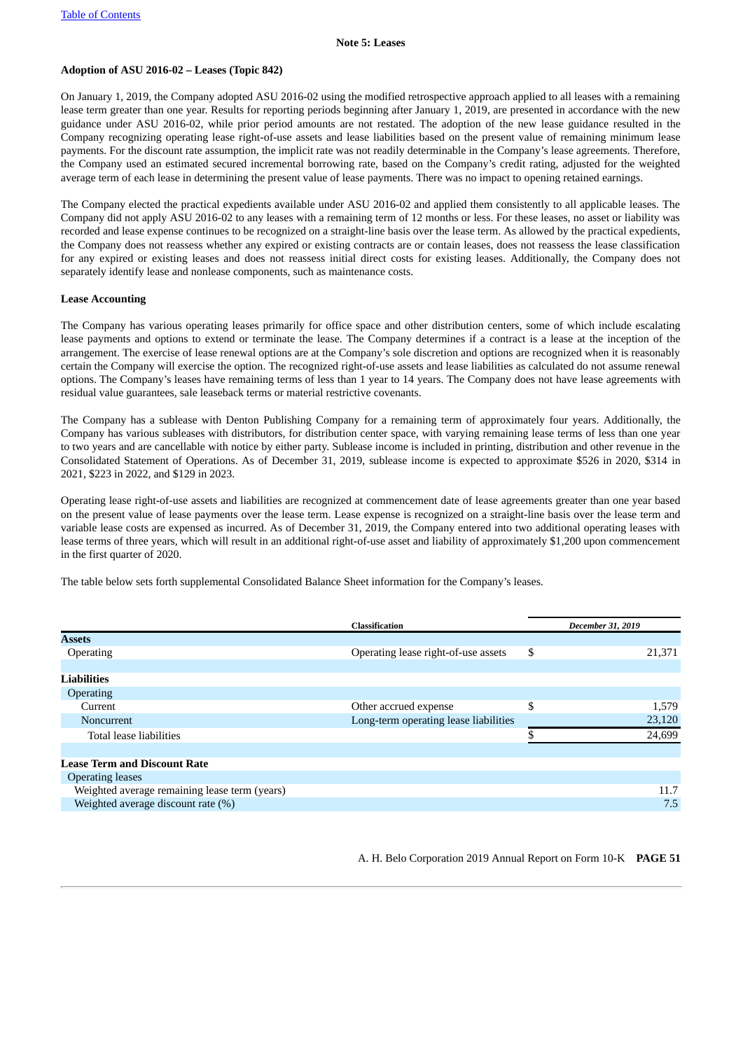# <span id="page-50-0"></span>**Adoption of ASU 2016-02 – Leases (Topic 842)**

On January 1, 2019, the Company adopted ASU 2016-02 using the modified retrospective approach applied to all leases with a remaining lease term greater than one year. Results for reporting periods beginning after January 1, 2019, are presented in accordance with the new guidance under ASU 2016-02, while prior period amounts are not restated. The adoption of the new lease guidance resulted in the Company recognizing operating lease right-of-use assets and lease liabilities based on the present value of remaining minimum lease payments. For the discount rate assumption, the implicit rate was not readily determinable in the Company's lease agreements. Therefore, the Company used an estimated secured incremental borrowing rate, based on the Company's credit rating, adjusted for the weighted average term of each lease in determining the present value of lease payments. There was no impact to opening retained earnings.

The Company elected the practical expedients available under ASU 2016-02 and applied them consistently to all applicable leases. The Company did not apply ASU 2016-02 to any leases with a remaining term of 12 months or less. For these leases, no asset or liability was recorded and lease expense continues to be recognized on a straight-line basis over the lease term. As allowed by the practical expedients, the Company does not reassess whether any expired or existing contracts are or contain leases, does not reassess the lease classification for any expired or existing leases and does not reassess initial direct costs for existing leases. Additionally, the Company does not separately identify lease and nonlease components, such as maintenance costs.

# **Lease Accounting**

The Company has various operating leases primarily for office space and other distribution centers, some of which include escalating lease payments and options to extend or terminate the lease. The Company determines if a contract is a lease at the inception of the arrangement. The exercise of lease renewal options are at the Company's sole discretion and options are recognized when it is reasonably certain the Company will exercise the option. The recognized right-of-use assets and lease liabilities as calculated do not assume renewal options. The Company's leases have remaining terms of less than 1 year to 14 years. The Company does not have lease agreements with residual value guarantees, sale leaseback terms or material restrictive covenants.

The Company has a sublease with Denton Publishing Company for a remaining term of approximately four years. Additionally, the Company has various subleases with distributors, for distribution center space, with varying remaining lease terms of less than one year to two years and are cancellable with notice by either party. Sublease income is included in printing, distribution and other revenue in the Consolidated Statement of Operations. As of December 31, 2019, sublease income is expected to approximate \$526 in 2020, \$314 in 2021, \$223 in 2022, and \$129 in 2023.

Operating lease right-of-use assets and liabilities are recognized at commencement date of lease agreements greater than one year based on the present value of lease payments over the lease term. Lease expense is recognized on a straight-line basis over the lease term and variable lease costs are expensed as incurred. As of December 31, 2019, the Company entered into two additional operating leases with lease terms of three years, which will result in an additional right-of-use asset and liability of approximately \$1,200 upon commencement in the first quarter of 2020.

The table below sets forth supplemental Consolidated Balance Sheet information for the Company's leases.

|                                               | <b>Classification</b>                 |    | December 31, 2019 |        |
|-----------------------------------------------|---------------------------------------|----|-------------------|--------|
| <b>Assets</b>                                 |                                       |    |                   |        |
| Operating                                     | Operating lease right-of-use assets   | \$ |                   | 21,371 |
|                                               |                                       |    |                   |        |
| <b>Liabilities</b>                            |                                       |    |                   |        |
| Operating                                     |                                       |    |                   |        |
| Current                                       | Other accrued expense                 | \$ |                   | 1,579  |
| Noncurrent                                    | Long-term operating lease liabilities |    |                   | 23,120 |
| Total lease liabilities                       |                                       | ¢  |                   | 24,699 |
|                                               |                                       |    |                   |        |
| <b>Lease Term and Discount Rate</b>           |                                       |    |                   |        |
| <b>Operating leases</b>                       |                                       |    |                   |        |
| Weighted average remaining lease term (years) |                                       |    |                   | 11.7   |
| Weighted average discount rate (%)            |                                       |    |                   | 7.5    |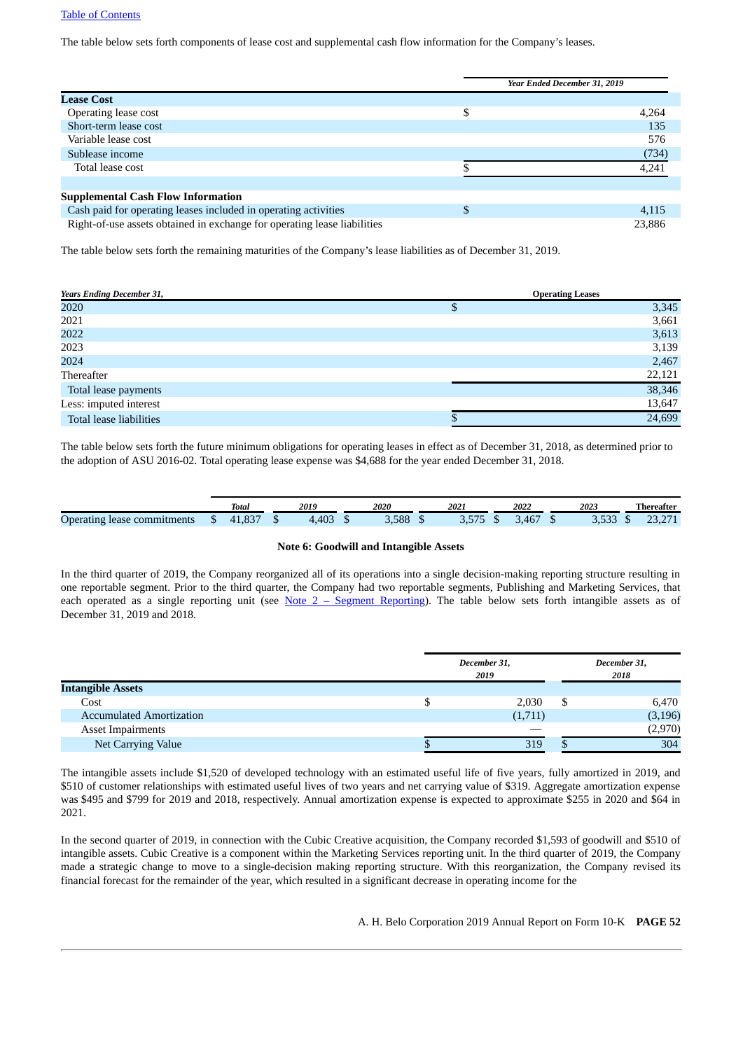The table below sets forth components of lease cost and supplemental cash flow information for the Company's leases.

|                                                                          | Year Ended December 31, 2019 |
|--------------------------------------------------------------------------|------------------------------|
| <b>Lease Cost</b>                                                        |                              |
| Operating lease cost                                                     | 4.264                        |
| Short-term lease cost                                                    | 135                          |
| Variable lease cost                                                      | 576                          |
| Sublease income                                                          | (734)                        |
| Total lease cost                                                         | 4,241                        |
|                                                                          |                              |
| <b>Supplemental Cash Flow Information</b>                                |                              |
| Cash paid for operating leases included in operating activities          | 4,115                        |
| Right-of-use assets obtained in exchange for operating lease liabilities | 23.886                       |

The table below sets forth the remaining maturities of the Company's lease liabilities as of December 31, 2019.

| <b>Years Ending December 31,</b> | <b>Operating Leases</b> |        |
|----------------------------------|-------------------------|--------|
| 2020                             | J                       | 3,345  |
| 2021                             |                         | 3,661  |
| 2022                             |                         | 3,613  |
| 2023                             |                         | 3,139  |
| 2024                             |                         | 2,467  |
| Thereafter                       |                         | 22,121 |
| Total lease payments             |                         | 38,346 |
| Less: imputed interest           |                         | 13,647 |
| Total lease liabilities          |                         | 24,699 |

The table below sets forth the future minimum obligations for operating leases in effect as of December 31, 2018, as determined prior to the adoption of ASU 2016-02. Total operating lease expense was \$4,688 for the year ended December 31, 2018.

|                                     |    | <b>Total</b>   |    | 2019                  |    | 2020  | 2021 |              |  | 2022  |    | 2023              |    | ---<br>1 hereatter        |
|-------------------------------------|----|----------------|----|-----------------------|----|-------|------|--------------|--|-------|----|-------------------|----|---------------------------|
| Operating<br>commitments<br>lease o | ۰D | 0.25<br>41.85. | ٠D | $4.40^\circ$<br>7,7VJ | ٠D | 3.588 | داء  | $- - -$<br>ب |  | 3.46/ | ιυ | $\sim$<br>ں ں ں ر | ъD | רר<br>$\Gamma$<br>49.47 I |

# **Note 6: Goodwill and Intangible Assets**

<span id="page-51-0"></span>In the third quarter of 2019, the Company reorganized all of its operations into a single decision-making reporting structure resulting in one reportable segment. Prior to the third quarter, the Company had two reportable segments, Publishing and Marketing Services, that each operated as a single reporting unit (see <u>Note  $2 - \text{Segment Reporting}$  $2 - \text{Segment Reporting}$  $2 - \text{Segment Reporting}$ </u>). The table below sets forth intangible assets as of December 31, 2019 and 2018.

|                                 | December 31, |   |          |  |  |  |  |
|---------------------------------|--------------|---|----------|--|--|--|--|
| <b>Intangible Assets</b>        | 2019         |   | 2018     |  |  |  |  |
| Cost                            | 2,030        | S | 6,470    |  |  |  |  |
| <b>Accumulated Amortization</b> | (1,711)      |   | (3, 196) |  |  |  |  |
| <b>Asset Impairments</b>        |              |   | (2,970)  |  |  |  |  |
| Net Carrying Value              | 319          |   | 304      |  |  |  |  |

The intangible assets include \$1,520 of developed technology with an estimated useful life of five years, fully amortized in 2019, and \$510 of customer relationships with estimated useful lives of two years and net carrying value of \$319. Aggregate amortization expense was \$495 and \$799 for 2019 and 2018, respectively. Annual amortization expense is expected to approximate \$255 in 2020 and \$64 in 2021.

In the second quarter of 2019, in connection with the Cubic Creative acquisition, the Company recorded \$1,593 of goodwill and \$510 of intangible assets. Cubic Creative is a component within the Marketing Services reporting unit. In the third quarter of 2019, the Company made a strategic change to move to a single-decision making reporting structure. With this reorganization, the Company revised its financial forecast for the remainder of the year, which resulted in a significant decrease in operating income for the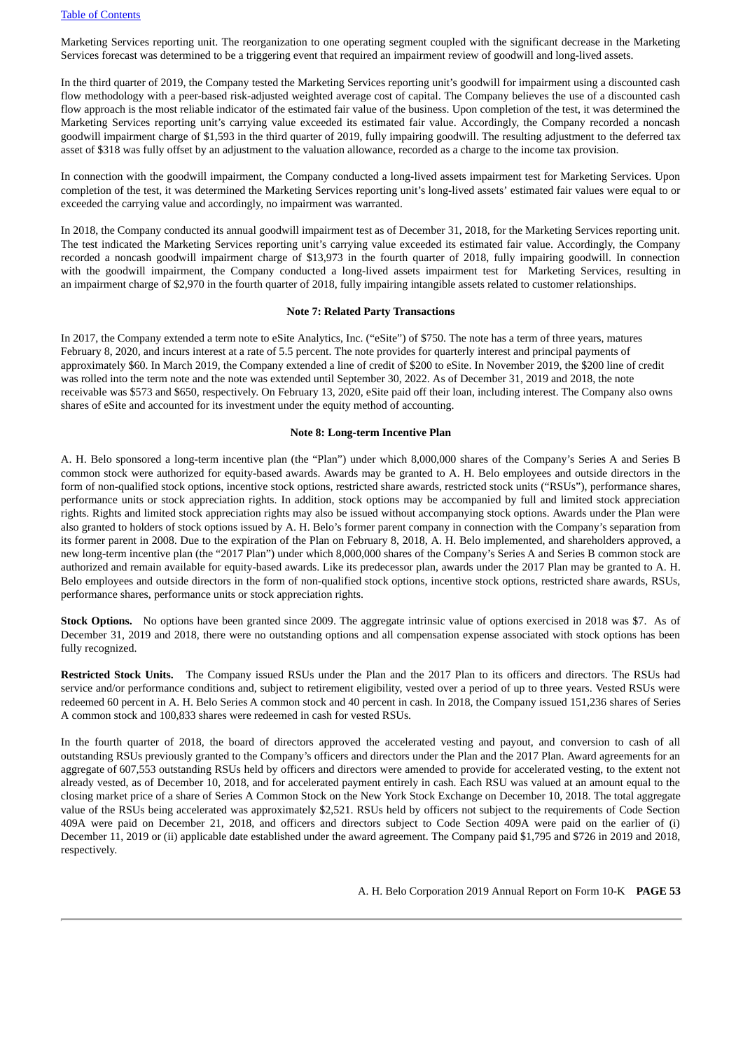Marketing Services reporting unit. The reorganization to one operating segment coupled with the significant decrease in the Marketing Services forecast was determined to be a triggering event that required an impairment review of goodwill and long-lived assets.

In the third quarter of 2019, the Company tested the Marketing Services reporting unit's goodwill for impairment using a discounted cash flow methodology with a peer-based risk-adjusted weighted average cost of capital. The Company believes the use of a discounted cash flow approach is the most reliable indicator of the estimated fair value of the business. Upon completion of the test, it was determined the Marketing Services reporting unit's carrying value exceeded its estimated fair value. Accordingly, the Company recorded a noncash goodwill impairment charge of \$1,593 in the third quarter of 2019, fully impairing goodwill. The resulting adjustment to the deferred tax asset of \$318 was fully offset by an adjustment to the valuation allowance, recorded as a charge to the income tax provision.

In connection with the goodwill impairment, the Company conducted a long-lived assets impairment test for Marketing Services. Upon completion of the test, it was determined the Marketing Services reporting unit's long-lived assets' estimated fair values were equal to or exceeded the carrying value and accordingly, no impairment was warranted.

In 2018, the Company conducted its annual goodwill impairment test as of December 31, 2018, for the Marketing Services reporting unit. The test indicated the Marketing Services reporting unit's carrying value exceeded its estimated fair value. Accordingly, the Company recorded a noncash goodwill impairment charge of \$13,973 in the fourth quarter of 2018, fully impairing goodwill. In connection with the goodwill impairment, the Company conducted a long-lived assets impairment test for Marketing Services, resulting in an impairment charge of \$2,970 in the fourth quarter of 2018, fully impairing intangible assets related to customer relationships.

#### **Note 7: Related Party Transactions**

In 2017, the Company extended a term note to eSite Analytics, Inc. ("eSite") of \$750. The note has a term of three years, matures February 8, 2020, and incurs interest at a rate of 5.5 percent. The note provides for quarterly interest and principal payments of approximately \$60. In March 2019, the Company extended a line of credit of \$200 to eSite. In November 2019, the \$200 line of credit was rolled into the term note and the note was extended until September 30, 2022. As of December 31, 2019 and 2018, the note receivable was \$573 and \$650, respectively. On February 13, 2020, eSite paid off their loan, including interest. The Company also owns shares of eSite and accounted for its investment under the equity method of accounting.

# **Note 8: Long-term Incentive Plan**

<span id="page-52-0"></span>A. H. Belo sponsored a long-term incentive plan (the "Plan") under which 8,000,000 shares of the Company's Series A and Series B common stock were authorized for equity-based awards. Awards may be granted to A. H. Belo employees and outside directors in the form of non-qualified stock options, incentive stock options, restricted share awards, restricted stock units ("RSUs"), performance shares, performance units or stock appreciation rights. In addition, stock options may be accompanied by full and limited stock appreciation rights. Rights and limited stock appreciation rights may also be issued without accompanying stock options. Awards under the Plan were also granted to holders of stock options issued by A. H. Belo's former parent company in connection with the Company's separation from its former parent in 2008. Due to the expiration of the Plan on February 8, 2018, A. H. Belo implemented, and shareholders approved, a new long-term incentive plan (the "2017 Plan") under which 8,000,000 shares of the Company's Series A and Series B common stock are authorized and remain available for equity-based awards. Like its predecessor plan, awards under the 2017 Plan may be granted to A. H. Belo employees and outside directors in the form of non-qualified stock options, incentive stock options, restricted share awards, RSUs, performance shares, performance units or stock appreciation rights.

**Stock Options.** No options have been granted since 2009. The aggregate intrinsic value of options exercised in 2018 was \$7. As of December 31, 2019 and 2018, there were no outstanding options and all compensation expense associated with stock options has been fully recognized.

**Restricted Stock Units.** The Company issued RSUs under the Plan and the 2017 Plan to its officers and directors. The RSUs had service and/or performance conditions and, subject to retirement eligibility, vested over a period of up to three years. Vested RSUs were redeemed 60 percent in A. H. Belo Series A common stock and 40 percent in cash. In 2018, the Company issued 151,236 shares of Series A common stock and 100,833 shares were redeemed in cash for vested RSUs.

In the fourth quarter of 2018, the board of directors approved the accelerated vesting and payout, and conversion to cash of all outstanding RSUs previously granted to the Company's officers and directors under the Plan and the 2017 Plan. Award agreements for an aggregate of 607,553 outstanding RSUs held by officers and directors were amended to provide for accelerated vesting, to the extent not already vested, as of December 10, 2018, and for accelerated payment entirely in cash. Each RSU was valued at an amount equal to the closing market price of a share of Series A Common Stock on the New York Stock Exchange on December 10, 2018. The total aggregate value of the RSUs being accelerated was approximately \$2,521. RSUs held by officers not subject to the requirements of Code Section 409A were paid on December 21, 2018, and officers and directors subject to Code Section 409A were paid on the earlier of (i) December 11, 2019 or (ii) applicable date established under the award agreement. The Company paid \$1,795 and \$726 in 2019 and 2018, respectively.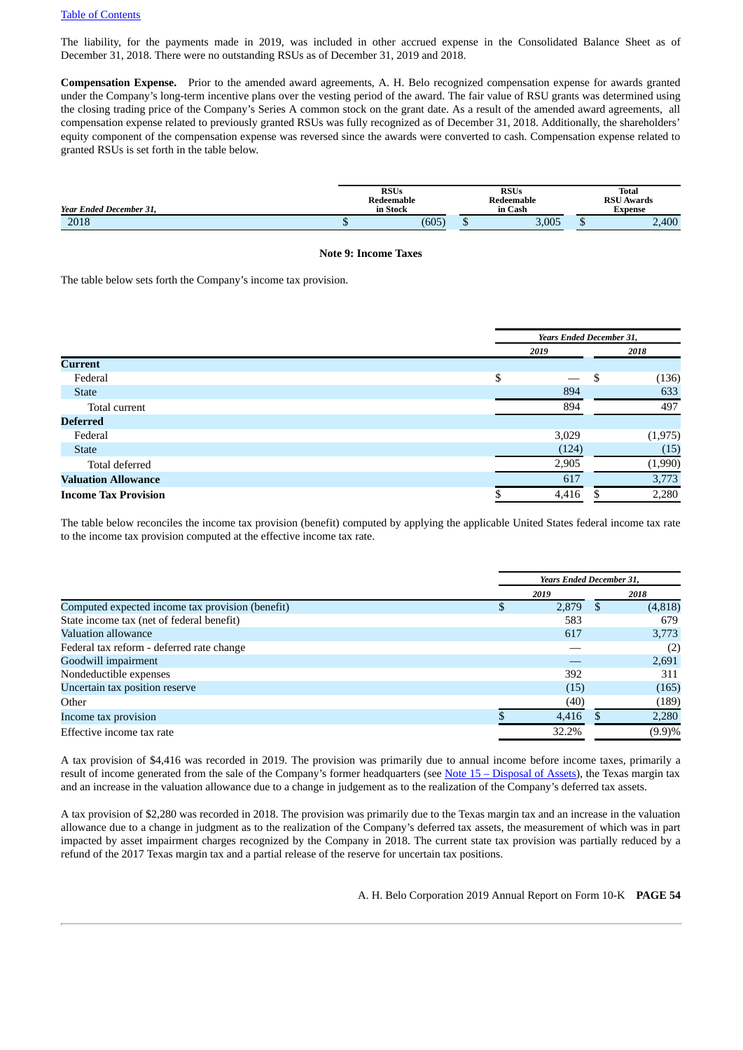The liability, for the payments made in 2019, was included in other accrued expense in the Consolidated Balance Sheet as of December 31, 2018. There were no outstanding RSUs as of December 31, 2019 and 2018.

**Compensation Expense.** Prior to the amended award agreements, A. H. Belo recognized compensation expense for awards granted under the Company's long-term incentive plans over the vesting period of the award. The fair value of RSU grants was determined using the closing trading price of the Company's Series A common stock on the grant date. As a result of the amended award agreements, all compensation expense related to previously granted RSUs was fully recognized as of December 31, 2018. Additionally, the shareholders' equity component of the compensation expense was reversed since the awards were converted to cash. Compensation expense related to granted RSUs is set forth in the table below.

| <b>Year Ended December 31.</b> | <b>RSUs</b><br>Redeemable<br>in Stock |    | <b>RSUs</b><br>Redeemable<br>in Cash | <b>Total</b><br><b>RSU Awards</b><br>Expense |       |  |  |
|--------------------------------|---------------------------------------|----|--------------------------------------|----------------------------------------------|-------|--|--|
| 2018                           | (605                                  | ъĐ | 3,005                                | - 12                                         | 2,400 |  |  |

#### <span id="page-53-0"></span>**Note 9: Income Taxes**

<span id="page-53-1"></span>The table below sets forth the Company's income tax provision.

|                             |   | <b>Years Ended December 31,</b> |   |          |  |  |
|-----------------------------|---|---------------------------------|---|----------|--|--|
|                             |   | 2019                            |   | 2018     |  |  |
| <b>Current</b>              |   |                                 |   |          |  |  |
| Federal                     | S |                                 | S | (136)    |  |  |
| <b>State</b>                |   | 894                             |   | 633      |  |  |
| Total current               |   | 894                             |   | 497      |  |  |
| <b>Deferred</b>             |   |                                 |   |          |  |  |
| Federal                     |   | 3,029                           |   | (1, 975) |  |  |
| <b>State</b>                |   | (124)                           |   | (15)     |  |  |
| Total deferred              |   | 2,905                           |   | (1,990)  |  |  |
| <b>Valuation Allowance</b>  |   | 617                             |   | 3,773    |  |  |
| <b>Income Tax Provision</b> |   | 4,416                           |   | 2,280    |  |  |

The table below reconciles the income tax provision (benefit) computed by applying the applicable United States federal income tax rate to the income tax provision computed at the effective income tax rate.

|                                                  | <b>Years Ended December 31,</b> |    |           |  |  |
|--------------------------------------------------|---------------------------------|----|-----------|--|--|
|                                                  | 2019                            |    | 2018      |  |  |
| Computed expected income tax provision (benefit) | 2,879                           | -S | (4,818)   |  |  |
| State income tax (net of federal benefit)        | 583                             |    | 679       |  |  |
| Valuation allowance                              | 617                             |    |           |  |  |
| Federal tax reform - deferred rate change        |                                 |    | (2)       |  |  |
| Goodwill impairment                              |                                 |    | 2,691     |  |  |
| Nondeductible expenses                           | 392                             |    | 311       |  |  |
| Uncertain tax position reserve                   | (15)                            |    | (165)     |  |  |
| Other                                            | (40)                            |    | (189)     |  |  |
| Income tax provision                             | 4,416                           |    | 2,280     |  |  |
| Effective income tax rate                        | 32.2%                           |    | $(9.9)\%$ |  |  |
|                                                  |                                 |    |           |  |  |

A tax provision of \$4,416 was recorded in 2019. The provision was primarily due to annual income before income taxes, primarily a result of income generated from the sale of the Company's former headquarters (see Note 15 – [Disposal](#page-59-0) of Assets), the Texas margin tax and an increase in the valuation allowance due to a change in judgement as to the realization of the Company's deferred tax assets.

A tax provision of \$2,280 was recorded in 2018. The provision was primarily due to the Texas margin tax and an increase in the valuation allowance due to a change in judgment as to the realization of the Company's deferred tax assets, the measurement of which was in part impacted by asset impairment charges recognized by the Company in 2018. The current state tax provision was partially reduced by a refund of the 2017 Texas margin tax and a partial release of the reserve for uncertain tax positions.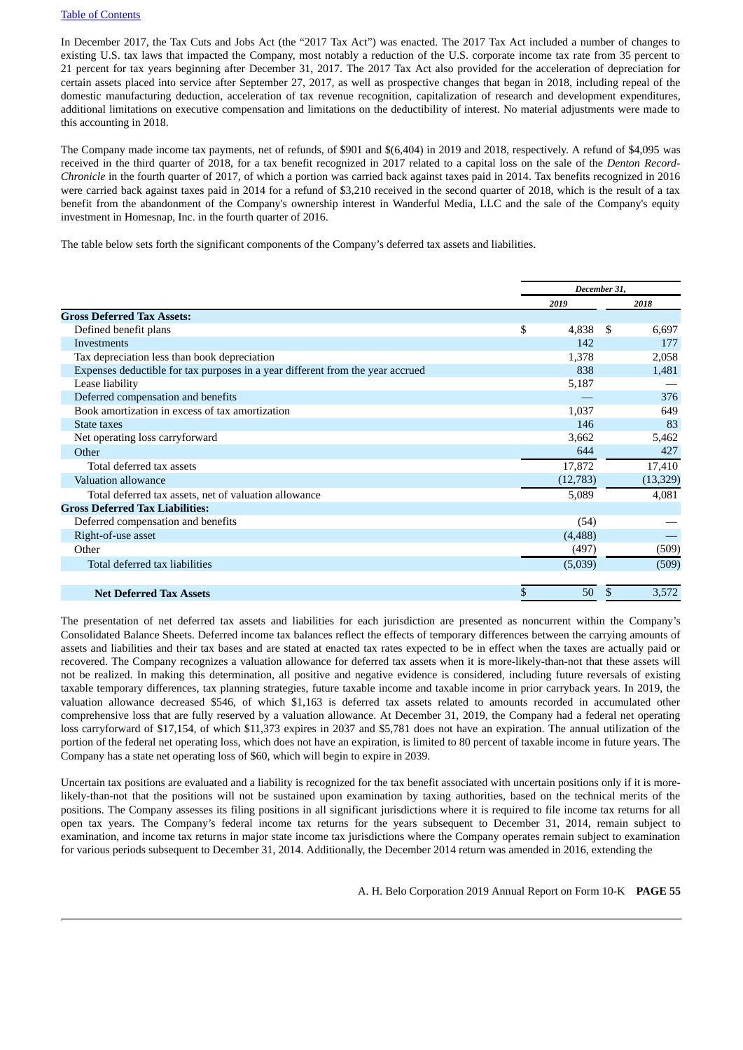In December 2017, the Tax Cuts and Jobs Act (the "2017 Tax Act") was enacted. The 2017 Tax Act included a number of changes to existing U.S. tax laws that impacted the Company, most notably a reduction of the U.S. corporate income tax rate from 35 percent to 21 percent for tax years beginning after December 31, 2017. The 2017 Tax Act also provided for the acceleration of depreciation for certain assets placed into service after September 27, 2017, as well as prospective changes that began in 2018, including repeal of the domestic manufacturing deduction, acceleration of tax revenue recognition, capitalization of research and development expenditures, additional limitations on executive compensation and limitations on the deductibility of interest. No material adjustments were made to this accounting in 2018.

The Company made income tax payments, net of refunds, of \$901 and \$(6,404) in 2019 and 2018, respectively. A refund of \$4,095 was received in the third quarter of 2018, for a tax benefit recognized in 2017 related to a capital loss on the sale of the *Denton Record-Chronicle* in the fourth quarter of 2017, of which a portion was carried back against taxes paid in 2014. Tax benefits recognized in 2016 were carried back against taxes paid in 2014 for a refund of \$3,210 received in the second quarter of 2018, which is the result of a tax benefit from the abandonment of the Company's ownership interest in Wanderful Media, LLC and the sale of the Company's equity investment in Homesnap, Inc. in the fourth quarter of 2016.

The table below sets forth the significant components of the Company's deferred tax assets and liabilities.

|                                                                                | December 31. |    |           |
|--------------------------------------------------------------------------------|--------------|----|-----------|
|                                                                                | 2019         |    | 2018      |
| <b>Gross Deferred Tax Assets:</b>                                              |              |    |           |
| Defined benefit plans                                                          | \$<br>4,838  | -S | 6,697     |
| <b>Investments</b>                                                             | 142          |    | 177       |
| Tax depreciation less than book depreciation                                   | 1,378        |    | 2,058     |
| Expenses deductible for tax purposes in a year different from the year accrued | 838          |    | 1,481     |
| Lease liability                                                                | 5,187        |    |           |
| Deferred compensation and benefits                                             |              |    | 376       |
| Book amortization in excess of tax amortization                                | 1.037        |    | 649       |
| State taxes                                                                    | 146          |    | 83        |
| Net operating loss carryforward                                                | 3,662        |    | 5,462     |
| Other                                                                          | 644          |    | 427       |
| Total deferred tax assets                                                      | 17,872       |    | 17,410    |
| Valuation allowance                                                            | (12,783)     |    | (13, 329) |
| Total deferred tax assets, net of valuation allowance                          | 5,089        |    | 4,081     |
| <b>Gross Deferred Tax Liabilities:</b>                                         |              |    |           |
| Deferred compensation and benefits                                             | (54)         |    |           |
| Right-of-use asset                                                             | (4, 488)     |    |           |
| Other                                                                          | (497)        |    | (509)     |
| Total deferred tax liabilities                                                 | (5,039)      |    | (509)     |
| <b>Net Deferred Tax Assets</b>                                                 | \$<br>50     | \$ | 3,572     |

The presentation of net deferred tax assets and liabilities for each jurisdiction are presented as noncurrent within the Company's Consolidated Balance Sheets. Deferred income tax balances reflect the effects of temporary differences between the carrying amounts of assets and liabilities and their tax bases and are stated at enacted tax rates expected to be in effect when the taxes are actually paid or recovered. The Company recognizes a valuation allowance for deferred tax assets when it is more-likely-than-not that these assets will not be realized. In making this determination, all positive and negative evidence is considered, including future reversals of existing taxable temporary differences, tax planning strategies, future taxable income and taxable income in prior carryback years. In 2019, the valuation allowance decreased \$546, of which \$1,163 is deferred tax assets related to amounts recorded in accumulated other comprehensive loss that are fully reserved by a valuation allowance. At December 31, 2019, the Company had a federal net operating loss carryforward of \$17,154, of which \$11,373 expires in 2037 and \$5,781 does not have an expiration. The annual utilization of the portion of the federal net operating loss, which does not have an expiration, is limited to 80 percent of taxable income in future years. The Company has a state net operating loss of \$60, which will begin to expire in 2039.

Uncertain tax positions are evaluated and a liability is recognized for the tax benefit associated with uncertain positions only if it is morelikely-than-not that the positions will not be sustained upon examination by taxing authorities, based on the technical merits of the positions. The Company assesses its filing positions in all significant jurisdictions where it is required to file income tax returns for all open tax years. The Company's federal income tax returns for the years subsequent to December 31, 2014, remain subject to examination, and income tax returns in major state income tax jurisdictions where the Company operates remain subject to examination for various periods subsequent to December 31, 2014. Additionally, the December 2014 return was amended in 2016, extending the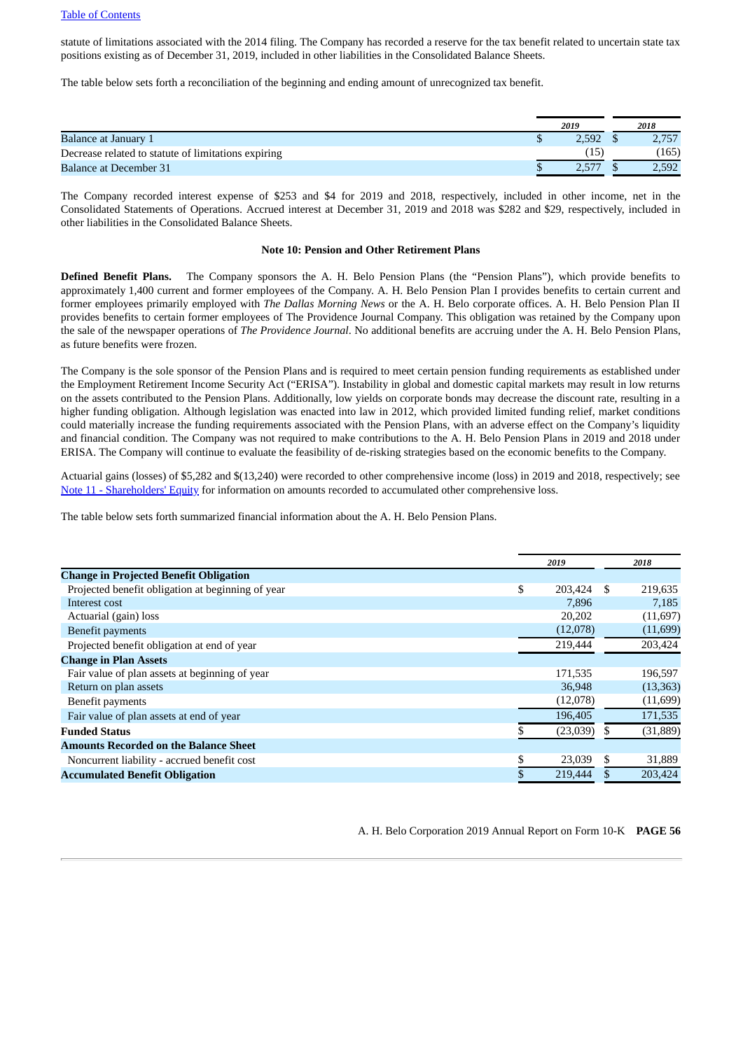statute of limitations associated with the 2014 filing. The Company has recorded a reserve for the tax benefit related to uncertain state tax positions existing as of December 31, 2019, included in other liabilities in the Consolidated Balance Sheets.

The table below sets forth a reconciliation of the beginning and ending amount of unrecognized tax benefit.

|                                                     | 2019          | 2018  |
|-----------------------------------------------------|---------------|-------|
| Balance at January 1                                | 2.592         | 2.757 |
| Decrease related to statute of limitations expiring | <sup>15</sup> | (165) |
| Balance at December 31                              |               | 2,592 |

The Company recorded interest expense of \$253 and \$4 for 2019 and 2018, respectively, included in other income, net in the Consolidated Statements of Operations. Accrued interest at December 31, 2019 and 2018 was \$282 and \$29, respectively, included in other liabilities in the Consolidated Balance Sheets.

#### **Note 10: Pension and Other Retirement Plans**

<span id="page-55-0"></span>**Defined Benefit Plans.** The Company sponsors the A. H. Belo Pension Plans (the "Pension Plans"), which provide benefits to approximately 1,400 current and former employees of the Company. A. H. Belo Pension Plan I provides benefits to certain current and former employees primarily employed with *The Dallas Morning News* or the A. H. Belo corporate offices. A. H. Belo Pension Plan II provides benefits to certain former employees of The Providence Journal Company. This obligation was retained by the Company upon the sale of the newspaper operations of *The Providence Journal*. No additional benefits are accruing under the A. H. Belo Pension Plans, as future benefits were frozen.

The Company is the sole sponsor of the Pension Plans and is required to meet certain pension funding requirements as established under the Employment Retirement Income Security Act ("ERISA"). Instability in global and domestic capital markets may result in low returns on the assets contributed to the Pension Plans. Additionally, low yields on corporate bonds may decrease the discount rate, resulting in a higher funding obligation. Although legislation was enacted into law in 2012, which provided limited funding relief, market conditions could materially increase the funding requirements associated with the Pension Plans, with an adverse effect on the Company's liquidity and financial condition. The Company was not required to make contributions to the A. H. Belo Pension Plans in 2019 and 2018 under ERISA. The Company will continue to evaluate the feasibility of de-risking strategies based on the economic benefits to the Company.

Actuarial gains (losses) of \$5,282 and \$(13,240) were recorded to other comprehensive income (loss) in 2019 and 2018, respectively; see Note 11 - [Shareholders'](#page-58-0) Equity for information on amounts recorded to accumulated other comprehensive loss.

The table below sets forth summarized financial information about the A. H. Belo Pension Plans.

|                                                   | 2019          |      | 2018      |
|---------------------------------------------------|---------------|------|-----------|
| <b>Change in Projected Benefit Obligation</b>     |               |      |           |
| Projected benefit obligation at beginning of year | \$<br>203,424 | - \$ | 219,635   |
| Interest cost                                     | 7.896         |      | 7,185     |
| Actuarial (gain) loss                             | 20,202        |      | (11,697)  |
| Benefit payments                                  | (12,078)      |      | (11,699)  |
| Projected benefit obligation at end of year       | 219,444       |      | 203,424   |
| <b>Change in Plan Assets</b>                      |               |      |           |
| Fair value of plan assets at beginning of year    | 171,535       |      | 196,597   |
| Return on plan assets                             | 36,948        |      | (13, 363) |
| Benefit payments                                  | (12,078)      |      | (11,699)  |
| Fair value of plan assets at end of year          | 196,405       |      | 171,535   |
| <b>Funded Status</b>                              | (23,039)      | -S   | (31, 889) |
| <b>Amounts Recorded on the Balance Sheet</b>      |               |      |           |
| Noncurrent liability - accrued benefit cost       | \$<br>23,039  | S    | 31,889    |
| <b>Accumulated Benefit Obligation</b>             | 219,444       |      | 203,424   |
|                                                   |               |      |           |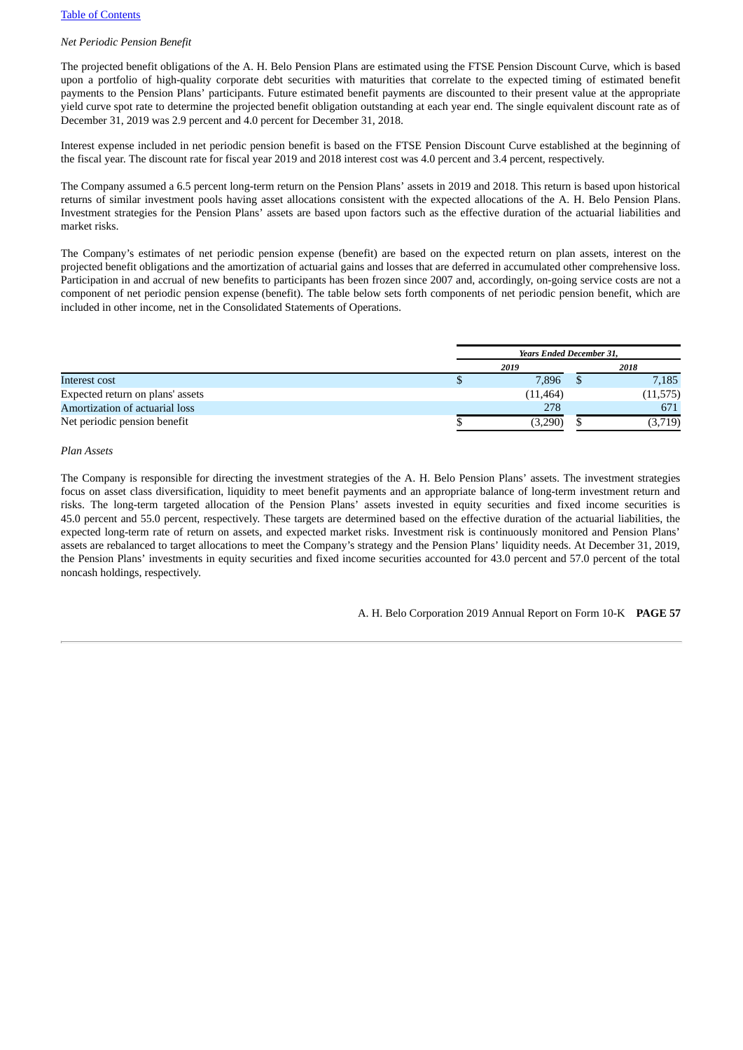#### *Net Periodic Pension Benefit*

The projected benefit obligations of the A. H. Belo Pension Plans are estimated using the FTSE Pension Discount Curve, which is based upon a portfolio of high-quality corporate debt securities with maturities that correlate to the expected timing of estimated benefit payments to the Pension Plans' participants. Future estimated benefit payments are discounted to their present value at the appropriate yield curve spot rate to determine the projected benefit obligation outstanding at each year end. The single equivalent discount rate as of December 31, 2019 was 2.9 percent and 4.0 percent for December 31, 2018.

Interest expense included in net periodic pension benefit is based on the FTSE Pension Discount Curve established at the beginning of the fiscal year. The discount rate for fiscal year 2019 and 2018 interest cost was 4.0 percent and 3.4 percent, respectively.

The Company assumed a 6.5 percent long-term return on the Pension Plans' assets in 2019 and 2018. This return is based upon historical returns of similar investment pools having asset allocations consistent with the expected allocations of the A. H. Belo Pension Plans. Investment strategies for the Pension Plans' assets are based upon factors such as the effective duration of the actuarial liabilities and market risks.

The Company's estimates of net periodic pension expense (benefit) are based on the expected return on plan assets, interest on the projected benefit obligations and the amortization of actuarial gains and losses that are deferred in accumulated other comprehensive loss. Participation in and accrual of new benefits to participants has been frozen since 2007 and, accordingly, on-going service costs are not a component of net periodic pension expense (benefit). The table below sets forth components of net periodic pension benefit, which are included in other income, net in the Consolidated Statements of Operations.

|                                  | <b>Years Ended December 31,</b> |           |
|----------------------------------|---------------------------------|-----------|
|                                  | 2019                            | 2018      |
| Interest cost                    | 7,896                           | 7,185     |
| Expected return on plans' assets | (11, 464)                       | (11, 575) |
| Amortization of actuarial loss   | 278                             | 671       |
| Net periodic pension benefit     | (3,290)                         | (3,719)   |

#### *Plan Assets*

The Company is responsible for directing the investment strategies of the A. H. Belo Pension Plans' assets. The investment strategies focus on asset class diversification, liquidity to meet benefit payments and an appropriate balance of long-term investment return and risks. The long-term targeted allocation of the Pension Plans' assets invested in equity securities and fixed income securities is 45.0 percent and 55.0 percent, respectively. These targets are determined based on the effective duration of the actuarial liabilities, the expected long-term rate of return on assets, and expected market risks. Investment risk is continuously monitored and Pension Plans' assets are rebalanced to target allocations to meet the Company's strategy and the Pension Plans' liquidity needs. At December 31, 2019, the Pension Plans' investments in equity securities and fixed income securities accounted for 43.0 percent and 57.0 percent of the total noncash holdings, respectively.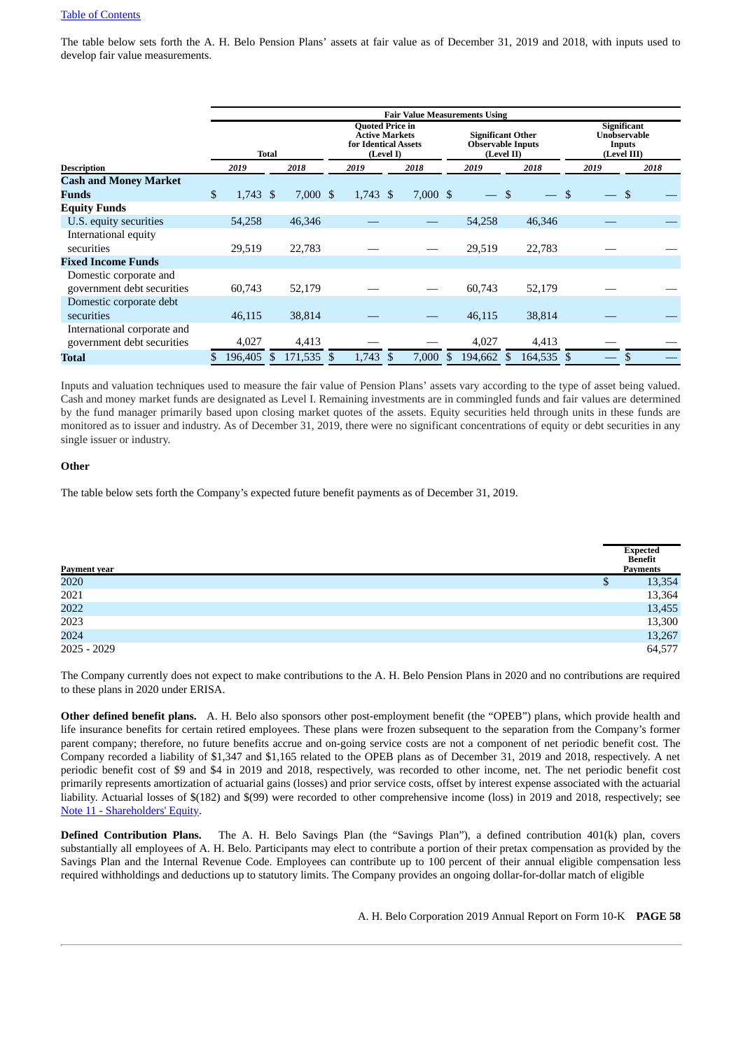The table below sets forth the A. H. Belo Pension Plans' assets at fair value as of December 31, 2019 and 2018, with inputs used to develop fair value measurements.

|                              |                  |       |                                                                                      |  |            |              |            |     | <b>Fair Value Measurements Using</b>                               |         |                                                             |      |    |      |  |
|------------------------------|------------------|-------|--------------------------------------------------------------------------------------|--|------------|--------------|------------|-----|--------------------------------------------------------------------|---------|-------------------------------------------------------------|------|----|------|--|
|                              |                  | Total | <b>Quoted Price in</b><br><b>Active Markets</b><br>for Identical Assets<br>(Level I) |  |            |              |            |     | <b>Significant Other</b><br><b>Observable Inputs</b><br>(Level II) |         | <b>Significant</b><br>Unobservable<br>Inputs<br>(Level III) |      |    |      |  |
| <b>Description</b>           | 2019             |       | 2018                                                                                 |  | 2019       |              | 2018       |     | 2019                                                               | 2018    |                                                             | 2019 |    | 2018 |  |
| <b>Cash and Money Market</b> |                  |       |                                                                                      |  |            |              |            |     |                                                                    |         |                                                             |      |    |      |  |
| Funds                        | \$<br>$1,743$ \$ |       | $7,000 \text{ }$ \$                                                                  |  | $1,743$ \$ |              | $7,000$ \$ |     | $-$ \$                                                             |         | \$                                                          |      | \$ |      |  |
| <b>Equity Funds</b>          |                  |       |                                                                                      |  |            |              |            |     |                                                                    |         |                                                             |      |    |      |  |
| U.S. equity securities       | 54,258           |       | 46,346                                                                               |  |            |              |            |     | 54,258                                                             | 46,346  |                                                             |      |    |      |  |
| International equity         |                  |       |                                                                                      |  |            |              |            |     |                                                                    |         |                                                             |      |    |      |  |
| securities                   | 29,519           |       | 22,783                                                                               |  |            |              |            |     | 29,519                                                             | 22,783  |                                                             |      |    |      |  |
| <b>Fixed Income Funds</b>    |                  |       |                                                                                      |  |            |              |            |     |                                                                    |         |                                                             |      |    |      |  |
| Domestic corporate and       |                  |       |                                                                                      |  |            |              |            |     |                                                                    |         |                                                             |      |    |      |  |
| government debt securities   | 60,743           |       | 52,179                                                                               |  |            |              |            |     | 60,743                                                             | 52,179  |                                                             |      |    |      |  |
| Domestic corporate debt      |                  |       |                                                                                      |  |            |              |            |     |                                                                    |         |                                                             |      |    |      |  |
| securities                   | 46,115           |       | 38,814                                                                               |  |            |              |            |     | 46,115                                                             | 38,814  |                                                             |      |    |      |  |
| International corporate and  |                  |       |                                                                                      |  |            |              |            |     |                                                                    |         |                                                             |      |    |      |  |
| government debt securities   | 4,027            |       | 4,413                                                                                |  |            |              |            |     | 4,027                                                              | 4,413   |                                                             |      |    |      |  |
| Total                        | 196,405          | \$.   | 171,535 \$                                                                           |  | 1,743      | $\mathbf{S}$ | 7.000      | \$. | 194,662                                                            | 164,535 | \$                                                          |      |    |      |  |

Inputs and valuation techniques used to measure the fair value of Pension Plans' assets vary according to the type of asset being valued. Cash and money market funds are designated as Level I. Remaining investments are in commingled funds and fair values are determined by the fund manager primarily based upon closing market quotes of the assets. Equity securities held through units in these funds are monitored as to issuer and industry. As of December 31, 2019, there were no significant concentrations of equity or debt securities in any single issuer or industry.

# **Other**

The table below sets forth the Company's expected future benefit payments as of December 31, 2019.

| Payment year |   | <b>Expected</b><br><b>Benefit</b><br><b>Payments</b> |
|--------------|---|------------------------------------------------------|
| 2020         | Ф | 13,354                                               |
| 2021         |   | 13,364                                               |
| 2022         |   | 13,455                                               |
| 2023         |   | 13,300                                               |
| 2024         |   | 13,267                                               |
| 2025 - 2029  |   | 64,577                                               |

The Company currently does not expect to make contributions to the A. H. Belo Pension Plans in 2020 and no contributions are required to these plans in 2020 under ERISA.

**Other defined benefit plans.** A. H. Belo also sponsors other post-employment benefit (the "OPEB") plans, which provide health and life insurance benefits for certain retired employees. These plans were frozen subsequent to the separation from the Company's former parent company; therefore, no future benefits accrue and on-going service costs are not a component of net periodic benefit cost. The Company recorded a liability of \$1,347 and \$1,165 related to the OPEB plans as of December 31, 2019 and 2018, respectively. A net periodic benefit cost of \$9 and \$4 in 2019 and 2018, respectively, was recorded to other income, net. The net periodic benefit cost primarily represents amortization of actuarial gains (losses) and prior service costs, offset by interest expense associated with the actuarial liability. Actuarial losses of \$(182) and \$(99) were recorded to other comprehensive income (loss) in 2019 and 2018, respectively; see Note 11 - [Shareholders'](#page-58-0) Equity.

**Defined Contribution Plans.** The A. H. Belo Savings Plan (the "Savings Plan"), a defined contribution 401(k) plan, covers substantially all employees of A. H. Belo. Participants may elect to contribute a portion of their pretax compensation as provided by the Savings Plan and the Internal Revenue Code. Employees can contribute up to 100 percent of their annual eligible compensation less required withholdings and deductions up to statutory limits. The Company provides an ongoing dollar-for-dollar match of eligible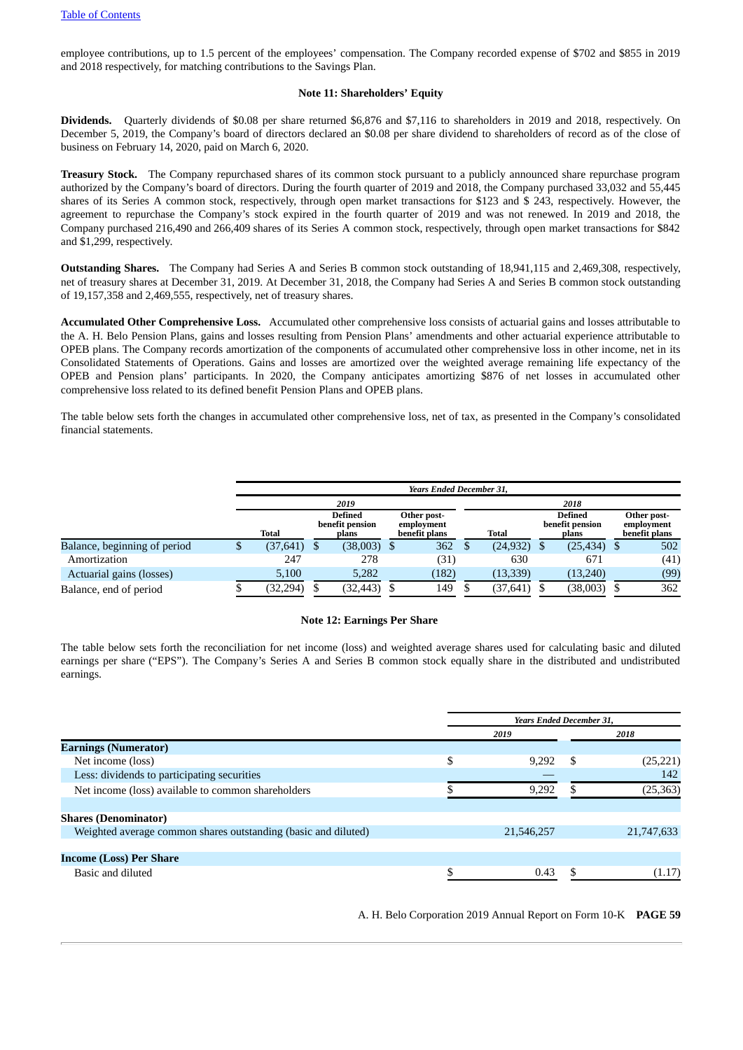employee contributions, up to 1.5 percent of the employees' compensation. The Company recorded expense of \$702 and \$855 in 2019 and 2018 respectively, for matching contributions to the Savings Plan.

#### **Note 11: Shareholders' Equity**

<span id="page-58-0"></span>**Dividends.** Quarterly dividends of \$0.08 per share returned \$6,876 and \$7,116 to shareholders in 2019 and 2018, respectively. On December 5, 2019, the Company's board of directors declared an \$0.08 per share dividend to shareholders of record as of the close of business on February 14, 2020, paid on March 6, 2020.

**Treasury Stock.** The Company repurchased shares of its common stock pursuant to a publicly announced share repurchase program authorized by the Company's board of directors. During the fourth quarter of 2019 and 2018, the Company purchased 33,032 and 55,445 shares of its Series A common stock, respectively, through open market transactions for \$123 and \$ 243, respectively. However, the agreement to repurchase the Company's stock expired in the fourth quarter of 2019 and was not renewed. In 2019 and 2018, the Company purchased 216,490 and 266,409 shares of its Series A common stock, respectively, through open market transactions for \$842 and \$1,299, respectively.

**Outstanding Shares.** The Company had Series A and Series B common stock outstanding of 18,941,115 and 2,469,308, respectively, net of treasury shares at December 31, 2019. At December 31, 2018, the Company had Series A and Series B common stock outstanding of 19,157,358 and 2,469,555, respectively, net of treasury shares.

**Accumulated Other Comprehensive Loss.** Accumulated other comprehensive loss consists of actuarial gains and losses attributable to the A. H. Belo Pension Plans, gains and losses resulting from Pension Plans' amendments and other actuarial experience attributable to OPEB plans. The Company records amortization of the components of accumulated other comprehensive loss in other income, net in its Consolidated Statements of Operations. Gains and losses are amortized over the weighted average remaining life expectancy of the OPEB and Pension plans' participants. In 2020, the Company anticipates amortizing \$876 of net losses in accumulated other comprehensive loss related to its defined benefit Pension Plans and OPEB plans.

The table below sets forth the changes in accumulated other comprehensive loss, net of tax, as presented in the Company's consolidated financial statements.

|                              |  |              |                                            |  | <b>Years Ended December 31.</b>            |  |           |                                            |                                            |
|------------------------------|--|--------------|--------------------------------------------|--|--------------------------------------------|--|-----------|--------------------------------------------|--------------------------------------------|
|                              |  |              | 2019                                       |  |                                            |  |           | 2018                                       |                                            |
|                              |  | <b>Total</b> | <b>Defined</b><br>benefit pension<br>plans |  | Other post-<br>employment<br>benefit plans |  | Total     | <b>Defined</b><br>benefit pension<br>plans | Other post-<br>employment<br>benefit plans |
| Balance, beginning of period |  | (37, 641)    | $(38,003)$ \$                              |  | 362                                        |  | (24, 932) | $(25, 434)$ \$                             | 502                                        |
| Amortization                 |  | 247          | 278                                        |  | (31)                                       |  | 630       | 671                                        | (41)                                       |
| Actuarial gains (losses)     |  | 5.100        | 5,282                                      |  | (182)                                      |  | (13, 339) | (13,240)                                   | (99)                                       |
| Balance, end of period       |  | (32, 294)    | $(32, 443)$ \$                             |  | 149                                        |  | (37, 641) | (38,003)                                   | 362                                        |

#### **Note 12: Earnings Per Share**

The table below sets forth the reconciliation for net income (loss) and weighted average shares used for calculating basic and diluted earnings per share ("EPS"). The Company's Series A and Series B common stock equally share in the distributed and undistributed earnings.

| <b>Years Ended December 31,</b> |            |      |            |  |
|---------------------------------|------------|------|------------|--|
|                                 |            |      | 2018       |  |
|                                 |            |      |            |  |
| \$                              | 9.292      | -\$  | (25, 221)  |  |
|                                 |            |      | 142        |  |
|                                 | 9,292      |      | (25, 363)  |  |
|                                 |            |      |            |  |
|                                 |            |      |            |  |
|                                 | 21,546,257 |      | 21,747,633 |  |
|                                 |            |      |            |  |
|                                 |            |      |            |  |
|                                 | 0.43       | .S   | (1.17)     |  |
|                                 |            | 2019 |            |  |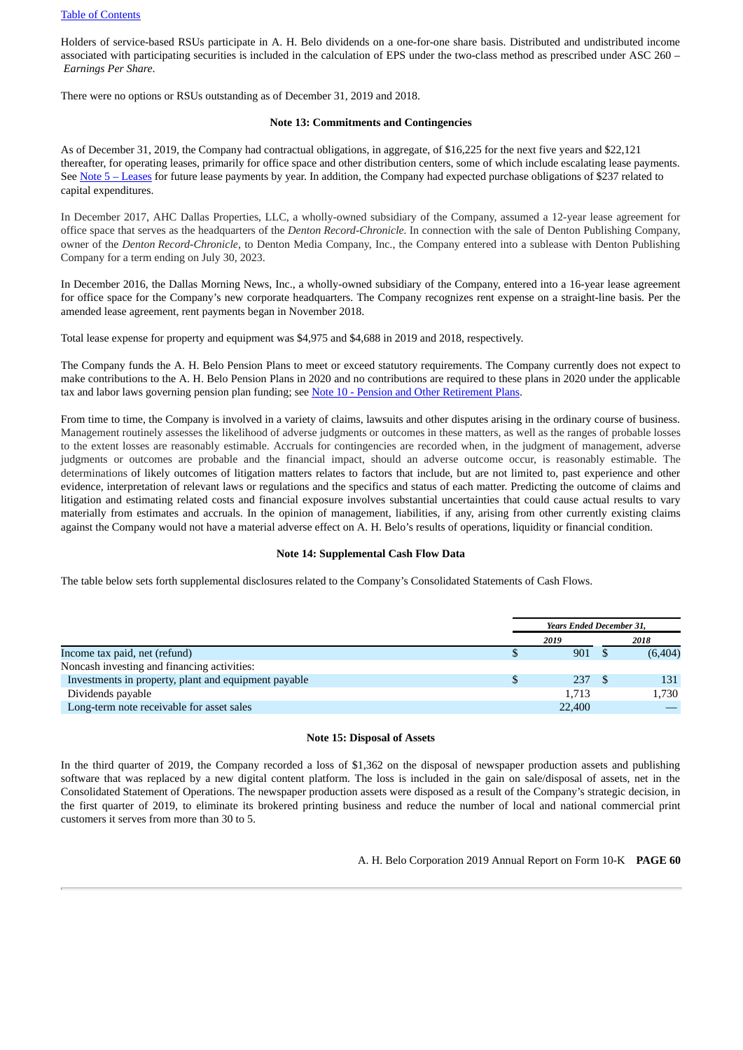Holders of service-based RSUs participate in A. H. Belo dividends on a one-for-one share basis. Distributed and undistributed income associated with participating securities is included in the calculation of EPS under the two-class method as prescribed under ASC 260 – *Earnings Per Share*.

There were no options or RSUs outstanding as of December 31, 2019 and 2018.

#### **Note 13: Commitments and Contingencies**

As of December 31, 2019, the Company had contractual obligations, in aggregate, of \$16,225 for the next five years and \$22,121 thereafter, for operating leases, primarily for office space and other distribution centers, some of which include escalating lease payments. See Note 5 – [Leases](#page-50-0) for future lease payments by year. In addition, the Company had expected purchase obligations of \$237 related to capital expenditures.

In December 2017, AHC Dallas Properties, LLC, a wholly-owned subsidiary of the Company, assumed a 12-year lease agreement for office space that serves as the headquarters of the *Denton Record-Chronicle.* In connection with the sale of Denton Publishing Company, owner of the *Denton Record-Chronicle*, to Denton Media Company, Inc., the Company entered into a sublease with Denton Publishing Company for a term ending on July 30, 2023.

In December 2016, the Dallas Morning News, Inc., a wholly-owned subsidiary of the Company, entered into a 16-year lease agreement for office space for the Company's new corporate headquarters. The Company recognizes rent expense on a straight-line basis. Per the amended lease agreement, rent payments began in November 2018.

Total lease expense for property and equipment was \$4,975 and \$4,688 in 2019 and 2018, respectively.

The Company funds the A. H. Belo Pension Plans to meet or exceed statutory requirements. The Company currently does not expect to make contributions to the A. H. Belo Pension Plans in 2020 and no contributions are required to these plans in 2020 under the applicable tax and labor laws governing pension plan funding; see Note 10 - Pension and Other [Retirement](#page-55-0) Plans.

From time to time, the Company is involved in a variety of claims, lawsuits and other disputes arising in the ordinary course of business. Management routinely assesses the likelihood of adverse judgments or outcomes in these matters, as well as the ranges of probable losses to the extent losses are reasonably estimable. Accruals for contingencies are recorded when, in the judgment of management, adverse judgments or outcomes are probable and the financial impact, should an adverse outcome occur, is reasonably estimable. The determinations of likely outcomes of litigation matters relates to factors that include, but are not limited to, past experience and other evidence, interpretation of relevant laws or regulations and the specifics and status of each matter. Predicting the outcome of claims and litigation and estimating related costs and financial exposure involves substantial uncertainties that could cause actual results to vary materially from estimates and accruals. In the opinion of management, liabilities, if any, arising from other currently existing claims against the Company would not have a material adverse effect on A. H. Belo's results of operations, liquidity or financial condition.

# **Note 14: Supplemental Cash Flow Data**

The table below sets forth supplemental disclosures related to the Company's Consolidated Statements of Cash Flows.

|                                                      | <b>Years Ended December 31,</b> |  |          |  |  |
|------------------------------------------------------|---------------------------------|--|----------|--|--|
|                                                      | 2019                            |  | 2018     |  |  |
| Income tax paid, net (refund)                        | 901                             |  | (6, 404) |  |  |
| Noncash investing and financing activities:          |                                 |  |          |  |  |
| Investments in property, plant and equipment payable | 237                             |  | 131      |  |  |
| Dividends payable                                    | 1.713                           |  | 1.730    |  |  |
| Long-term note receivable for asset sales            | 22,400                          |  |          |  |  |

#### **Note 15: Disposal of Assets**

<span id="page-59-0"></span>In the third quarter of 2019, the Company recorded a loss of \$1,362 on the disposal of newspaper production assets and publishing software that was replaced by a new digital content platform. The loss is included in the gain on sale/disposal of assets, net in the Consolidated Statement of Operations. The newspaper production assets were disposed as a result of the Company's strategic decision, in the first quarter of 2019, to eliminate its brokered printing business and reduce the number of local and national commercial print customers it serves from more than 30 to 5.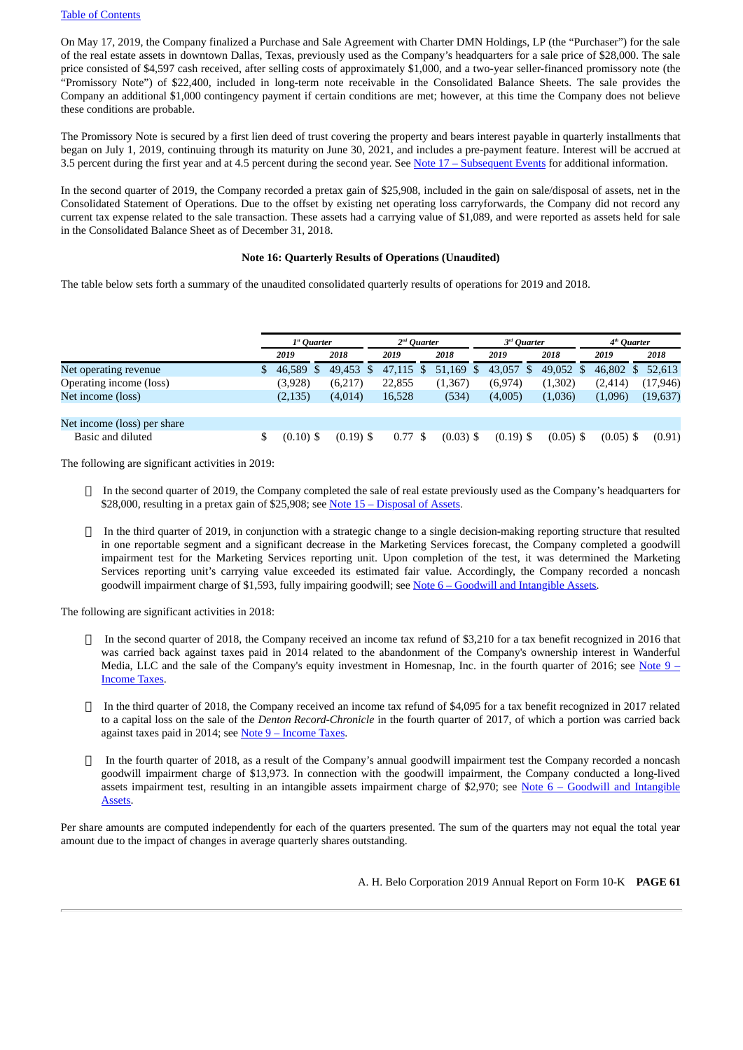On May 17, 2019, the Company finalized a Purchase and Sale Agreement with Charter DMN Holdings, LP (the "Purchaser") for the sale of the real estate assets in downtown Dallas, Texas, previously used as the Company's headquarters for a sale price of \$28,000. The sale price consisted of \$4,597 cash received, after selling costs of approximately \$1,000, and a two-year seller-financed promissory note (the "Promissory Note") of \$22,400, included in long-term note receivable in the Consolidated Balance Sheets. The sale provides the Company an additional \$1,000 contingency payment if certain conditions are met; however, at this time the Company does not believe these conditions are probable.

The Promissory Note is secured by a first lien deed of trust covering the property and bears interest payable in quarterly installments that began on July 1, 2019, continuing through its maturity on June 30, 2021, and includes a pre-payment feature. Interest will be accrued at 3.5 percent during the first year and at 4.5 percent during the second year. See <u>Note 17 – [Subsequent](#page-60-0) Events</u> for additional information.

In the second quarter of 2019, the Company recorded a pretax gain of \$25,908, included in the gain on sale/disposal of assets, net in the Consolidated Statement of Operations. Due to the offset by existing net operating loss carryforwards, the Company did not record any current tax expense related to the sale transaction. These assets had a carrying value of \$1,089, and were reported as assets held for sale in the Consolidated Balance Sheet as of December 31, 2018.

### **Note 16: Quarterly Results of Operations (Unaudited)**

The table below sets forth a summary of the unaudited consolidated quarterly results of operations for 2019 and 2018.

|                             |     | $1st$ Quarter  |             | $2nd$ Quarter |           |  | $3rd$ Quarter |  |             | $4th$ Quarter |             |  |             |  |           |
|-----------------------------|-----|----------------|-------------|---------------|-----------|--|---------------|--|-------------|---------------|-------------|--|-------------|--|-----------|
|                             |     | 2019           | 2018        |               | 2019      |  | 2018          |  | 2019        |               | 2018        |  | 2019        |  | 2018      |
| Net operating revenue       | \$. | 46.589<br>- 85 | 49.453 \$   |               | 47,115 \$ |  | 51,169        |  | 43,057      | -S            | 49,052 \$   |  | 46,802 \$   |  | 52.613    |
| Operating income (loss)     |     | (3,928)        | (6,217)     |               | 22,855    |  | (1, 367)      |  | (6,974)     |               | (1,302)     |  | (2, 414)    |  | (17, 946) |
| Net income (loss)           |     | (2, 135)       | (4,014)     |               | 16,528    |  | (534)         |  | (4,005)     |               | (1,036)     |  | (1,096)     |  | (19,637)  |
|                             |     |                |             |               |           |  |               |  |             |               |             |  |             |  |           |
| Net income (loss) per share |     |                |             |               |           |  |               |  |             |               |             |  |             |  |           |
| Basic and diluted           | \$  | $(0.10)$ \$    | $(0.19)$ \$ |               | 0.77S     |  | $(0.03)$ \$   |  | $(0.19)$ \$ |               | $(0.05)$ \$ |  | $(0.05)$ \$ |  | (0.91)    |

The following are significant activities in 2019:

- In the second quarter of 2019, the Company completed the sale of real estate previously used as the Company's headquarters for \$28,000, resulting in a pretax gain of \$25,908; see Note 15 - [Disposal](#page-59-0) of Assets.
- In the third quarter of 2019, in conjunction with a strategic change to a single decision-making reporting structure that resulted in one reportable segment and a significant decrease in the Marketing Services forecast, the Company completed a goodwill impairment test for the Marketing Services reporting unit. Upon completion of the test, it was determined the Marketing Services reporting unit's carrying value exceeded its estimated fair value. Accordingly, the Company recorded a noncash goodwill impairment charge of \$1,593, fully impairing goodwill; see Note 6 – Goodwill and [Intangible](#page-51-0) Assets.

The following are significant activities in 2018:

- $\Box$  In the second quarter of 2018, the Company received an income tax refund of \$3,210 for a tax benefit recognized in 2016 that was carried back against taxes paid in 2014 related to the abandonment of the Company's ownership interest in Wanderful Media, LLC and the sale of the Company's equity investment in [Homesnap,](#page-53-1) Inc. in the fourth quarter of 2016; see Note  $9 -$ Income Taxes.
- $\Box$  In the third quarter of 2018, the Company received an income tax refund of \$4,095 for a tax benefit recognized in 2017 related to a capital loss on the sale of the *Denton Record-Chronicle* in the fourth quarter of 2017, of which a portion was carried back against taxes paid in 2014; see Note 9 – [Income](#page-53-1) Taxes.
- $\Box$  In the fourth quarter of 2018, as a result of the Company's annual goodwill impairment test the Company recorded a noncash goodwill impairment charge of \$13,973. In connection with the goodwill impairment, the Company conducted a long-lived assets [impairment](#page-51-0) test, resulting in an intangible assets impairment charge of \$2,970; see Note  $6 -$  Goodwill and Intangible Assets.

<span id="page-60-0"></span>Per share amounts are computed independently for each of the quarters presented. The sum of the quarters may not equal the total year amount due to the impact of changes in average quarterly shares outstanding.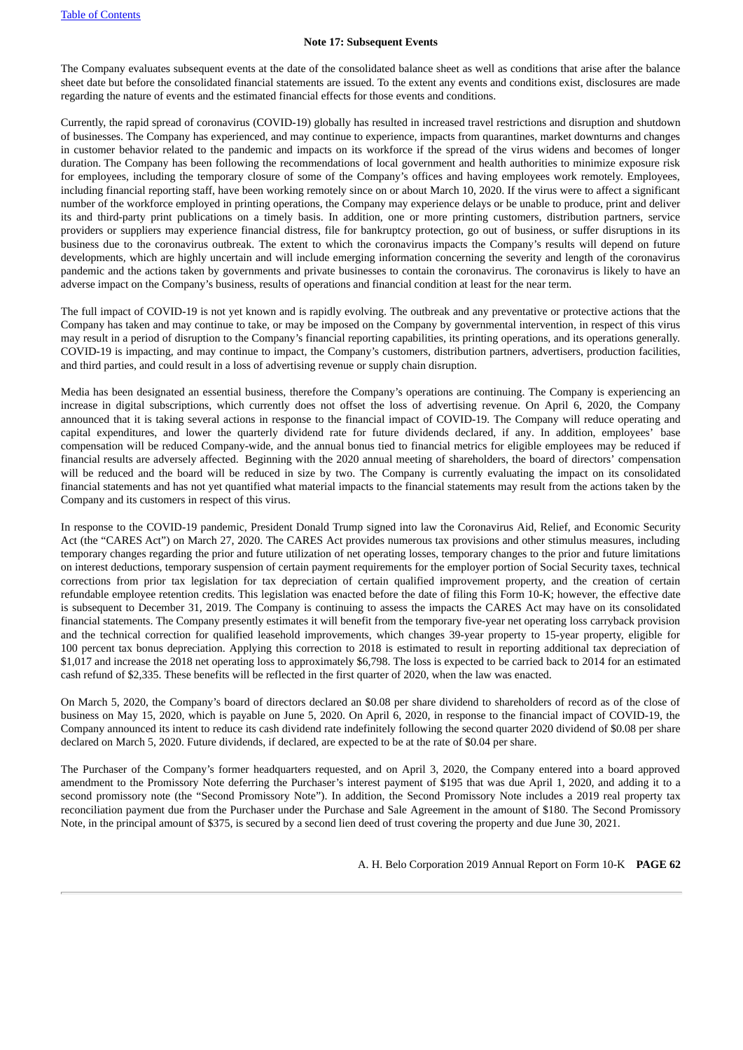# **Note 17: Subsequent Events**

The Company evaluates subsequent events at the date of the consolidated balance sheet as well as conditions that arise after the balance sheet date but before the consolidated financial statements are issued. To the extent any events and conditions exist, disclosures are made regarding the nature of events and the estimated financial effects for those events and conditions.

Currently, the rapid spread of coronavirus (COVID-19) globally has resulted in increased travel restrictions and disruption and shutdown of businesses. The Company has experienced, and may continue to experience, impacts from quarantines, market downturns and changes in customer behavior related to the pandemic and impacts on its workforce if the spread of the virus widens and becomes of longer duration. The Company has been following the recommendations of local government and health authorities to minimize exposure risk for employees, including the temporary closure of some of the Company's offices and having employees work remotely. Employees, including financial reporting staff, have been working remotely since on or about March 10, 2020. If the virus were to affect a significant number of the workforce employed in printing operations, the Company may experience delays or be unable to produce, print and deliver its and third-party print publications on a timely basis. In addition, one or more printing customers, distribution partners, service providers or suppliers may experience financial distress, file for bankruptcy protection, go out of business, or suffer disruptions in its business due to the coronavirus outbreak. The extent to which the coronavirus impacts the Company's results will depend on future developments, which are highly uncertain and will include emerging information concerning the severity and length of the coronavirus pandemic and the actions taken by governments and private businesses to contain the coronavirus. The coronavirus is likely to have an adverse impact on the Company's business, results of operations and financial condition at least for the near term.

The full impact of COVID-19 is not yet known and is rapidly evolving. The outbreak and any preventative or protective actions that the Company has taken and may continue to take, or may be imposed on the Company by governmental intervention, in respect of this virus may result in a period of disruption to the Company's financial reporting capabilities, its printing operations, and its operations generally. COVID-19 is impacting, and may continue to impact, the Company's customers, distribution partners, advertisers, production facilities, and third parties, and could result in a loss of advertising revenue or supply chain disruption.

Media has been designated an essential business, therefore the Company's operations are continuing. The Company is experiencing an increase in digital subscriptions, which currently does not offset the loss of advertising revenue. On April 6, 2020, the Company announced that it is taking several actions in response to the financial impact of COVID-19. The Company will reduce operating and capital expenditures, and lower the quarterly dividend rate for future dividends declared, if any. In addition, employees' base compensation will be reduced Company-wide, and the annual bonus tied to financial metrics for eligible employees may be reduced if financial results are adversely affected. Beginning with the 2020 annual meeting of shareholders, the board of directors' compensation will be reduced and the board will be reduced in size by two. The Company is currently evaluating the impact on its consolidated financial statements and has not yet quantified what material impacts to the financial statements may result from the actions taken by the Company and its customers in respect of this virus.

In response to the COVID-19 pandemic, President Donald Trump signed into law the Coronavirus Aid, Relief, and Economic Security Act (the "CARES Act") on March 27, 2020. The CARES Act provides numerous tax provisions and other stimulus measures, including temporary changes regarding the prior and future utilization of net operating losses, temporary changes to the prior and future limitations on interest deductions, temporary suspension of certain payment requirements for the employer portion of Social Security taxes, technical corrections from prior tax legislation for tax depreciation of certain qualified improvement property, and the creation of certain refundable employee retention credits. This legislation was enacted before the date of filing this Form 10-K; however, the effective date is subsequent to December 31, 2019. The Company is continuing to assess the impacts the CARES Act may have on its consolidated financial statements. The Company presently estimates it will benefit from the temporary five-year net operating loss carryback provision and the technical correction for qualified leasehold improvements, which changes 39-year property to 15-year property, eligible for 100 percent tax bonus depreciation. Applying this correction to 2018 is estimated to result in reporting additional tax depreciation of \$1,017 and increase the 2018 net operating loss to approximately \$6,798. The loss is expected to be carried back to 2014 for an estimated cash refund of \$2,335. These benefits will be reflected in the first quarter of 2020, when the law was enacted.

On March 5, 2020, the Company's board of directors declared an \$0.08 per share dividend to shareholders of record as of the close of business on May 15, 2020, which is payable on June 5, 2020. On April 6, 2020, in response to the financial impact of COVID-19, the Company announced its intent to reduce its cash dividend rate indefinitely following the second quarter 2020 dividend of \$0.08 per share declared on March 5, 2020. Future dividends, if declared, are expected to be at the rate of \$0.04 per share.

The Purchaser of the Company's former headquarters requested, and on April 3, 2020, the Company entered into a board approved amendment to the Promissory Note deferring the Purchaser's interest payment of \$195 that was due April 1, 2020, and adding it to a second promissory note (the "Second Promissory Note"). In addition, the Second Promissory Note includes a 2019 real property tax reconciliation payment due from the Purchaser under the Purchase and Sale Agreement in the amount of \$180. The Second Promissory Note, in the principal amount of \$375, is secured by a second lien deed of trust covering the property and due June 30, 2021.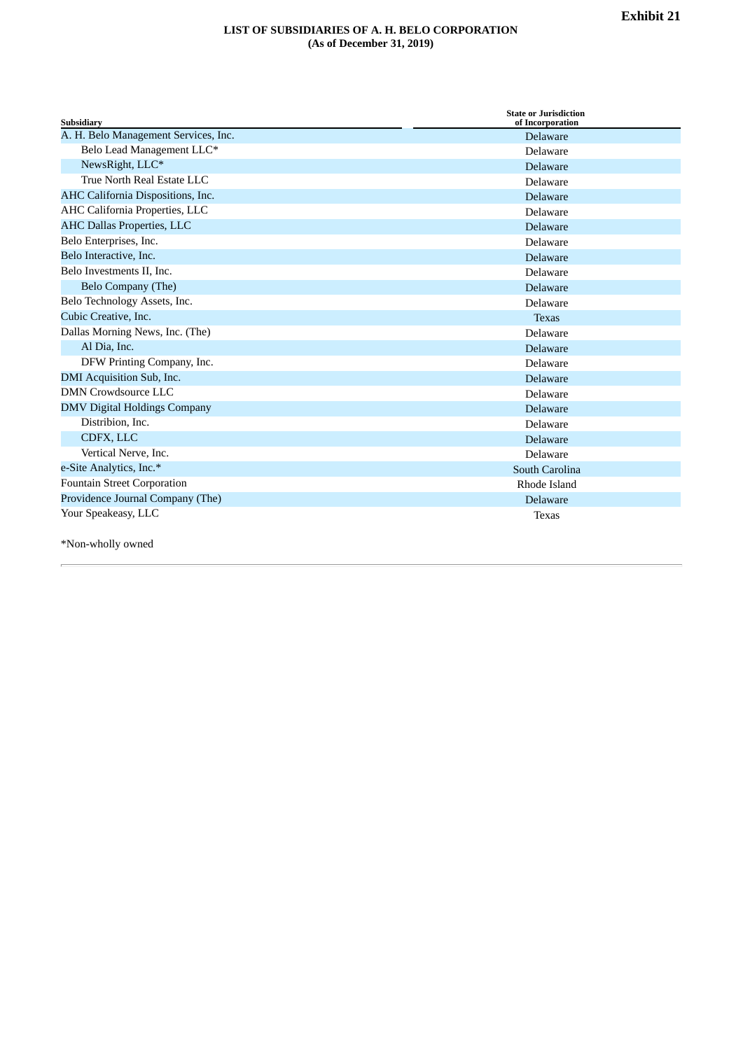# **LIST OF SUBSIDIARIES OF A. H. BELO CORPORATION (As of December 31, 2019)**

<span id="page-62-0"></span>

| Subsidiarv                           | <b>State or Jurisdiction</b><br>of Incorporation |
|--------------------------------------|--------------------------------------------------|
| A. H. Belo Management Services, Inc. | <b>Delaware</b>                                  |
| Belo Lead Management LLC*            | Delaware                                         |
| NewsRight, LLC*                      | <b>Delaware</b>                                  |
| True North Real Estate LLC           | Delaware                                         |
| AHC California Dispositions, Inc.    | Delaware                                         |
| AHC California Properties, LLC       | Delaware                                         |
| AHC Dallas Properties, LLC           | <b>Delaware</b>                                  |
| Belo Enterprises, Inc.               | Delaware                                         |
| Belo Interactive, Inc.               | <b>Delaware</b>                                  |
| Belo Investments II, Inc.            | Delaware                                         |
| Belo Company (The)                   | Delaware                                         |
| Belo Technology Assets, Inc.         | Delaware                                         |
| Cubic Creative, Inc.                 | <b>Texas</b>                                     |
| Dallas Morning News, Inc. (The)      | Delaware                                         |
| Al Dia, Inc.                         | Delaware                                         |
| DFW Printing Company, Inc.           | Delaware                                         |
| DMI Acquisition Sub, Inc.            | <b>Delaware</b>                                  |
| DMN Crowdsource LLC                  | Delaware                                         |
| <b>DMV Digital Holdings Company</b>  | Delaware                                         |
| Distribion, Inc.                     | Delaware                                         |
| CDFX, LLC                            | <b>Delaware</b>                                  |
| Vertical Nerve, Inc.                 | Delaware                                         |
| e-Site Analytics, Inc.*              | South Carolina                                   |
| <b>Fountain Street Corporation</b>   | Rhode Island                                     |
| Providence Journal Company (The)     | Delaware                                         |
| Your Speakeasy, LLC                  | <b>Texas</b>                                     |

\*Non-wholly owned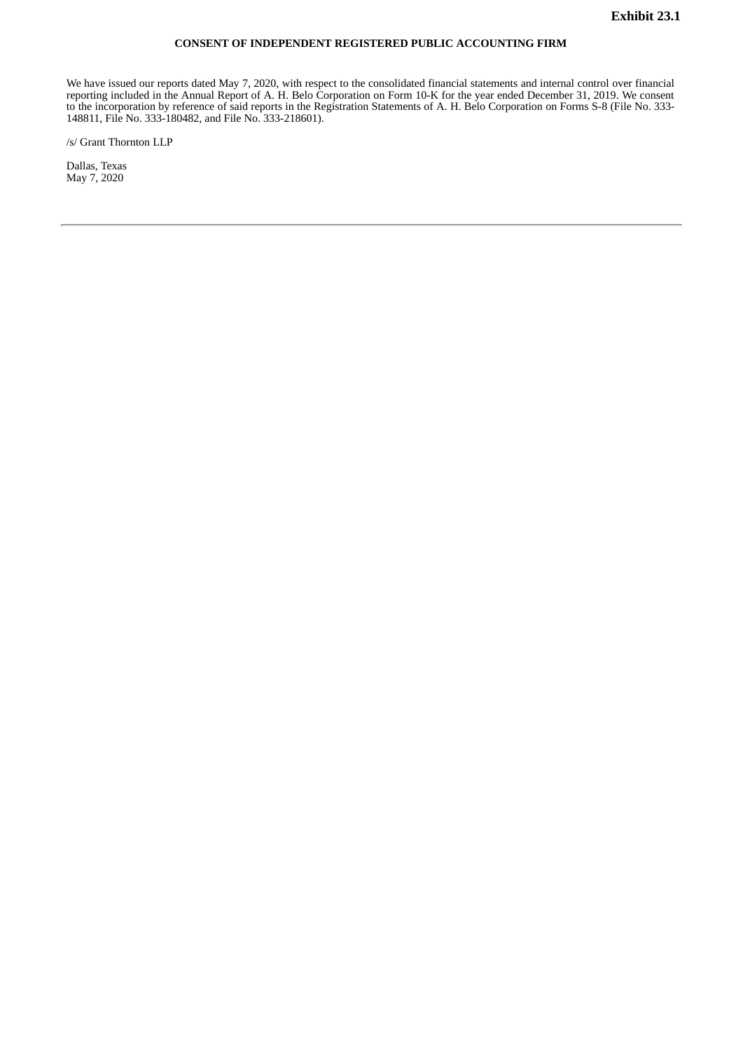# **CONSENT OF INDEPENDENT REGISTERED PUBLIC ACCOUNTING FIRM**

<span id="page-63-0"></span>We have issued our reports dated May 7, 2020, with respect to the consolidated financial statements and internal control over financial reporting included in the Annual Report of A. H. Belo Corporation on Form 10-K for the year ended December 31, 2019. We consent to the incorporation by reference of said reports in the Registration Statements of A. H. Belo Corporation on Forms S-8 (File No. 333- 148811, File No. 333-180482, and File No. 333-218601).

/s/ Grant Thornton LLP

Dallas, Texas May 7, 2020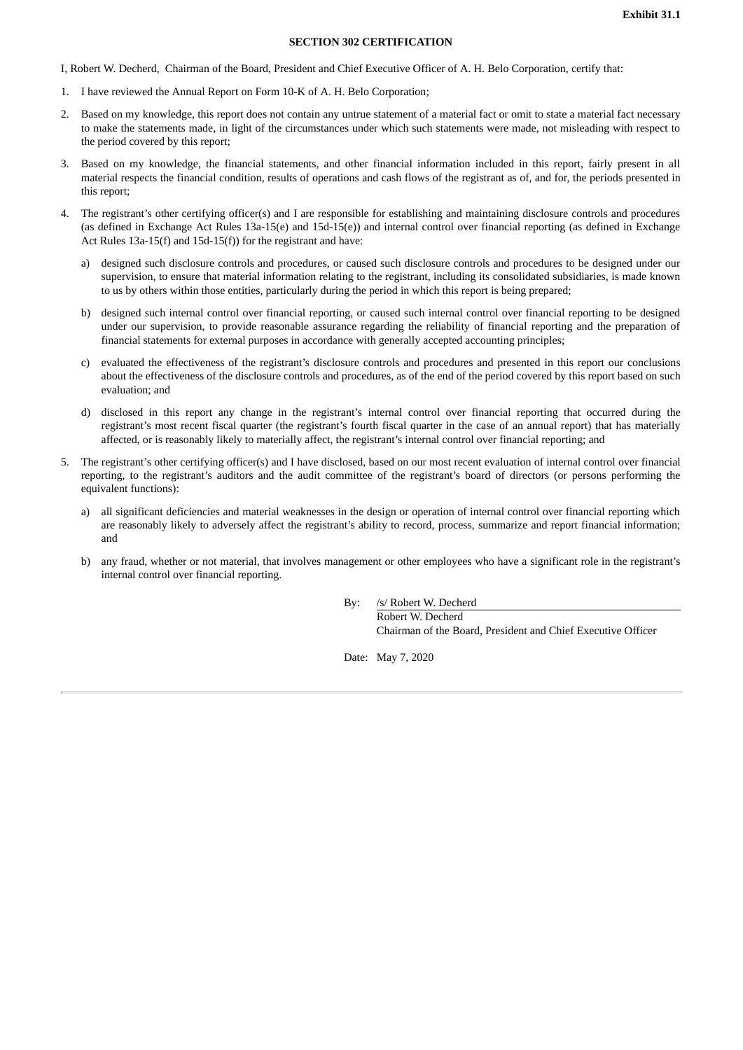# **SECTION 302 CERTIFICATION**

<span id="page-64-0"></span>I, Robert W. Decherd, Chairman of the Board, President and Chief Executive Officer of A. H. Belo Corporation, certify that:

- 1. I have reviewed the Annual Report on Form 10-K of A. H. Belo Corporation;
- 2. Based on my knowledge, this report does not contain any untrue statement of a material fact or omit to state a material fact necessary to make the statements made, in light of the circumstances under which such statements were made, not misleading with respect to the period covered by this report;
- 3. Based on my knowledge, the financial statements, and other financial information included in this report, fairly present in all material respects the financial condition, results of operations and cash flows of the registrant as of, and for, the periods presented in this report;
- 4. The registrant's other certifying officer(s) and I are responsible for establishing and maintaining disclosure controls and procedures (as defined in Exchange Act Rules 13a-15(e) and 15d-15(e)) and internal control over financial reporting (as defined in Exchange Act Rules 13a-15(f) and 15d-15(f)) for the registrant and have:
	- a) designed such disclosure controls and procedures, or caused such disclosure controls and procedures to be designed under our supervision, to ensure that material information relating to the registrant, including its consolidated subsidiaries, is made known to us by others within those entities, particularly during the period in which this report is being prepared;
	- b) designed such internal control over financial reporting, or caused such internal control over financial reporting to be designed under our supervision, to provide reasonable assurance regarding the reliability of financial reporting and the preparation of financial statements for external purposes in accordance with generally accepted accounting principles;
	- c) evaluated the effectiveness of the registrant's disclosure controls and procedures and presented in this report our conclusions about the effectiveness of the disclosure controls and procedures, as of the end of the period covered by this report based on such evaluation; and
	- d) disclosed in this report any change in the registrant's internal control over financial reporting that occurred during the registrant's most recent fiscal quarter (the registrant's fourth fiscal quarter in the case of an annual report) that has materially affected, or is reasonably likely to materially affect, the registrant's internal control over financial reporting; and
- 5. The registrant's other certifying officer(s) and I have disclosed, based on our most recent evaluation of internal control over financial reporting, to the registrant's auditors and the audit committee of the registrant's board of directors (or persons performing the equivalent functions):
	- a) all significant deficiencies and material weaknesses in the design or operation of internal control over financial reporting which are reasonably likely to adversely affect the registrant's ability to record, process, summarize and report financial information; and
	- b) any fraud, whether or not material, that involves management or other employees who have a significant role in the registrant's internal control over financial reporting.

By: /s/ Robert W. Decherd Robert W. Decherd

Chairman of the Board, President and Chief Executive Officer

Date: May 7, 2020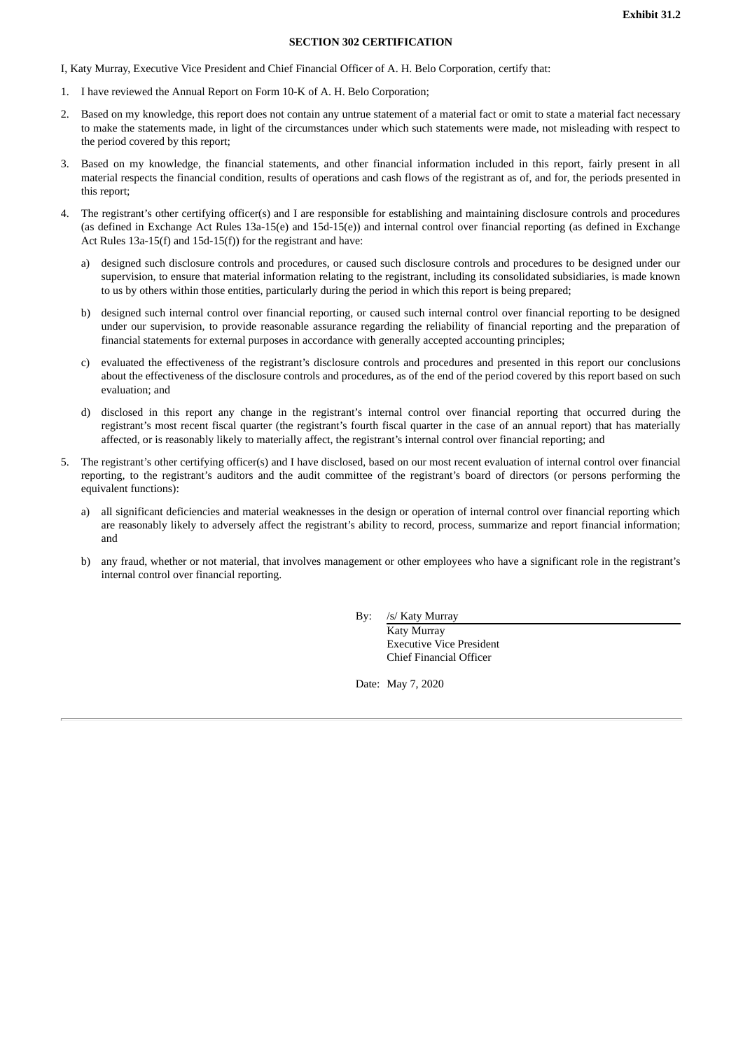# **SECTION 302 CERTIFICATION**

<span id="page-65-0"></span>I, Katy Murray, Executive Vice President and Chief Financial Officer of A. H. Belo Corporation, certify that:

- 1. I have reviewed the Annual Report on Form 10-K of A. H. Belo Corporation;
- 2. Based on my knowledge, this report does not contain any untrue statement of a material fact or omit to state a material fact necessary to make the statements made, in light of the circumstances under which such statements were made, not misleading with respect to the period covered by this report;
- 3. Based on my knowledge, the financial statements, and other financial information included in this report, fairly present in all material respects the financial condition, results of operations and cash flows of the registrant as of, and for, the periods presented in this report;
- 4. The registrant's other certifying officer(s) and I are responsible for establishing and maintaining disclosure controls and procedures (as defined in Exchange Act Rules 13a-15(e) and 15d-15(e)) and internal control over financial reporting (as defined in Exchange Act Rules 13a-15(f) and 15d-15(f)) for the registrant and have:
	- a) designed such disclosure controls and procedures, or caused such disclosure controls and procedures to be designed under our supervision, to ensure that material information relating to the registrant, including its consolidated subsidiaries, is made known to us by others within those entities, particularly during the period in which this report is being prepared;
	- b) designed such internal control over financial reporting, or caused such internal control over financial reporting to be designed under our supervision, to provide reasonable assurance regarding the reliability of financial reporting and the preparation of financial statements for external purposes in accordance with generally accepted accounting principles;
	- c) evaluated the effectiveness of the registrant's disclosure controls and procedures and presented in this report our conclusions about the effectiveness of the disclosure controls and procedures, as of the end of the period covered by this report based on such evaluation; and
	- d) disclosed in this report any change in the registrant's internal control over financial reporting that occurred during the registrant's most recent fiscal quarter (the registrant's fourth fiscal quarter in the case of an annual report) that has materially affected, or is reasonably likely to materially affect, the registrant's internal control over financial reporting; and
- 5. The registrant's other certifying officer(s) and I have disclosed, based on our most recent evaluation of internal control over financial reporting, to the registrant's auditors and the audit committee of the registrant's board of directors (or persons performing the equivalent functions):
	- a) all significant deficiencies and material weaknesses in the design or operation of internal control over financial reporting which are reasonably likely to adversely affect the registrant's ability to record, process, summarize and report financial information; and
	- b) any fraud, whether or not material, that involves management or other employees who have a significant role in the registrant's internal control over financial reporting.

By: /s/ Katy Murray

Katy Murray Executive Vice President Chief Financial Officer

Date: May 7, 2020